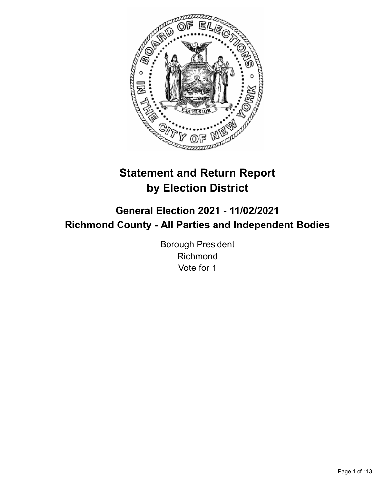

# **Statement and Return Report by Election District**

**General Election 2021 - 11/02/2021 Richmond County - All Parties and Independent Bodies**

> Borough President Richmond Vote for 1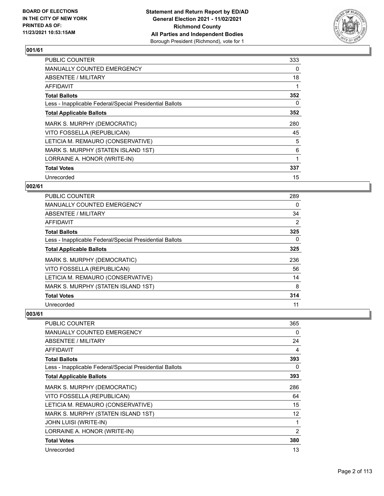

| <b>PUBLIC COUNTER</b>                                    | 333 |
|----------------------------------------------------------|-----|
| <b>MANUALLY COUNTED EMERGENCY</b>                        | 0   |
| ABSENTEE / MILITARY                                      | 18  |
| <b>AFFIDAVIT</b>                                         |     |
| <b>Total Ballots</b>                                     | 352 |
| Less - Inapplicable Federal/Special Presidential Ballots | 0   |
| <b>Total Applicable Ballots</b>                          | 352 |
| MARK S. MURPHY (DEMOCRATIC)                              | 280 |
| VITO FOSSELLA (REPUBLICAN)                               | 45  |
| LETICIA M. REMAURO (CONSERVATIVE)                        | 5   |
| MARK S. MURPHY (STATEN ISLAND 1ST)                       | 6   |
| LORRAINE A. HONOR (WRITE-IN)                             | 1   |
| <b>Total Votes</b>                                       | 337 |
| Unrecorded                                               | 15  |

## **002/61**

| PUBLIC COUNTER                                           | 289            |
|----------------------------------------------------------|----------------|
| MANUALLY COUNTED EMERGENCY                               | $\Omega$       |
| ABSENTEE / MILITARY                                      | 34             |
| AFFIDAVIT                                                | $\overline{2}$ |
| <b>Total Ballots</b>                                     | 325            |
| Less - Inapplicable Federal/Special Presidential Ballots | $\Omega$       |
| <b>Total Applicable Ballots</b>                          | 325            |
| MARK S. MURPHY (DEMOCRATIC)                              | 236            |
| VITO FOSSELLA (REPUBLICAN)                               | 56             |
| LETICIA M. REMAURO (CONSERVATIVE)                        | 14             |
| MARK S. MURPHY (STATEN ISLAND 1ST)                       | 8              |
| <b>Total Votes</b>                                       | 314            |
| Unrecorded                                               | 11             |

| <b>PUBLIC COUNTER</b>                                    | 365            |
|----------------------------------------------------------|----------------|
| <b>MANUALLY COUNTED EMERGENCY</b>                        | 0              |
| ABSENTEE / MILITARY                                      | 24             |
| AFFIDAVIT                                                | 4              |
| <b>Total Ballots</b>                                     | 393            |
| Less - Inapplicable Federal/Special Presidential Ballots | 0              |
| <b>Total Applicable Ballots</b>                          | 393            |
| MARK S. MURPHY (DEMOCRATIC)                              | 286            |
| VITO FOSSELLA (REPUBLICAN)                               | 64             |
| LETICIA M. REMAURO (CONSERVATIVE)                        | 15             |
| MARK S. MURPHY (STATEN ISLAND 1ST)                       | 12             |
| JOHN LUISI (WRITE-IN)                                    |                |
| LORRAINE A. HONOR (WRITE-IN)                             | $\overline{2}$ |
| <b>Total Votes</b>                                       | 380            |
| Unrecorded                                               | 13             |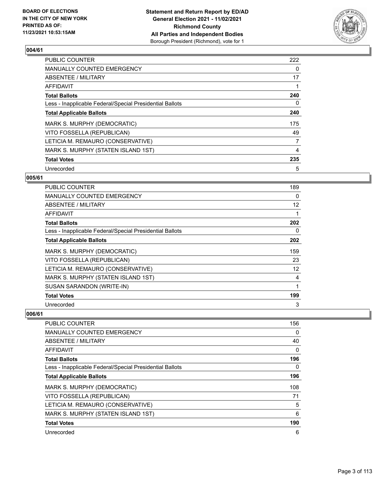

| <b>PUBLIC COUNTER</b>                                    | 222            |
|----------------------------------------------------------|----------------|
| MANUALLY COUNTED EMERGENCY                               | 0              |
| ABSENTEE / MILITARY                                      | 17             |
| <b>AFFIDAVIT</b>                                         |                |
| <b>Total Ballots</b>                                     | 240            |
| Less - Inapplicable Federal/Special Presidential Ballots | 0              |
| <b>Total Applicable Ballots</b>                          | 240            |
| MARK S. MURPHY (DEMOCRATIC)                              | 175            |
| VITO FOSSELLA (REPUBLICAN)                               | 49             |
| LETICIA M. REMAURO (CONSERVATIVE)                        | $\overline{7}$ |
| MARK S. MURPHY (STATEN ISLAND 1ST)                       | 4              |
| <b>Total Votes</b>                                       | 235            |
| Unrecorded                                               | 5              |

## **005/61**

| <b>PUBLIC COUNTER</b>                                    | 189 |
|----------------------------------------------------------|-----|
| <b>MANUALLY COUNTED EMERGENCY</b>                        | 0   |
| ABSENTEE / MILITARY                                      | 12  |
| AFFIDAVIT                                                | 1   |
| <b>Total Ballots</b>                                     | 202 |
| Less - Inapplicable Federal/Special Presidential Ballots | 0   |
| <b>Total Applicable Ballots</b>                          | 202 |
| MARK S. MURPHY (DEMOCRATIC)                              | 159 |
| VITO FOSSELLA (REPUBLICAN)                               | 23  |
| LETICIA M. REMAURO (CONSERVATIVE)                        | 12  |
| MARK S. MURPHY (STATEN ISLAND 1ST)                       | 4   |
| SUSAN SARANDON (WRITE-IN)                                | 1   |
| <b>Total Votes</b>                                       | 199 |
| Unrecorded                                               | 3   |

| PUBLIC COUNTER                                           | 156      |
|----------------------------------------------------------|----------|
| MANUALLY COUNTED EMERGENCY                               | $\Omega$ |
| ABSENTEE / MILITARY                                      | 40       |
| AFFIDAVIT                                                | 0        |
| <b>Total Ballots</b>                                     | 196      |
| Less - Inapplicable Federal/Special Presidential Ballots | 0        |
| <b>Total Applicable Ballots</b>                          | 196      |
| MARK S. MURPHY (DEMOCRATIC)                              | 108      |
| VITO FOSSELLA (REPUBLICAN)                               | 71       |
| LETICIA M. REMAURO (CONSERVATIVE)                        | 5        |
| MARK S. MURPHY (STATEN ISLAND 1ST)                       | 6        |
| <b>Total Votes</b>                                       | 190      |
| Unrecorded                                               | 6        |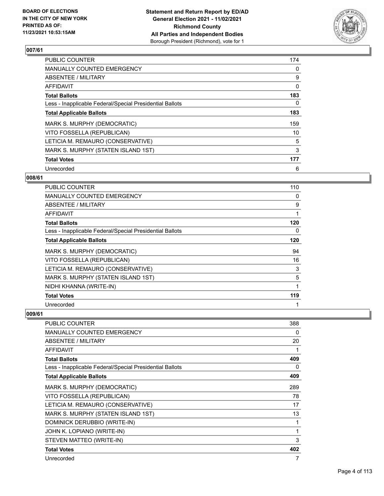

| <b>PUBLIC COUNTER</b>                                    | 174 |
|----------------------------------------------------------|-----|
| <b>MANUALLY COUNTED EMERGENCY</b>                        | 0   |
| ABSENTEE / MILITARY                                      | 9   |
| <b>AFFIDAVIT</b>                                         | 0   |
| <b>Total Ballots</b>                                     | 183 |
| Less - Inapplicable Federal/Special Presidential Ballots | 0   |
| <b>Total Applicable Ballots</b>                          | 183 |
| MARK S. MURPHY (DEMOCRATIC)                              | 159 |
| VITO FOSSELLA (REPUBLICAN)                               | 10  |
| LETICIA M. REMAURO (CONSERVATIVE)                        | 5   |
| MARK S. MURPHY (STATEN ISLAND 1ST)                       | 3   |
| <b>Total Votes</b>                                       | 177 |
| Unrecorded                                               | 6   |

## **008/61**

| PUBLIC COUNTER                                           | 110 |
|----------------------------------------------------------|-----|
| <b>MANUALLY COUNTED EMERGENCY</b>                        | 0   |
| ABSENTEE / MILITARY                                      | 9   |
| AFFIDAVIT                                                | 1   |
| <b>Total Ballots</b>                                     | 120 |
| Less - Inapplicable Federal/Special Presidential Ballots | 0   |
| <b>Total Applicable Ballots</b>                          | 120 |
| MARK S. MURPHY (DEMOCRATIC)                              | 94  |
| VITO FOSSELLA (REPUBLICAN)                               | 16  |
| LETICIA M. REMAURO (CONSERVATIVE)                        | 3   |
| MARK S. MURPHY (STATEN ISLAND 1ST)                       | 5   |
| NIDHI KHANNA (WRITE-IN)                                  | 1   |
| <b>Total Votes</b>                                       | 119 |
| Unrecorded                                               |     |

| <b>PUBLIC COUNTER</b>                                    | 388 |
|----------------------------------------------------------|-----|
| <b>MANUALLY COUNTED EMERGENCY</b>                        | 0   |
| ABSENTEE / MILITARY                                      | 20  |
| <b>AFFIDAVIT</b>                                         | 1   |
| <b>Total Ballots</b>                                     | 409 |
| Less - Inapplicable Federal/Special Presidential Ballots | 0   |
| <b>Total Applicable Ballots</b>                          | 409 |
| MARK S. MURPHY (DEMOCRATIC)                              | 289 |
| VITO FOSSELLA (REPUBLICAN)                               | 78  |
| LETICIA M. REMAURO (CONSERVATIVE)                        | 17  |
| MARK S. MURPHY (STATEN ISLAND 1ST)                       | 13  |
| DOMINICK DERUBBIO (WRITE-IN)                             | 1   |
| JOHN K. LOPIANO (WRITE-IN)                               | 1   |
| STEVEN MATTEO (WRITE-IN)                                 | 3   |
| <b>Total Votes</b>                                       | 402 |
| Unrecorded                                               | 7   |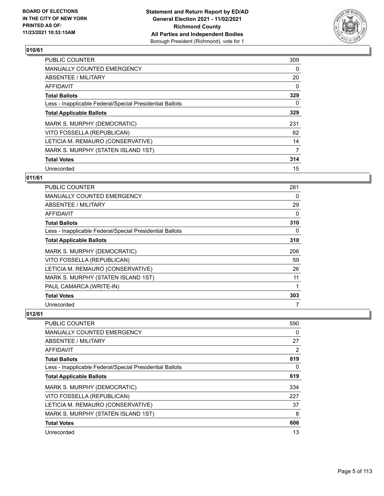

| <b>PUBLIC COUNTER</b>                                    | 309      |
|----------------------------------------------------------|----------|
| <b>MANUALLY COUNTED EMERGENCY</b>                        | 0        |
| ABSENTEE / MILITARY                                      | 20       |
| <b>AFFIDAVIT</b>                                         | $\Omega$ |
| <b>Total Ballots</b>                                     | 329      |
| Less - Inapplicable Federal/Special Presidential Ballots | 0        |
| <b>Total Applicable Ballots</b>                          | 329      |
| MARK S. MURPHY (DEMOCRATIC)                              | 231      |
| VITO FOSSELLA (REPUBLICAN)                               | 62       |
| LETICIA M. REMAURO (CONSERVATIVE)                        | 14       |
| MARK S. MURPHY (STATEN ISLAND 1ST)                       | 7        |
| <b>Total Votes</b>                                       | 314      |
| Unrecorded                                               | 15       |

## **011/61**

| PUBLIC COUNTER                                           | 281 |
|----------------------------------------------------------|-----|
| <b>MANUALLY COUNTED EMERGENCY</b>                        | 0   |
| ABSENTEE / MILITARY                                      | 29  |
| AFFIDAVIT                                                | 0   |
| <b>Total Ballots</b>                                     | 310 |
| Less - Inapplicable Federal/Special Presidential Ballots | 0   |
| <b>Total Applicable Ballots</b>                          | 310 |
| MARK S. MURPHY (DEMOCRATIC)                              | 206 |
| VITO FOSSELLA (REPUBLICAN)                               | 59  |
| LETICIA M. REMAURO (CONSERVATIVE)                        | 26  |
| MARK S. MURPHY (STATEN ISLAND 1ST)                       | 11  |
| PAUL CAMARCA (WRITE-IN)                                  | 1   |
| <b>Total Votes</b>                                       | 303 |
| Unrecorded                                               | 7   |

| <b>PUBLIC COUNTER</b>                                    | 590 |
|----------------------------------------------------------|-----|
| <b>MANUALLY COUNTED EMERGENCY</b>                        | 0   |
| ABSENTEE / MILITARY                                      | 27  |
| AFFIDAVIT                                                | 2   |
| <b>Total Ballots</b>                                     | 619 |
| Less - Inapplicable Federal/Special Presidential Ballots | 0   |
| <b>Total Applicable Ballots</b>                          | 619 |
| MARK S. MURPHY (DEMOCRATIC)                              | 334 |
| VITO FOSSELLA (REPUBLICAN)                               | 227 |
| LETICIA M. REMAURO (CONSERVATIVE)                        | 37  |
| MARK S. MURPHY (STATEN ISLAND 1ST)                       | 8   |
| <b>Total Votes</b>                                       | 606 |
| Unrecorded                                               | 13  |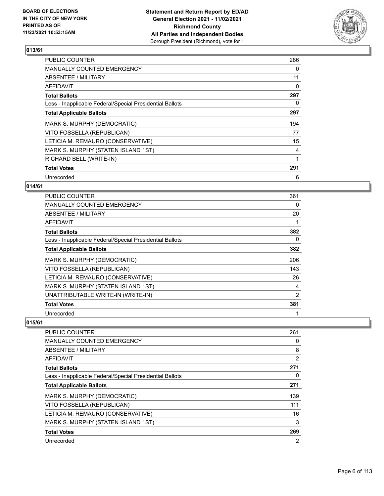

| <b>PUBLIC COUNTER</b>                                    | 286 |
|----------------------------------------------------------|-----|
| <b>MANUALLY COUNTED EMERGENCY</b>                        | 0   |
| ABSENTEE / MILITARY                                      | 11  |
| <b>AFFIDAVIT</b>                                         | 0   |
| <b>Total Ballots</b>                                     | 297 |
| Less - Inapplicable Federal/Special Presidential Ballots | 0   |
| <b>Total Applicable Ballots</b>                          | 297 |
| MARK S. MURPHY (DEMOCRATIC)                              | 194 |
| VITO FOSSELLA (REPUBLICAN)                               | 77  |
| LETICIA M. REMAURO (CONSERVATIVE)                        | 15  |
| MARK S. MURPHY (STATEN ISLAND 1ST)                       | 4   |
| RICHARD BELL (WRITE-IN)                                  | 1   |
| <b>Total Votes</b>                                       | 291 |
| Unrecorded                                               | 6   |

## **014/61**

| <b>PUBLIC COUNTER</b>                                    | 361      |
|----------------------------------------------------------|----------|
| <b>MANUALLY COUNTED EMERGENCY</b>                        | 0        |
| <b>ABSENTEE / MILITARY</b>                               | 20       |
| AFFIDAVIT                                                |          |
| <b>Total Ballots</b>                                     | 382      |
| Less - Inapplicable Federal/Special Presidential Ballots | $\Omega$ |
| <b>Total Applicable Ballots</b>                          | 382      |
| MARK S. MURPHY (DEMOCRATIC)                              | 206      |
| VITO FOSSELLA (REPUBLICAN)                               | 143      |
| LETICIA M. REMAURO (CONSERVATIVE)                        | 26       |
| MARK S. MURPHY (STATEN ISLAND 1ST)                       | 4        |
| UNATTRIBUTABLE WRITE-IN (WRITE-IN)                       | 2        |
| <b>Total Votes</b>                                       | 381      |
| Unrecorded                                               |          |

| <b>PUBLIC COUNTER</b>                                    | 261 |
|----------------------------------------------------------|-----|
| <b>MANUALLY COUNTED EMERGENCY</b>                        | 0   |
| ABSENTEE / MILITARY                                      | 8   |
| AFFIDAVIT                                                | 2   |
| <b>Total Ballots</b>                                     | 271 |
| Less - Inapplicable Federal/Special Presidential Ballots | 0   |
| <b>Total Applicable Ballots</b>                          | 271 |
| MARK S. MURPHY (DEMOCRATIC)                              | 139 |
| VITO FOSSELLA (REPUBLICAN)                               | 111 |
| LETICIA M. REMAURO (CONSERVATIVE)                        | 16  |
| MARK S. MURPHY (STATEN ISLAND 1ST)                       | 3   |
| <b>Total Votes</b>                                       | 269 |
| Unrecorded                                               | 2   |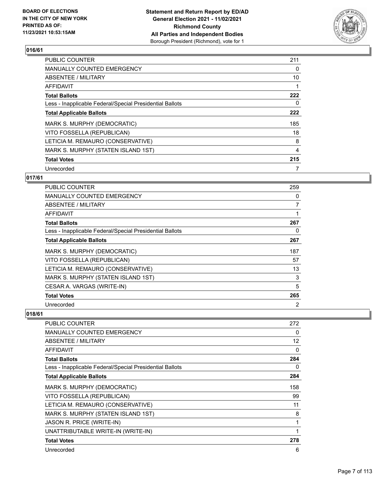

| <b>PUBLIC COUNTER</b>                                    | 211 |
|----------------------------------------------------------|-----|
| <b>MANUALLY COUNTED EMERGENCY</b>                        | 0   |
| ABSENTEE / MILITARY                                      | 10  |
| <b>AFFIDAVIT</b>                                         |     |
| <b>Total Ballots</b>                                     | 222 |
| Less - Inapplicable Federal/Special Presidential Ballots | 0   |
| <b>Total Applicable Ballots</b>                          | 222 |
| MARK S. MURPHY (DEMOCRATIC)                              | 185 |
| VITO FOSSELLA (REPUBLICAN)                               | 18  |
| LETICIA M. REMAURO (CONSERVATIVE)                        | 8   |
| MARK S. MURPHY (STATEN ISLAND 1ST)                       | 4   |
| <b>Total Votes</b>                                       | 215 |
| Unrecorded                                               | 7   |

## **017/61**

| PUBLIC COUNTER                                           | 259 |
|----------------------------------------------------------|-----|
| <b>MANUALLY COUNTED EMERGENCY</b>                        | 0   |
| ABSENTEE / MILITARY                                      | 7   |
| <b>AFFIDAVIT</b>                                         |     |
| <b>Total Ballots</b>                                     | 267 |
| Less - Inapplicable Federal/Special Presidential Ballots | 0   |
| <b>Total Applicable Ballots</b>                          | 267 |
| MARK S. MURPHY (DEMOCRATIC)                              | 187 |
| VITO FOSSELLA (REPUBLICAN)                               | 57  |
| LETICIA M. REMAURO (CONSERVATIVE)                        | 13  |
| MARK S. MURPHY (STATEN ISLAND 1ST)                       | 3   |
| CESAR A. VARGAS (WRITE-IN)                               | 5   |
| <b>Total Votes</b>                                       | 265 |
| Unrecorded                                               | 2   |

| <b>PUBLIC COUNTER</b>                                    | 272 |
|----------------------------------------------------------|-----|
| <b>MANUALLY COUNTED EMERGENCY</b>                        | 0   |
| ABSENTEE / MILITARY                                      | 12  |
| AFFIDAVIT                                                | 0   |
| <b>Total Ballots</b>                                     | 284 |
| Less - Inapplicable Federal/Special Presidential Ballots | 0   |
| <b>Total Applicable Ballots</b>                          | 284 |
| MARK S. MURPHY (DEMOCRATIC)                              | 158 |
| VITO FOSSELLA (REPUBLICAN)                               | 99  |
| LETICIA M. REMAURO (CONSERVATIVE)                        | 11  |
| MARK S. MURPHY (STATEN ISLAND 1ST)                       | 8   |
| JASON R. PRICE (WRITE-IN)                                | 1   |
| UNATTRIBUTABLE WRITE-IN (WRITE-IN)                       | 1   |
| <b>Total Votes</b>                                       | 278 |
| Unrecorded                                               | 6   |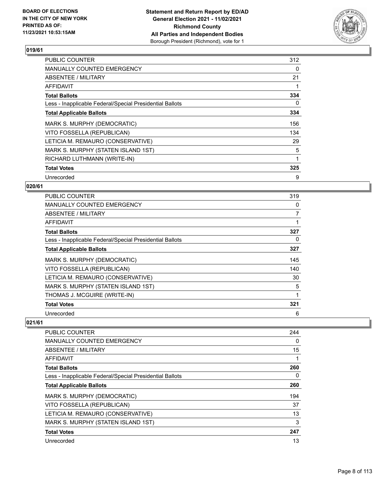

| <b>PUBLIC COUNTER</b>                                    | 312 |
|----------------------------------------------------------|-----|
| MANUALLY COUNTED EMERGENCY                               | 0   |
| ABSENTEE / MILITARY                                      | 21  |
| AFFIDAVIT                                                |     |
| <b>Total Ballots</b>                                     | 334 |
| Less - Inapplicable Federal/Special Presidential Ballots | 0   |
| <b>Total Applicable Ballots</b>                          | 334 |
| MARK S. MURPHY (DEMOCRATIC)                              | 156 |
| VITO FOSSELLA (REPUBLICAN)                               | 134 |
| LETICIA M. REMAURO (CONSERVATIVE)                        | 29  |
| MARK S. MURPHY (STATEN ISLAND 1ST)                       | 5   |
| RICHARD LUTHMANN (WRITE-IN)                              |     |
| <b>Total Votes</b>                                       | 325 |
| Unrecorded                                               | 9   |

## **020/61**

| PUBLIC COUNTER                                           | 319 |
|----------------------------------------------------------|-----|
| <b>MANUALLY COUNTED EMERGENCY</b>                        | 0   |
| ABSENTEE / MILITARY                                      | 7   |
| AFFIDAVIT                                                |     |
| <b>Total Ballots</b>                                     | 327 |
| Less - Inapplicable Federal/Special Presidential Ballots | 0   |
| <b>Total Applicable Ballots</b>                          | 327 |
| MARK S. MURPHY (DEMOCRATIC)                              | 145 |
| VITO FOSSELLA (REPUBLICAN)                               | 140 |
| LETICIA M. REMAURO (CONSERVATIVE)                        | 30  |
| MARK S. MURPHY (STATEN ISLAND 1ST)                       | 5   |
| THOMAS J. MCGUIRE (WRITE-IN)                             |     |
| <b>Total Votes</b>                                       | 321 |
| Unrecorded                                               | 6   |

| PUBLIC COUNTER                                           | 244 |
|----------------------------------------------------------|-----|
| <b>MANUALLY COUNTED EMERGENCY</b>                        | 0   |
| ABSENTEE / MILITARY                                      | 15  |
| AFFIDAVIT                                                |     |
| <b>Total Ballots</b>                                     | 260 |
| Less - Inapplicable Federal/Special Presidential Ballots | 0   |
| <b>Total Applicable Ballots</b>                          | 260 |
| MARK S. MURPHY (DEMOCRATIC)                              | 194 |
| VITO FOSSELLA (REPUBLICAN)                               | 37  |
| LETICIA M. REMAURO (CONSERVATIVE)                        | 13  |
| MARK S. MURPHY (STATEN ISLAND 1ST)                       | 3   |
| <b>Total Votes</b>                                       | 247 |
| Unrecorded                                               | 13  |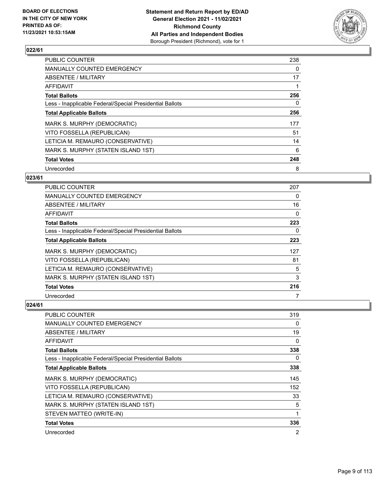

| <b>PUBLIC COUNTER</b>                                    | 238 |
|----------------------------------------------------------|-----|
| <b>MANUALLY COUNTED EMERGENCY</b>                        | 0   |
| ABSENTEE / MILITARY                                      | 17  |
| <b>AFFIDAVIT</b>                                         |     |
| <b>Total Ballots</b>                                     | 256 |
| Less - Inapplicable Federal/Special Presidential Ballots | 0   |
| <b>Total Applicable Ballots</b>                          | 256 |
| MARK S. MURPHY (DEMOCRATIC)                              | 177 |
| VITO FOSSELLA (REPUBLICAN)                               | 51  |
| LETICIA M. REMAURO (CONSERVATIVE)                        | 14  |
| MARK S. MURPHY (STATEN ISLAND 1ST)                       | 6   |
| <b>Total Votes</b>                                       | 248 |
| Unrecorded                                               | 8   |

## **023/61**

| PUBLIC COUNTER                                           | 207 |
|----------------------------------------------------------|-----|
| MANUALLY COUNTED EMERGENCY                               | 0   |
| ABSENTEE / MILITARY                                      | 16  |
| AFFIDAVIT                                                | 0   |
| <b>Total Ballots</b>                                     | 223 |
| Less - Inapplicable Federal/Special Presidential Ballots | 0   |
| <b>Total Applicable Ballots</b>                          | 223 |
| MARK S. MURPHY (DEMOCRATIC)                              | 127 |
| VITO FOSSELLA (REPUBLICAN)                               | 81  |
| LETICIA M. REMAURO (CONSERVATIVE)                        | 5   |
| MARK S. MURPHY (STATEN ISLAND 1ST)                       | 3   |
| <b>Total Votes</b>                                       | 216 |
| Unrecorded                                               | 7   |

| PUBLIC COUNTER                                           | 319      |
|----------------------------------------------------------|----------|
| <b>MANUALLY COUNTED EMERGENCY</b>                        | 0        |
| ABSENTEE / MILITARY                                      | 19       |
| AFFIDAVIT                                                | $\Omega$ |
| <b>Total Ballots</b>                                     | 338      |
| Less - Inapplicable Federal/Special Presidential Ballots | $\Omega$ |
| <b>Total Applicable Ballots</b>                          | 338      |
| MARK S. MURPHY (DEMOCRATIC)                              | 145      |
| VITO FOSSELLA (REPUBLICAN)                               | 152      |
| LETICIA M. REMAURO (CONSERVATIVE)                        | 33       |
| MARK S. MURPHY (STATEN ISLAND 1ST)                       | 5        |
| STEVEN MATTEO (WRITE-IN)                                 | 1        |
| <b>Total Votes</b>                                       | 336      |
| Unrecorded                                               | 2        |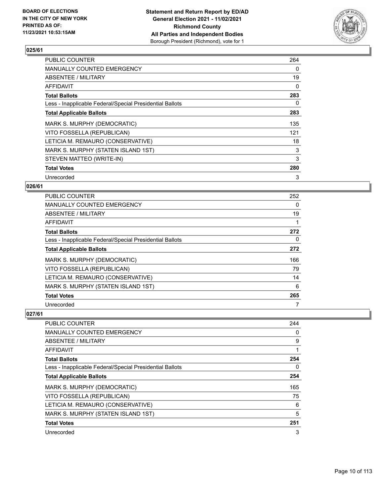

| <b>PUBLIC COUNTER</b>                                    | 264 |
|----------------------------------------------------------|-----|
| <b>MANUALLY COUNTED EMERGENCY</b>                        | 0   |
| ABSENTEE / MILITARY                                      | 19  |
| <b>AFFIDAVIT</b>                                         | 0   |
| <b>Total Ballots</b>                                     | 283 |
| Less - Inapplicable Federal/Special Presidential Ballots | 0   |
| <b>Total Applicable Ballots</b>                          | 283 |
| MARK S. MURPHY (DEMOCRATIC)                              | 135 |
| VITO FOSSELLA (REPUBLICAN)                               | 121 |
| LETICIA M. REMAURO (CONSERVATIVE)                        | 18  |
| MARK S. MURPHY (STATEN ISLAND 1ST)                       | 3   |
| STEVEN MATTEO (WRITE-IN)                                 | 3   |
| <b>Total Votes</b>                                       | 280 |
| Unrecorded                                               | 3   |

## **026/61**

| PUBLIC COUNTER                                           | 252      |
|----------------------------------------------------------|----------|
| <b>MANUALLY COUNTED EMERGENCY</b>                        | $\Omega$ |
| ABSENTEE / MILITARY                                      | 19       |
| AFFIDAVIT                                                | 1        |
| <b>Total Ballots</b>                                     | 272      |
| Less - Inapplicable Federal/Special Presidential Ballots | 0        |
| <b>Total Applicable Ballots</b>                          | 272      |
| MARK S. MURPHY (DEMOCRATIC)                              | 166      |
| VITO FOSSELLA (REPUBLICAN)                               | 79       |
| LETICIA M. REMAURO (CONSERVATIVE)                        | 14       |
| MARK S. MURPHY (STATEN ISLAND 1ST)                       | 6        |
| <b>Total Votes</b>                                       | 265      |
| Unrecorded                                               |          |

| <b>PUBLIC COUNTER</b>                                    | 244      |
|----------------------------------------------------------|----------|
| <b>MANUALLY COUNTED EMERGENCY</b>                        | $\Omega$ |
| ABSENTEE / MILITARY                                      | 9        |
| AFFIDAVIT                                                |          |
| <b>Total Ballots</b>                                     | 254      |
| Less - Inapplicable Federal/Special Presidential Ballots | $\Omega$ |
| <b>Total Applicable Ballots</b>                          | 254      |
| MARK S. MURPHY (DEMOCRATIC)                              | 165      |
| VITO FOSSELLA (REPUBLICAN)                               | 75       |
| LETICIA M. REMAURO (CONSERVATIVE)                        | 6        |
| MARK S. MURPHY (STATEN ISLAND 1ST)                       | 5        |
| <b>Total Votes</b>                                       | 251      |
| Unrecorded                                               | 3        |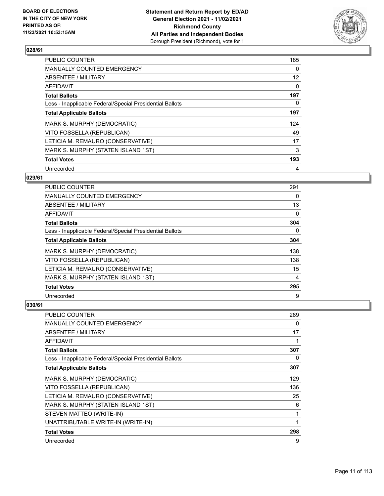

| <b>PUBLIC COUNTER</b>                                    | 185               |
|----------------------------------------------------------|-------------------|
| <b>MANUALLY COUNTED EMERGENCY</b>                        | 0                 |
| ABSENTEE / MILITARY                                      | $12 \overline{ }$ |
| AFFIDAVIT                                                | $\Omega$          |
| <b>Total Ballots</b>                                     | 197               |
| Less - Inapplicable Federal/Special Presidential Ballots | 0                 |
| <b>Total Applicable Ballots</b>                          | 197               |
| MARK S. MURPHY (DEMOCRATIC)                              | 124               |
| VITO FOSSELLA (REPUBLICAN)                               | 49                |
| LETICIA M. REMAURO (CONSERVATIVE)                        | 17                |
| MARK S. MURPHY (STATEN ISLAND 1ST)                       | 3                 |
| <b>Total Votes</b>                                       | 193               |
| Unrecorded                                               | 4                 |

## **029/61**

| <b>PUBLIC COUNTER</b>                                    | 291      |
|----------------------------------------------------------|----------|
| <b>MANUALLY COUNTED EMERGENCY</b>                        | 0        |
| ABSENTEE / MILITARY                                      | 13       |
| AFFIDAVIT                                                | $\Omega$ |
| <b>Total Ballots</b>                                     | 304      |
| Less - Inapplicable Federal/Special Presidential Ballots | $\Omega$ |
| <b>Total Applicable Ballots</b>                          | 304      |
| MARK S. MURPHY (DEMOCRATIC)                              | 138      |
| VITO FOSSELLA (REPUBLICAN)                               | 138      |
| LETICIA M. REMAURO (CONSERVATIVE)                        | 15       |
| MARK S. MURPHY (STATEN ISLAND 1ST)                       | 4        |
| <b>Total Votes</b>                                       | 295      |
| Unrecorded                                               | 9        |

| <b>PUBLIC COUNTER</b>                                    | 289 |
|----------------------------------------------------------|-----|
| <b>MANUALLY COUNTED EMERGENCY</b>                        | 0   |
| <b>ABSENTEE / MILITARY</b>                               | 17  |
| AFFIDAVIT                                                | 1   |
| <b>Total Ballots</b>                                     | 307 |
| Less - Inapplicable Federal/Special Presidential Ballots | 0   |
| <b>Total Applicable Ballots</b>                          | 307 |
| MARK S. MURPHY (DEMOCRATIC)                              | 129 |
| VITO FOSSELLA (REPUBLICAN)                               | 136 |
| LETICIA M. REMAURO (CONSERVATIVE)                        | 25  |
| MARK S. MURPHY (STATEN ISLAND 1ST)                       | 6   |
| STEVEN MATTEO (WRITE-IN)                                 | 1   |
| UNATTRIBUTABLE WRITE-IN (WRITE-IN)                       | 1   |
| <b>Total Votes</b>                                       | 298 |
| Unrecorded                                               | 9   |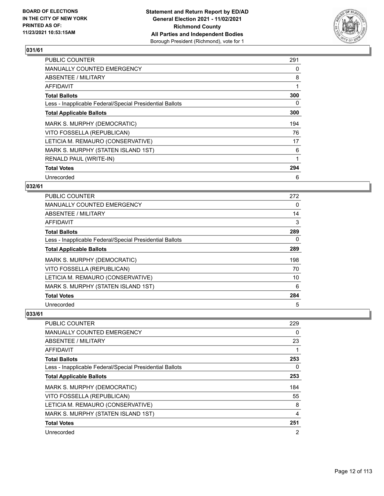

| <b>PUBLIC COUNTER</b>                                    | 291 |
|----------------------------------------------------------|-----|
| <b>MANUALLY COUNTED EMERGENCY</b>                        | 0   |
| ABSENTEE / MILITARY                                      | 8   |
| AFFIDAVIT                                                |     |
| <b>Total Ballots</b>                                     | 300 |
| Less - Inapplicable Federal/Special Presidential Ballots | 0   |
| <b>Total Applicable Ballots</b>                          | 300 |
| MARK S. MURPHY (DEMOCRATIC)                              | 194 |
| VITO FOSSELLA (REPUBLICAN)                               | 76  |
| LETICIA M. REMAURO (CONSERVATIVE)                        | 17  |
| MARK S. MURPHY (STATEN ISLAND 1ST)                       | 6   |
| RENALD PAUL (WRITE-IN)                                   |     |
| <b>Total Votes</b>                                       | 294 |
| Unrecorded                                               | 6   |

## **032/61**

| <b>PUBLIC COUNTER</b>                                    | 272 |
|----------------------------------------------------------|-----|
| <b>MANUALLY COUNTED EMERGENCY</b>                        | 0   |
| ABSENTEE / MILITARY                                      | 14  |
| AFFIDAVIT                                                | 3   |
| <b>Total Ballots</b>                                     | 289 |
| Less - Inapplicable Federal/Special Presidential Ballots | 0   |
| <b>Total Applicable Ballots</b>                          | 289 |
| MARK S. MURPHY (DEMOCRATIC)                              | 198 |
| VITO FOSSELLA (REPUBLICAN)                               | 70  |
| LETICIA M. REMAURO (CONSERVATIVE)                        | 10  |
| MARK S. MURPHY (STATEN ISLAND 1ST)                       | 6   |
| <b>Total Votes</b>                                       | 284 |
| Unrecorded                                               | 5   |

| <b>PUBLIC COUNTER</b>                                    | 229            |
|----------------------------------------------------------|----------------|
| <b>MANUALLY COUNTED EMERGENCY</b>                        | 0              |
| ABSENTEE / MILITARY                                      | 23             |
| AFFIDAVIT                                                |                |
| <b>Total Ballots</b>                                     | 253            |
| Less - Inapplicable Federal/Special Presidential Ballots | $\Omega$       |
| <b>Total Applicable Ballots</b>                          | 253            |
| MARK S. MURPHY (DEMOCRATIC)                              | 184            |
| VITO FOSSELLA (REPUBLICAN)                               | 55             |
| LETICIA M. REMAURO (CONSERVATIVE)                        | 8              |
| MARK S. MURPHY (STATEN ISLAND 1ST)                       | 4              |
| <b>Total Votes</b>                                       | 251            |
| Unrecorded                                               | $\overline{2}$ |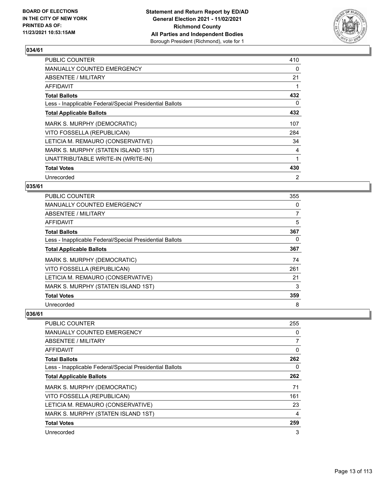

| <b>PUBLIC COUNTER</b>                                    | 410 |
|----------------------------------------------------------|-----|
| MANUALLY COUNTED EMERGENCY                               | 0   |
| ABSENTEE / MILITARY                                      | 21  |
| AFFIDAVIT                                                |     |
| <b>Total Ballots</b>                                     | 432 |
| Less - Inapplicable Federal/Special Presidential Ballots | 0   |
| <b>Total Applicable Ballots</b>                          | 432 |
| MARK S. MURPHY (DEMOCRATIC)                              | 107 |
| VITO FOSSELLA (REPUBLICAN)                               | 284 |
| LETICIA M. REMAURO (CONSERVATIVE)                        | 34  |
| MARK S. MURPHY (STATEN ISLAND 1ST)                       | 4   |
| UNATTRIBUTABLE WRITE-IN (WRITE-IN)                       |     |
| <b>Total Votes</b>                                       | 430 |
| Unrecorded                                               | 2   |

## **035/61**

| <b>PUBLIC COUNTER</b>                                    | 355 |
|----------------------------------------------------------|-----|
| <b>MANUALLY COUNTED EMERGENCY</b>                        | 0   |
| ABSENTEE / MILITARY                                      | 7   |
| AFFIDAVIT                                                | 5   |
| <b>Total Ballots</b>                                     | 367 |
| Less - Inapplicable Federal/Special Presidential Ballots | 0   |
| <b>Total Applicable Ballots</b>                          | 367 |
| MARK S. MURPHY (DEMOCRATIC)                              | 74  |
| VITO FOSSELLA (REPUBLICAN)                               | 261 |
| LETICIA M. REMAURO (CONSERVATIVE)                        | 21  |
| MARK S. MURPHY (STATEN ISLAND 1ST)                       | 3   |
| <b>Total Votes</b>                                       | 359 |
| Unrecorded                                               | 8   |

| <b>PUBLIC COUNTER</b>                                    | 255      |
|----------------------------------------------------------|----------|
| <b>MANUALLY COUNTED EMERGENCY</b>                        | $\Omega$ |
| ABSENTEE / MILITARY                                      | 7        |
| AFFIDAVIT                                                | 0        |
| <b>Total Ballots</b>                                     | 262      |
| Less - Inapplicable Federal/Special Presidential Ballots | $\Omega$ |
| <b>Total Applicable Ballots</b>                          | 262      |
| MARK S. MURPHY (DEMOCRATIC)                              | 71       |
| VITO FOSSELLA (REPUBLICAN)                               | 161      |
| LETICIA M. REMAURO (CONSERVATIVE)                        | 23       |
| MARK S. MURPHY (STATEN ISLAND 1ST)                       | 4        |
| <b>Total Votes</b>                                       | 259      |
| Unrecorded                                               | 3        |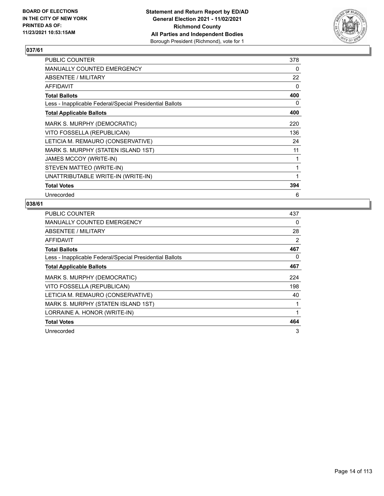

| PUBLIC COUNTER                                           | 378 |
|----------------------------------------------------------|-----|
| <b>MANUALLY COUNTED EMERGENCY</b>                        | 0   |
| <b>ABSENTEE / MILITARY</b>                               | 22  |
| <b>AFFIDAVIT</b>                                         | 0   |
| <b>Total Ballots</b>                                     | 400 |
| Less - Inapplicable Federal/Special Presidential Ballots | 0   |
| <b>Total Applicable Ballots</b>                          | 400 |
| MARK S. MURPHY (DEMOCRATIC)                              | 220 |
| VITO FOSSELLA (REPUBLICAN)                               | 136 |
| LETICIA M. REMAURO (CONSERVATIVE)                        | 24  |
| MARK S. MURPHY (STATEN ISLAND 1ST)                       | 11  |
| JAMES MCCOY (WRITE-IN)                                   | 1   |
| STEVEN MATTEO (WRITE-IN)                                 | 1   |
| UNATTRIBUTABLE WRITE-IN (WRITE-IN)                       | 1   |
| <b>Total Votes</b>                                       | 394 |
| Unrecorded                                               | 6   |

| <b>PUBLIC COUNTER</b>                                    | 437 |
|----------------------------------------------------------|-----|
| <b>MANUALLY COUNTED EMERGENCY</b>                        | 0   |
| ABSENTEE / MILITARY                                      | 28  |
| AFFIDAVIT                                                | 2   |
| <b>Total Ballots</b>                                     | 467 |
| Less - Inapplicable Federal/Special Presidential Ballots | 0   |
| <b>Total Applicable Ballots</b>                          | 467 |
| MARK S. MURPHY (DEMOCRATIC)                              | 224 |
| VITO FOSSELLA (REPUBLICAN)                               | 198 |
| LETICIA M. REMAURO (CONSERVATIVE)                        | 40  |
| MARK S. MURPHY (STATEN ISLAND 1ST)                       | 1   |
| LORRAINE A. HONOR (WRITE-IN)                             | 1   |
| <b>Total Votes</b>                                       | 464 |
| Unrecorded                                               | 3   |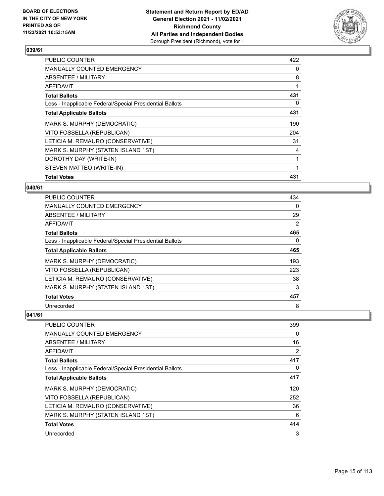

| <b>PUBLIC COUNTER</b>                                    | 422 |
|----------------------------------------------------------|-----|
| <b>MANUALLY COUNTED EMERGENCY</b>                        | 0   |
| ABSENTEE / MILITARY                                      | 8   |
| AFFIDAVIT                                                |     |
| <b>Total Ballots</b>                                     | 431 |
| Less - Inapplicable Federal/Special Presidential Ballots | 0   |
| <b>Total Applicable Ballots</b>                          | 431 |
| MARK S. MURPHY (DEMOCRATIC)                              | 190 |
| VITO FOSSELLA (REPUBLICAN)                               | 204 |
| LETICIA M. REMAURO (CONSERVATIVE)                        | 31  |
| MARK S. MURPHY (STATEN ISLAND 1ST)                       | 4   |
| DOROTHY DAY (WRITE-IN)                                   | 1   |
| STEVEN MATTEO (WRITE-IN)                                 |     |
| <b>Total Votes</b>                                       | 431 |

#### **040/61**

| PUBLIC COUNTER                                           | 434            |
|----------------------------------------------------------|----------------|
| <b>MANUALLY COUNTED EMERGENCY</b>                        | $\Omega$       |
| ABSENTEE / MILITARY                                      | 29             |
| AFFIDAVIT                                                | $\overline{2}$ |
| <b>Total Ballots</b>                                     | 465            |
| Less - Inapplicable Federal/Special Presidential Ballots | 0              |
| <b>Total Applicable Ballots</b>                          | 465            |
| MARK S. MURPHY (DEMOCRATIC)                              | 193            |
| VITO FOSSELLA (REPUBLICAN)                               | 223            |
| LETICIA M. REMAURO (CONSERVATIVE)                        | 38             |
| MARK S. MURPHY (STATEN ISLAND 1ST)                       | 3              |
| <b>Total Votes</b>                                       | 457            |
| Unrecorded                                               | 8              |

| <b>PUBLIC COUNTER</b>                                    | 399      |
|----------------------------------------------------------|----------|
| MANUALLY COUNTED EMERGENCY                               | $\Omega$ |
| ABSENTEE / MILITARY                                      | 16       |
| AFFIDAVIT                                                | 2        |
| <b>Total Ballots</b>                                     | 417      |
| Less - Inapplicable Federal/Special Presidential Ballots | $\Omega$ |
| <b>Total Applicable Ballots</b>                          | 417      |
| MARK S. MURPHY (DEMOCRATIC)                              | 120      |
| VITO FOSSELLA (REPUBLICAN)                               | 252      |
| LETICIA M. REMAURO (CONSERVATIVE)                        | 36       |
| MARK S. MURPHY (STATEN ISLAND 1ST)                       | 6        |
| <b>Total Votes</b>                                       | 414      |
| Unrecorded                                               | 3        |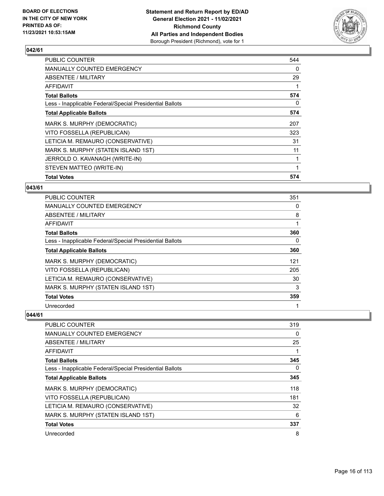

| <b>PUBLIC COUNTER</b>                                    | 544 |
|----------------------------------------------------------|-----|
| <b>MANUALLY COUNTED EMERGENCY</b>                        | 0   |
| ABSENTEE / MILITARY                                      | 29  |
| AFFIDAVIT                                                |     |
| <b>Total Ballots</b>                                     | 574 |
| Less - Inapplicable Federal/Special Presidential Ballots | 0   |
| <b>Total Applicable Ballots</b>                          | 574 |
| MARK S. MURPHY (DEMOCRATIC)                              | 207 |
| VITO FOSSELLA (REPUBLICAN)                               | 323 |
| LETICIA M. REMAURO (CONSERVATIVE)                        | 31  |
| MARK S. MURPHY (STATEN ISLAND 1ST)                       | 11  |
| JERROLD O. KAVANAGH (WRITE-IN)                           |     |
| STEVEN MATTEO (WRITE-IN)                                 |     |
| <b>Total Votes</b>                                       | 574 |

#### **043/61**

| PUBLIC COUNTER                                           | 351      |
|----------------------------------------------------------|----------|
| <b>MANUALLY COUNTED EMERGENCY</b>                        | 0        |
| ABSENTEE / MILITARY                                      | 8        |
| AFFIDAVIT                                                |          |
| <b>Total Ballots</b>                                     | 360      |
| Less - Inapplicable Federal/Special Presidential Ballots | $\Omega$ |
| <b>Total Applicable Ballots</b>                          | 360      |
| MARK S. MURPHY (DEMOCRATIC)                              | 121      |
| VITO FOSSELLA (REPUBLICAN)                               | 205      |
| LETICIA M. REMAURO (CONSERVATIVE)                        | 30       |
| MARK S. MURPHY (STATEN ISLAND 1ST)                       | 3        |
| <b>Total Votes</b>                                       | 359      |
| Unrecorded                                               |          |

| <b>PUBLIC COUNTER</b>                                    | 319      |
|----------------------------------------------------------|----------|
| MANUALLY COUNTED EMERGENCY                               | $\Omega$ |
| ABSENTEE / MILITARY                                      | 25       |
| AFFIDAVIT                                                |          |
| <b>Total Ballots</b>                                     | 345      |
| Less - Inapplicable Federal/Special Presidential Ballots | $\Omega$ |
| <b>Total Applicable Ballots</b>                          | 345      |
| MARK S. MURPHY (DEMOCRATIC)                              | 118      |
| VITO FOSSELLA (REPUBLICAN)                               | 181      |
| LETICIA M. REMAURO (CONSERVATIVE)                        | 32       |
| MARK S. MURPHY (STATEN ISLAND 1ST)                       | 6        |
| <b>Total Votes</b>                                       | 337      |
| Unrecorded                                               | 8        |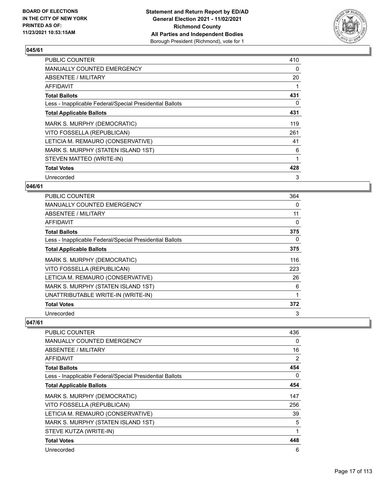

| <b>PUBLIC COUNTER</b>                                    | 410 |
|----------------------------------------------------------|-----|
| <b>MANUALLY COUNTED EMERGENCY</b>                        | 0   |
| ABSENTEE / MILITARY                                      | 20  |
| AFFIDAVIT                                                |     |
| <b>Total Ballots</b>                                     | 431 |
| Less - Inapplicable Federal/Special Presidential Ballots | 0   |
| <b>Total Applicable Ballots</b>                          | 431 |
| MARK S. MURPHY (DEMOCRATIC)                              | 119 |
| VITO FOSSELLA (REPUBLICAN)                               | 261 |
| LETICIA M. REMAURO (CONSERVATIVE)                        | 41  |
| MARK S. MURPHY (STATEN ISLAND 1ST)                       | 6   |
| STEVEN MATTEO (WRITE-IN)                                 | 1   |
| <b>Total Votes</b>                                       | 428 |
| Unrecorded                                               | 3   |

## **046/61**

| <b>PUBLIC COUNTER</b>                                    | 364 |
|----------------------------------------------------------|-----|
| <b>MANUALLY COUNTED EMERGENCY</b>                        | 0   |
| ABSENTEE / MILITARY                                      | 11  |
| AFFIDAVIT                                                | 0   |
| <b>Total Ballots</b>                                     | 375 |
| Less - Inapplicable Federal/Special Presidential Ballots | 0   |
| <b>Total Applicable Ballots</b>                          | 375 |
| MARK S. MURPHY (DEMOCRATIC)                              | 116 |
| VITO FOSSELLA (REPUBLICAN)                               | 223 |
| LETICIA M. REMAURO (CONSERVATIVE)                        | 26  |
| MARK S. MURPHY (STATEN ISLAND 1ST)                       | 6   |
| UNATTRIBUTABLE WRITE-IN (WRITE-IN)                       |     |
| <b>Total Votes</b>                                       | 372 |
| Unrecorded                                               | 3   |

| <b>PUBLIC COUNTER</b>                                    | 436      |
|----------------------------------------------------------|----------|
| <b>MANUALLY COUNTED EMERGENCY</b>                        | 0        |
| ABSENTEE / MILITARY                                      | 16       |
| AFFIDAVIT                                                | 2        |
| <b>Total Ballots</b>                                     | 454      |
| Less - Inapplicable Federal/Special Presidential Ballots | $\Omega$ |
| <b>Total Applicable Ballots</b>                          | 454      |
| MARK S. MURPHY (DEMOCRATIC)                              | 147      |
| VITO FOSSELLA (REPUBLICAN)                               | 256      |
| LETICIA M. REMAURO (CONSERVATIVE)                        | 39       |
| MARK S. MURPHY (STATEN ISLAND 1ST)                       | 5        |
| STEVE KUTZA (WRITE-IN)                                   | 1        |
| <b>Total Votes</b>                                       | 448      |
| Unrecorded                                               | 6        |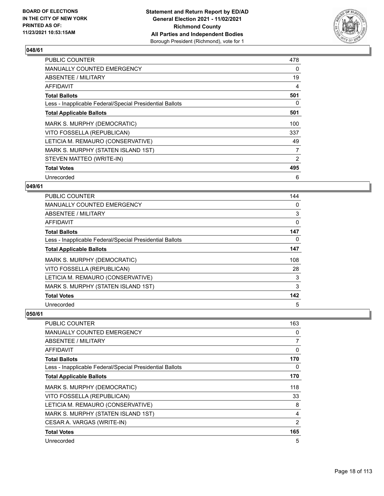

| <b>PUBLIC COUNTER</b>                                    | 478 |
|----------------------------------------------------------|-----|
| <b>MANUALLY COUNTED EMERGENCY</b>                        | 0   |
| ABSENTEE / MILITARY                                      | 19  |
| AFFIDAVIT                                                | 4   |
| <b>Total Ballots</b>                                     | 501 |
| Less - Inapplicable Federal/Special Presidential Ballots | 0   |
| <b>Total Applicable Ballots</b>                          | 501 |
| MARK S. MURPHY (DEMOCRATIC)                              | 100 |
| VITO FOSSELLA (REPUBLICAN)                               | 337 |
| LETICIA M. REMAURO (CONSERVATIVE)                        | 49  |
| MARK S. MURPHY (STATEN ISLAND 1ST)                       | 7   |
| STEVEN MATTEO (WRITE-IN)                                 | 2   |
| <b>Total Votes</b>                                       | 495 |
| Unrecorded                                               | 6   |

## **049/61**

| <b>PUBLIC COUNTER</b>                                    | 144 |
|----------------------------------------------------------|-----|
| <b>MANUALLY COUNTED EMERGENCY</b>                        | 0   |
| ABSENTEE / MILITARY                                      | 3   |
| AFFIDAVIT                                                | 0   |
| <b>Total Ballots</b>                                     | 147 |
| Less - Inapplicable Federal/Special Presidential Ballots | 0   |
| <b>Total Applicable Ballots</b>                          | 147 |
| MARK S. MURPHY (DEMOCRATIC)                              | 108 |
| VITO FOSSELLA (REPUBLICAN)                               | 28  |
| LETICIA M. REMAURO (CONSERVATIVE)                        | 3   |
| MARK S. MURPHY (STATEN ISLAND 1ST)                       | 3   |
| <b>Total Votes</b>                                       | 142 |
| Unrecorded                                               | 5   |

| PUBLIC COUNTER                                           | 163 |
|----------------------------------------------------------|-----|
| <b>MANUALLY COUNTED EMERGENCY</b>                        | 0   |
| ABSENTEE / MILITARY                                      | 7   |
| AFFIDAVIT                                                | 0   |
| <b>Total Ballots</b>                                     | 170 |
| Less - Inapplicable Federal/Special Presidential Ballots | 0   |
| <b>Total Applicable Ballots</b>                          | 170 |
| MARK S. MURPHY (DEMOCRATIC)                              | 118 |
| VITO FOSSELLA (REPUBLICAN)                               | 33  |
| LETICIA M. REMAURO (CONSERVATIVE)                        | 8   |
| MARK S. MURPHY (STATEN ISLAND 1ST)                       | 4   |
| CESAR A. VARGAS (WRITE-IN)                               | 2   |
| <b>Total Votes</b>                                       | 165 |
| Unrecorded                                               | 5   |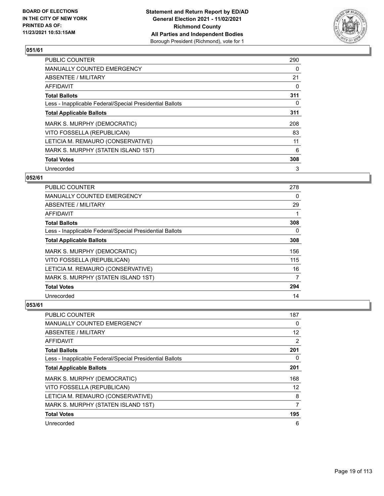

| <b>PUBLIC COUNTER</b>                                    | 290 |
|----------------------------------------------------------|-----|
| MANUALLY COUNTED EMERGENCY                               | 0   |
| ABSENTEE / MILITARY                                      | 21  |
| AFFIDAVIT                                                | 0   |
| <b>Total Ballots</b>                                     | 311 |
| Less - Inapplicable Federal/Special Presidential Ballots | 0   |
| <b>Total Applicable Ballots</b>                          | 311 |
| MARK S. MURPHY (DEMOCRATIC)                              | 208 |
| VITO FOSSELLA (REPUBLICAN)                               | 83  |
| LETICIA M. REMAURO (CONSERVATIVE)                        | 11  |
| MARK S. MURPHY (STATEN ISLAND 1ST)                       | 6   |
| <b>Total Votes</b>                                       | 308 |
| Unrecorded                                               | 3   |

## **052/61**

| <b>PUBLIC COUNTER</b>                                    | 278 |
|----------------------------------------------------------|-----|
| <b>MANUALLY COUNTED EMERGENCY</b>                        | 0   |
| ABSENTEE / MILITARY                                      | 29  |
| AFFIDAVIT                                                |     |
| <b>Total Ballots</b>                                     | 308 |
| Less - Inapplicable Federal/Special Presidential Ballots | 0   |
| <b>Total Applicable Ballots</b>                          | 308 |
| MARK S. MURPHY (DEMOCRATIC)                              | 156 |
| VITO FOSSELLA (REPUBLICAN)                               | 115 |
| LETICIA M. REMAURO (CONSERVATIVE)                        | 16  |
| MARK S. MURPHY (STATEN ISLAND 1ST)                       | 7   |
| <b>Total Votes</b>                                       | 294 |
| Unrecorded                                               | 14  |

| PUBLIC COUNTER                                           | 187      |
|----------------------------------------------------------|----------|
| <b>MANUALLY COUNTED EMERGENCY</b>                        | $\Omega$ |
| ABSENTEE / MILITARY                                      | 12       |
| AFFIDAVIT                                                | 2        |
| <b>Total Ballots</b>                                     | 201      |
| Less - Inapplicable Federal/Special Presidential Ballots | 0        |
| <b>Total Applicable Ballots</b>                          | 201      |
| MARK S. MURPHY (DEMOCRATIC)                              | 168      |
| VITO FOSSELLA (REPUBLICAN)                               | 12       |
| LETICIA M. REMAURO (CONSERVATIVE)                        | 8        |
| MARK S. MURPHY (STATEN ISLAND 1ST)                       | 7        |
| <b>Total Votes</b>                                       | 195      |
| Unrecorded                                               | 6        |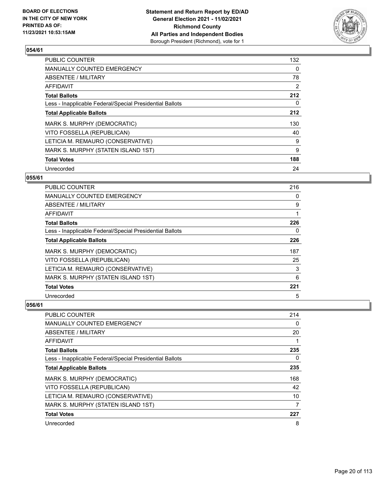

| <b>PUBLIC COUNTER</b>                                    | 132      |
|----------------------------------------------------------|----------|
| MANUALLY COUNTED EMERGENCY                               | $\Omega$ |
| ABSENTEE / MILITARY                                      | 78       |
| <b>AFFIDAVIT</b>                                         | 2        |
| <b>Total Ballots</b>                                     | 212      |
| Less - Inapplicable Federal/Special Presidential Ballots | 0        |
| <b>Total Applicable Ballots</b>                          | 212      |
| MARK S. MURPHY (DEMOCRATIC)                              | 130      |
| VITO FOSSELLA (REPUBLICAN)                               | 40       |
| LETICIA M. REMAURO (CONSERVATIVE)                        | 9        |
| MARK S. MURPHY (STATEN ISLAND 1ST)                       | 9        |
| <b>Total Votes</b>                                       | 188      |
| Unrecorded                                               | 24       |

## **055/61**

| PUBLIC COUNTER                                           | 216 |
|----------------------------------------------------------|-----|
| <b>MANUALLY COUNTED EMERGENCY</b>                        | 0   |
| ABSENTEE / MILITARY                                      | 9   |
| AFFIDAVIT                                                |     |
| <b>Total Ballots</b>                                     | 226 |
| Less - Inapplicable Federal/Special Presidential Ballots | 0   |
| <b>Total Applicable Ballots</b>                          | 226 |
| MARK S. MURPHY (DEMOCRATIC)                              | 187 |
| VITO FOSSELLA (REPUBLICAN)                               | 25  |
| LETICIA M. REMAURO (CONSERVATIVE)                        | 3   |
| MARK S. MURPHY (STATEN ISLAND 1ST)                       | 6   |
| <b>Total Votes</b>                                       | 221 |
| Unrecorded                                               | 5   |

| <b>PUBLIC COUNTER</b>                                    | 214 |
|----------------------------------------------------------|-----|
| <b>MANUALLY COUNTED EMERGENCY</b>                        | 0   |
| ABSENTEE / MILITARY                                      | 20  |
| AFFIDAVIT                                                | 1   |
| <b>Total Ballots</b>                                     | 235 |
| Less - Inapplicable Federal/Special Presidential Ballots | 0   |
| <b>Total Applicable Ballots</b>                          | 235 |
| MARK S. MURPHY (DEMOCRATIC)                              | 168 |
| VITO FOSSELLA (REPUBLICAN)                               | 42  |
| LETICIA M. REMAURO (CONSERVATIVE)                        | 10  |
| MARK S. MURPHY (STATEN ISLAND 1ST)                       | 7   |
| <b>Total Votes</b>                                       | 227 |
| Unrecorded                                               | 8   |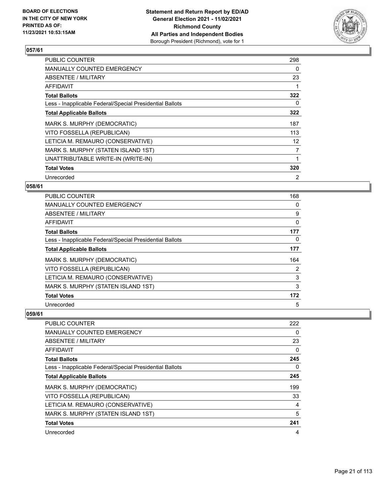

| <b>PUBLIC COUNTER</b>                                    | 298            |
|----------------------------------------------------------|----------------|
| <b>MANUALLY COUNTED EMERGENCY</b>                        | 0              |
| ABSENTEE / MILITARY                                      | 23             |
| AFFIDAVIT                                                |                |
| <b>Total Ballots</b>                                     | 322            |
| Less - Inapplicable Federal/Special Presidential Ballots | 0              |
| <b>Total Applicable Ballots</b>                          | 322            |
| MARK S. MURPHY (DEMOCRATIC)                              | 187            |
| VITO FOSSELLA (REPUBLICAN)                               | 113            |
| LETICIA M. REMAURO (CONSERVATIVE)                        | 12             |
| MARK S. MURPHY (STATEN ISLAND 1ST)                       | 7              |
| UNATTRIBUTABLE WRITE-IN (WRITE-IN)                       |                |
| <b>Total Votes</b>                                       | 320            |
| Unrecorded                                               | $\overline{2}$ |

## **058/61**

| <b>PUBLIC COUNTER</b>                                    | 168      |
|----------------------------------------------------------|----------|
| <b>MANUALLY COUNTED EMERGENCY</b>                        | 0        |
| ABSENTEE / MILITARY                                      | 9        |
| AFFIDAVIT                                                | 0        |
| <b>Total Ballots</b>                                     | 177      |
| Less - Inapplicable Federal/Special Presidential Ballots | $\Omega$ |
| <b>Total Applicable Ballots</b>                          | 177      |
| MARK S. MURPHY (DEMOCRATIC)                              | 164      |
| VITO FOSSELLA (REPUBLICAN)                               | 2        |
| LETICIA M. REMAURO (CONSERVATIVE)                        | 3        |
| MARK S. MURPHY (STATEN ISLAND 1ST)                       | 3        |
| <b>Total Votes</b>                                       | 172      |
| Unrecorded                                               | 5        |

| PUBLIC COUNTER                                           | 222      |
|----------------------------------------------------------|----------|
| MANUALLY COUNTED EMERGENCY                               | $\Omega$ |
| ABSENTEE / MILITARY                                      | 23       |
| AFFIDAVIT                                                | 0        |
| <b>Total Ballots</b>                                     | 245      |
| Less - Inapplicable Federal/Special Presidential Ballots | $\Omega$ |
| <b>Total Applicable Ballots</b>                          | 245      |
| MARK S. MURPHY (DEMOCRATIC)                              | 199      |
| VITO FOSSELLA (REPUBLICAN)                               | 33       |
| LETICIA M. REMAURO (CONSERVATIVE)                        | 4        |
| MARK S. MURPHY (STATEN ISLAND 1ST)                       | 5        |
| <b>Total Votes</b>                                       | 241      |
| Unrecorded                                               | 4        |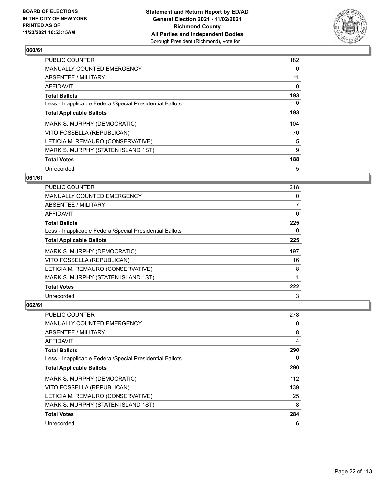

| <b>PUBLIC COUNTER</b>                                    | 182 |
|----------------------------------------------------------|-----|
| <b>MANUALLY COUNTED EMERGENCY</b>                        | 0   |
| <b>ABSENTEE / MILITARY</b>                               | 11  |
| <b>AFFIDAVIT</b>                                         | 0   |
| <b>Total Ballots</b>                                     | 193 |
| Less - Inapplicable Federal/Special Presidential Ballots | 0   |
| <b>Total Applicable Ballots</b>                          | 193 |
| MARK S. MURPHY (DEMOCRATIC)                              | 104 |
| VITO FOSSELLA (REPUBLICAN)                               | 70  |
| LETICIA M. REMAURO (CONSERVATIVE)                        | 5   |
| MARK S. MURPHY (STATEN ISLAND 1ST)                       | 9   |
| <b>Total Votes</b>                                       | 188 |
| Unrecorded                                               | 5   |

## **061/61**

| PUBLIC COUNTER                                           | 218 |
|----------------------------------------------------------|-----|
| <b>MANUALLY COUNTED EMERGENCY</b>                        | 0   |
| ABSENTEE / MILITARY                                      | 7   |
| AFFIDAVIT                                                | 0   |
| <b>Total Ballots</b>                                     | 225 |
| Less - Inapplicable Federal/Special Presidential Ballots | 0   |
| <b>Total Applicable Ballots</b>                          | 225 |
| MARK S. MURPHY (DEMOCRATIC)                              | 197 |
| VITO FOSSELLA (REPUBLICAN)                               | 16  |
| LETICIA M. REMAURO (CONSERVATIVE)                        | 8   |
| MARK S. MURPHY (STATEN ISLAND 1ST)                       | 1   |
| <b>Total Votes</b>                                       | 222 |
| Unrecorded                                               | 3   |

| <b>PUBLIC COUNTER</b>                                    | 278      |
|----------------------------------------------------------|----------|
| <b>MANUALLY COUNTED EMERGENCY</b>                        | 0        |
| ABSENTEE / MILITARY                                      | 8        |
| AFFIDAVIT                                                | 4        |
| <b>Total Ballots</b>                                     | 290      |
| Less - Inapplicable Federal/Special Presidential Ballots | $\Omega$ |
| <b>Total Applicable Ballots</b>                          | 290      |
| MARK S. MURPHY (DEMOCRATIC)                              | 112      |
| VITO FOSSELLA (REPUBLICAN)                               | 139      |
| LETICIA M. REMAURO (CONSERVATIVE)                        | 25       |
| MARK S. MURPHY (STATEN ISLAND 1ST)                       | 8        |
| <b>Total Votes</b>                                       | 284      |
| Unrecorded                                               | 6        |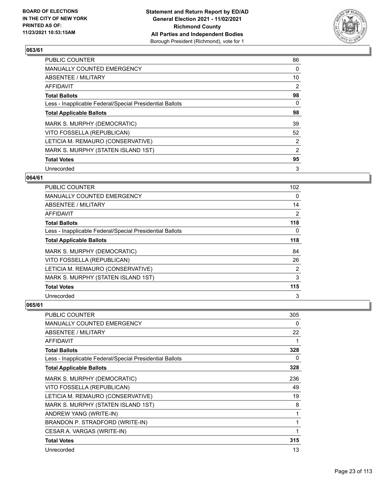

| <b>PUBLIC COUNTER</b>                                    | 86             |
|----------------------------------------------------------|----------------|
| <b>MANUALLY COUNTED EMERGENCY</b>                        | 0              |
| <b>ABSENTEE / MILITARY</b>                               | 10             |
| <b>AFFIDAVIT</b>                                         | 2              |
| <b>Total Ballots</b>                                     | 98             |
| Less - Inapplicable Federal/Special Presidential Ballots | 0              |
| <b>Total Applicable Ballots</b>                          | 98             |
| MARK S. MURPHY (DEMOCRATIC)                              | 39             |
| VITO FOSSELLA (REPUBLICAN)                               | 52             |
| LETICIA M. REMAURO (CONSERVATIVE)                        | $\overline{2}$ |
| MARK S. MURPHY (STATEN ISLAND 1ST)                       | $\overline{2}$ |
| <b>Total Votes</b>                                       | 95             |
| Unrecorded                                               | 3              |

## **064/61**

| PUBLIC COUNTER                                           | 102 <sub>2</sub> |
|----------------------------------------------------------|------------------|
| MANUALLY COUNTED EMERGENCY                               | 0                |
| ABSENTEE / MILITARY                                      | 14               |
| AFFIDAVIT                                                | 2                |
| <b>Total Ballots</b>                                     | 118              |
| Less - Inapplicable Federal/Special Presidential Ballots | 0                |
| <b>Total Applicable Ballots</b>                          | 118              |
| MARK S. MURPHY (DEMOCRATIC)                              | 84               |
| VITO FOSSELLA (REPUBLICAN)                               | 26               |
| LETICIA M. REMAURO (CONSERVATIVE)                        | 2                |
| MARK S. MURPHY (STATEN ISLAND 1ST)                       | 3                |
| <b>Total Votes</b>                                       | 115              |
| Unrecorded                                               | 3                |

| <b>PUBLIC COUNTER</b>                                    | 305 |
|----------------------------------------------------------|-----|
| <b>MANUALLY COUNTED EMERGENCY</b>                        | 0   |
| ABSENTEE / MILITARY                                      | 22  |
| <b>AFFIDAVIT</b>                                         |     |
| <b>Total Ballots</b>                                     | 328 |
| Less - Inapplicable Federal/Special Presidential Ballots | 0   |
| <b>Total Applicable Ballots</b>                          | 328 |
| MARK S. MURPHY (DEMOCRATIC)                              | 236 |
| VITO FOSSELLA (REPUBLICAN)                               | 49  |
| LETICIA M. REMAURO (CONSERVATIVE)                        | 19  |
| MARK S. MURPHY (STATEN ISLAND 1ST)                       | 8   |
| ANDREW YANG (WRITE-IN)                                   | 1   |
| BRANDON P. STRADFORD (WRITE-IN)                          | 1   |
| CESAR A. VARGAS (WRITE-IN)                               | 1   |
| <b>Total Votes</b>                                       | 315 |
| Unrecorded                                               | 13  |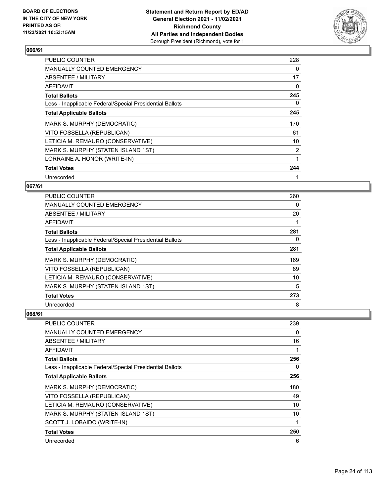

| <b>PUBLIC COUNTER</b>                                    | 228            |
|----------------------------------------------------------|----------------|
| <b>MANUALLY COUNTED EMERGENCY</b>                        | 0              |
| ABSENTEE / MILITARY                                      | 17             |
| AFFIDAVIT                                                | 0              |
| <b>Total Ballots</b>                                     | 245            |
| Less - Inapplicable Federal/Special Presidential Ballots | 0              |
| <b>Total Applicable Ballots</b>                          | 245            |
| MARK S. MURPHY (DEMOCRATIC)                              | 170            |
| VITO FOSSELLA (REPUBLICAN)                               | 61             |
| LETICIA M. REMAURO (CONSERVATIVE)                        | 10             |
| MARK S. MURPHY (STATEN ISLAND 1ST)                       | $\overline{2}$ |
| LORRAINE A. HONOR (WRITE-IN)                             | 1              |
| <b>Total Votes</b>                                       | 244            |
| Unrecorded                                               |                |

## **067/61**

| <b>PUBLIC COUNTER</b>                                    | 260 |
|----------------------------------------------------------|-----|
| MANUALLY COUNTED EMERGENCY                               | 0   |
| <b>ABSENTEE / MILITARY</b>                               | 20  |
| AFFIDAVIT                                                |     |
| <b>Total Ballots</b>                                     | 281 |
| Less - Inapplicable Federal/Special Presidential Ballots | 0   |
| <b>Total Applicable Ballots</b>                          | 281 |
| MARK S. MURPHY (DEMOCRATIC)                              | 169 |
| VITO FOSSELLA (REPUBLICAN)                               | 89  |
| LETICIA M. REMAURO (CONSERVATIVE)                        | 10  |
| MARK S. MURPHY (STATEN ISLAND 1ST)                       | 5   |
| <b>Total Votes</b>                                       | 273 |
| Unrecorded                                               | 8   |

| PUBLIC COUNTER                                           | 239 |
|----------------------------------------------------------|-----|
| <b>MANUALLY COUNTED EMERGENCY</b>                        | 0   |
| ABSENTEE / MILITARY                                      | 16  |
| <b>AFFIDAVIT</b>                                         |     |
| <b>Total Ballots</b>                                     | 256 |
| Less - Inapplicable Federal/Special Presidential Ballots | 0   |
| <b>Total Applicable Ballots</b>                          | 256 |
| MARK S. MURPHY (DEMOCRATIC)                              | 180 |
| VITO FOSSELLA (REPUBLICAN)                               | 49  |
| LETICIA M. REMAURO (CONSERVATIVE)                        | 10  |
| MARK S. MURPHY (STATEN ISLAND 1ST)                       | 10  |
| SCOTT J. LOBAIDO (WRITE-IN)                              |     |
| <b>Total Votes</b>                                       | 250 |
| Unrecorded                                               | 6   |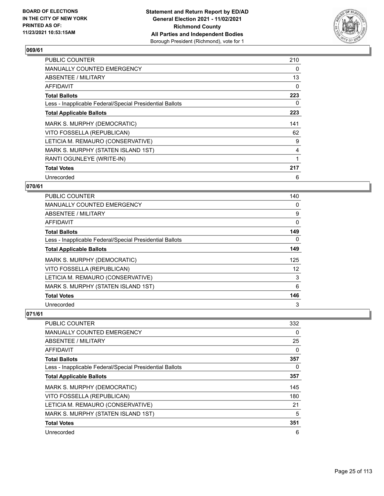

| <b>PUBLIC COUNTER</b>                                    | 210 |
|----------------------------------------------------------|-----|
| <b>MANUALLY COUNTED EMERGENCY</b>                        | 0   |
| ABSENTEE / MILITARY                                      | 13  |
| <b>AFFIDAVIT</b>                                         | 0   |
| <b>Total Ballots</b>                                     | 223 |
| Less - Inapplicable Federal/Special Presidential Ballots | 0   |
| <b>Total Applicable Ballots</b>                          | 223 |
| MARK S. MURPHY (DEMOCRATIC)                              | 141 |
| VITO FOSSELLA (REPUBLICAN)                               | 62  |
| LETICIA M. REMAURO (CONSERVATIVE)                        | 9   |
| MARK S. MURPHY (STATEN ISLAND 1ST)                       | 4   |
| RANTI OGUNLEYE (WRITE-IN)                                |     |
| <b>Total Votes</b>                                       | 217 |
| Unrecorded                                               | 6   |

## **070/61**

| <b>PUBLIC COUNTER</b>                                    | 140 |
|----------------------------------------------------------|-----|
| <b>MANUALLY COUNTED EMERGENCY</b>                        | 0   |
| ABSENTEE / MILITARY                                      | 9   |
| AFFIDAVIT                                                | 0   |
| <b>Total Ballots</b>                                     | 149 |
| Less - Inapplicable Federal/Special Presidential Ballots | 0   |
| <b>Total Applicable Ballots</b>                          | 149 |
| MARK S. MURPHY (DEMOCRATIC)                              | 125 |
| VITO FOSSELLA (REPUBLICAN)                               | 12  |
| LETICIA M. REMAURO (CONSERVATIVE)                        | 3   |
| MARK S. MURPHY (STATEN ISLAND 1ST)                       | 6   |
| <b>Total Votes</b>                                       | 146 |
| Unrecorded                                               | 3   |

| <b>PUBLIC COUNTER</b>                                    | 332      |
|----------------------------------------------------------|----------|
| <b>MANUALLY COUNTED EMERGENCY</b>                        | $\Omega$ |
| ABSENTEE / MILITARY                                      | 25       |
| AFFIDAVIT                                                | 0        |
| <b>Total Ballots</b>                                     | 357      |
| Less - Inapplicable Federal/Special Presidential Ballots | $\Omega$ |
| <b>Total Applicable Ballots</b>                          | 357      |
| MARK S. MURPHY (DEMOCRATIC)                              | 145      |
| VITO FOSSELLA (REPUBLICAN)                               | 180      |
| LETICIA M. REMAURO (CONSERVATIVE)                        | 21       |
| MARK S. MURPHY (STATEN ISLAND 1ST)                       | 5        |
| <b>Total Votes</b>                                       | 351      |
| Unrecorded                                               | 6        |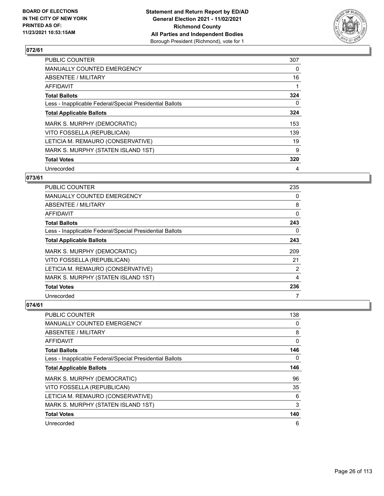

| <b>PUBLIC COUNTER</b>                                    | 307 |
|----------------------------------------------------------|-----|
| MANUALLY COUNTED EMERGENCY                               | 0   |
| ABSENTEE / MILITARY                                      | 16  |
| <b>AFFIDAVIT</b>                                         |     |
| <b>Total Ballots</b>                                     | 324 |
| Less - Inapplicable Federal/Special Presidential Ballots | 0   |
| <b>Total Applicable Ballots</b>                          | 324 |
| MARK S. MURPHY (DEMOCRATIC)                              | 153 |
| VITO FOSSELLA (REPUBLICAN)                               | 139 |
| LETICIA M. REMAURO (CONSERVATIVE)                        | 19  |
| MARK S. MURPHY (STATEN ISLAND 1ST)                       | 9   |
| <b>Total Votes</b>                                       | 320 |
| Unrecorded                                               | 4   |

## **073/61**

| PUBLIC COUNTER                                           | 235      |
|----------------------------------------------------------|----------|
| <b>MANUALLY COUNTED EMERGENCY</b>                        | $\Omega$ |
| ABSENTEE / MILITARY                                      | 8        |
| <b>AFFIDAVIT</b>                                         | 0        |
| <b>Total Ballots</b>                                     | 243      |
| Less - Inapplicable Federal/Special Presidential Ballots | 0        |
| <b>Total Applicable Ballots</b>                          | 243      |
| MARK S. MURPHY (DEMOCRATIC)                              | 209      |
| VITO FOSSELLA (REPUBLICAN)                               | 21       |
| LETICIA M. REMAURO (CONSERVATIVE)                        | 2        |
| MARK S. MURPHY (STATEN ISLAND 1ST)                       | 4        |
| <b>Total Votes</b>                                       | 236      |
| Unrecorded                                               |          |

| PUBLIC COUNTER                                           | 138 |
|----------------------------------------------------------|-----|
| <b>MANUALLY COUNTED EMERGENCY</b>                        | 0   |
| ABSENTEE / MILITARY                                      | 8   |
| AFFIDAVIT                                                | 0   |
| <b>Total Ballots</b>                                     | 146 |
| Less - Inapplicable Federal/Special Presidential Ballots | 0   |
| <b>Total Applicable Ballots</b>                          | 146 |
| MARK S. MURPHY (DEMOCRATIC)                              | 96  |
| VITO FOSSELLA (REPUBLICAN)                               | 35  |
| LETICIA M. REMAURO (CONSERVATIVE)                        | 6   |
| MARK S. MURPHY (STATEN ISLAND 1ST)                       | 3   |
| <b>Total Votes</b>                                       | 140 |
| Unrecorded                                               | 6   |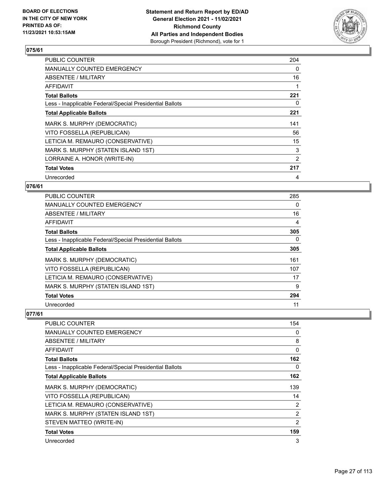

| <b>PUBLIC COUNTER</b>                                    | 204 |
|----------------------------------------------------------|-----|
| <b>MANUALLY COUNTED EMERGENCY</b>                        | 0   |
| ABSENTEE / MILITARY                                      | 16  |
| AFFIDAVIT                                                |     |
| <b>Total Ballots</b>                                     | 221 |
| Less - Inapplicable Federal/Special Presidential Ballots | 0   |
| <b>Total Applicable Ballots</b>                          | 221 |
| MARK S. MURPHY (DEMOCRATIC)                              | 141 |
| VITO FOSSELLA (REPUBLICAN)                               | 56  |
| LETICIA M. REMAURO (CONSERVATIVE)                        | 15  |
| MARK S. MURPHY (STATEN ISLAND 1ST)                       | 3   |
| LORRAINE A. HONOR (WRITE-IN)                             | 2   |
| <b>Total Votes</b>                                       | 217 |
| Unrecorded                                               | 4   |

## **076/61**

| <b>PUBLIC COUNTER</b>                                    | 285 |
|----------------------------------------------------------|-----|
| MANUALLY COUNTED EMERGENCY                               | 0   |
| ABSENTEE / MILITARY                                      | 16  |
| AFFIDAVIT                                                | 4   |
| <b>Total Ballots</b>                                     | 305 |
| Less - Inapplicable Federal/Special Presidential Ballots | 0   |
| <b>Total Applicable Ballots</b>                          | 305 |
| MARK S. MURPHY (DEMOCRATIC)                              | 161 |
| VITO FOSSELLA (REPUBLICAN)                               | 107 |
| LETICIA M. REMAURO (CONSERVATIVE)                        | 17  |
| MARK S. MURPHY (STATEN ISLAND 1ST)                       | 9   |
| <b>Total Votes</b>                                       | 294 |
| Unrecorded                                               | 11  |

| PUBLIC COUNTER                                           | 154            |
|----------------------------------------------------------|----------------|
| <b>MANUALLY COUNTED EMERGENCY</b>                        | 0              |
| ABSENTEE / MILITARY                                      | 8              |
| <b>AFFIDAVIT</b>                                         | 0              |
| <b>Total Ballots</b>                                     | 162            |
| Less - Inapplicable Federal/Special Presidential Ballots | 0              |
| <b>Total Applicable Ballots</b>                          | 162            |
| MARK S. MURPHY (DEMOCRATIC)                              | 139            |
| VITO FOSSELLA (REPUBLICAN)                               | 14             |
| LETICIA M. REMAURO (CONSERVATIVE)                        | 2              |
| MARK S. MURPHY (STATEN ISLAND 1ST)                       | $\overline{2}$ |
| STEVEN MATTEO (WRITE-IN)                                 | 2              |
| <b>Total Votes</b>                                       | 159            |
| Unrecorded                                               | 3              |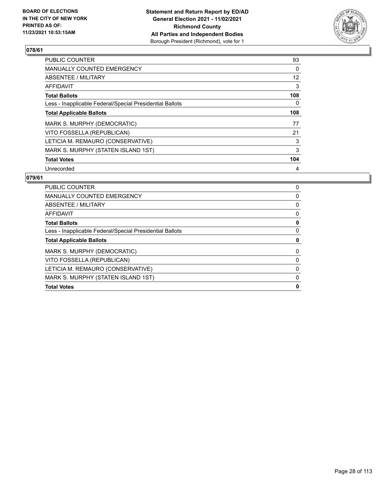

| <b>PUBLIC COUNTER</b>                                    | 93  |
|----------------------------------------------------------|-----|
| <b>MANUALLY COUNTED EMERGENCY</b>                        | 0   |
| ABSENTEE / MILITARY                                      | 12  |
| AFFIDAVIT                                                | 3   |
| <b>Total Ballots</b>                                     | 108 |
| Less - Inapplicable Federal/Special Presidential Ballots | 0   |
| <b>Total Applicable Ballots</b>                          | 108 |
| MARK S. MURPHY (DEMOCRATIC)                              | 77  |
| VITO FOSSELLA (REPUBLICAN)                               | 21  |
| LETICIA M. REMAURO (CONSERVATIVE)                        | 3   |
| MARK S. MURPHY (STATEN ISLAND 1ST)                       | 3   |
| <b>Total Votes</b>                                       | 104 |
| Unrecorded                                               | 4   |

| PUBLIC COUNTER                                           | 0 |
|----------------------------------------------------------|---|
| <b>MANUALLY COUNTED EMERGENCY</b>                        | 0 |
| ABSENTEE / MILITARY                                      | 0 |
| <b>AFFIDAVIT</b>                                         | 0 |
| <b>Total Ballots</b>                                     | 0 |
| Less - Inapplicable Federal/Special Presidential Ballots | 0 |
| <b>Total Applicable Ballots</b>                          | 0 |
| MARK S. MURPHY (DEMOCRATIC)                              | 0 |
| VITO FOSSELLA (REPUBLICAN)                               | 0 |
| LETICIA M. REMAURO (CONSERVATIVE)                        | 0 |
| MARK S. MURPHY (STATEN ISLAND 1ST)                       | 0 |
| <b>Total Votes</b>                                       | 0 |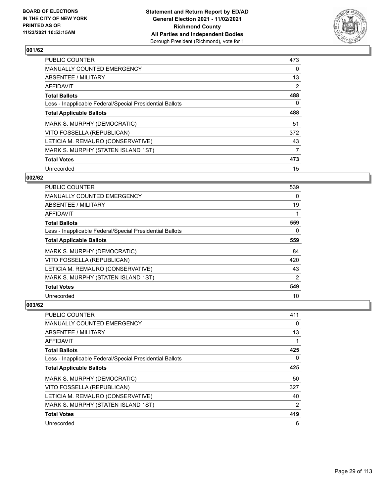

| PUBLIC COUNTER                                           | 473 |
|----------------------------------------------------------|-----|
| <b>MANUALLY COUNTED EMERGENCY</b>                        | 0   |
| ABSENTEE / MILITARY                                      | 13  |
| <b>AFFIDAVIT</b>                                         | 2   |
| <b>Total Ballots</b>                                     | 488 |
| Less - Inapplicable Federal/Special Presidential Ballots | 0   |
| <b>Total Applicable Ballots</b>                          | 488 |
| MARK S. MURPHY (DEMOCRATIC)                              | 51  |
| VITO FOSSELLA (REPUBLICAN)                               | 372 |
| LETICIA M. REMAURO (CONSERVATIVE)                        | 43  |
| MARK S. MURPHY (STATEN ISLAND 1ST)                       | 7   |
| <b>Total Votes</b>                                       | 473 |
| Unrecorded                                               | 15  |

## **002/62**

| <b>PUBLIC COUNTER</b>                                    | 539            |
|----------------------------------------------------------|----------------|
| <b>MANUALLY COUNTED EMERGENCY</b>                        | 0              |
| ABSENTEE / MILITARY                                      | 19             |
| AFFIDAVIT                                                |                |
| <b>Total Ballots</b>                                     | 559            |
| Less - Inapplicable Federal/Special Presidential Ballots | $\Omega$       |
| <b>Total Applicable Ballots</b>                          | 559            |
| MARK S. MURPHY (DEMOCRATIC)                              | 84             |
| VITO FOSSELLA (REPUBLICAN)                               | 420            |
| LETICIA M. REMAURO (CONSERVATIVE)                        | 43             |
| MARK S. MURPHY (STATEN ISLAND 1ST)                       | $\overline{2}$ |
| <b>Total Votes</b>                                       | 549            |
| Unrecorded                                               | 10             |

| <b>PUBLIC COUNTER</b>                                    | 411      |
|----------------------------------------------------------|----------|
| <b>MANUALLY COUNTED EMERGENCY</b>                        | 0        |
| ABSENTEE / MILITARY                                      | 13       |
| AFFIDAVIT                                                |          |
| <b>Total Ballots</b>                                     | 425      |
| Less - Inapplicable Federal/Special Presidential Ballots | $\Omega$ |
| <b>Total Applicable Ballots</b>                          | 425      |
| MARK S. MURPHY (DEMOCRATIC)                              | 50       |
| VITO FOSSELLA (REPUBLICAN)                               | 327      |
| LETICIA M. REMAURO (CONSERVATIVE)                        | 40       |
| MARK S. MURPHY (STATEN ISLAND 1ST)                       | 2        |
| <b>Total Votes</b>                                       | 419      |
| Unrecorded                                               | 6        |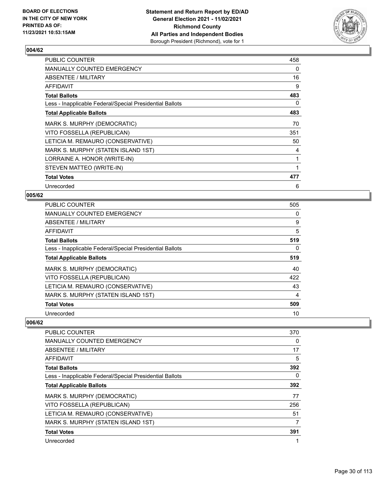

| PUBLIC COUNTER                                           | 458 |
|----------------------------------------------------------|-----|
| <b>MANUALLY COUNTED EMERGENCY</b>                        | 0   |
| ABSENTEE / MILITARY                                      | 16  |
| <b>AFFIDAVIT</b>                                         | 9   |
| <b>Total Ballots</b>                                     | 483 |
| Less - Inapplicable Federal/Special Presidential Ballots | 0   |
| <b>Total Applicable Ballots</b>                          | 483 |
| MARK S. MURPHY (DEMOCRATIC)                              | 70  |
| VITO FOSSELLA (REPUBLICAN)                               | 351 |
| LETICIA M. REMAURO (CONSERVATIVE)                        | 50  |
| MARK S. MURPHY (STATEN ISLAND 1ST)                       | 4   |
| LORRAINE A. HONOR (WRITE-IN)                             |     |
| STEVEN MATTEO (WRITE-IN)                                 | 1   |
| <b>Total Votes</b>                                       | 477 |
| Unrecorded                                               | 6   |

#### **005/62**

| <b>PUBLIC COUNTER</b>                                    | 505 |
|----------------------------------------------------------|-----|
| MANUALLY COUNTED EMERGENCY                               | 0   |
| ABSENTEE / MILITARY                                      | 9   |
| AFFIDAVIT                                                | 5   |
| <b>Total Ballots</b>                                     | 519 |
| Less - Inapplicable Federal/Special Presidential Ballots | 0   |
| <b>Total Applicable Ballots</b>                          | 519 |
| MARK S. MURPHY (DEMOCRATIC)                              | 40  |
| VITO FOSSELLA (REPUBLICAN)                               | 422 |
| LETICIA M. REMAURO (CONSERVATIVE)                        | 43  |
| MARK S. MURPHY (STATEN ISLAND 1ST)                       | 4   |
| <b>Total Votes</b>                                       | 509 |
| Unrecorded                                               | 10  |

| <b>PUBLIC COUNTER</b>                                    | 370      |
|----------------------------------------------------------|----------|
| <b>MANUALLY COUNTED EMERGENCY</b>                        | 0        |
| ABSENTEE / MILITARY                                      | 17       |
| AFFIDAVIT                                                | 5        |
| <b>Total Ballots</b>                                     | 392      |
| Less - Inapplicable Federal/Special Presidential Ballots | $\Omega$ |
| <b>Total Applicable Ballots</b>                          | 392      |
| MARK S. MURPHY (DEMOCRATIC)                              | 77       |
| VITO FOSSELLA (REPUBLICAN)                               | 256      |
| LETICIA M. REMAURO (CONSERVATIVE)                        | 51       |
| MARK S. MURPHY (STATEN ISLAND 1ST)                       | 7        |
| <b>Total Votes</b>                                       | 391      |
| Unrecorded                                               |          |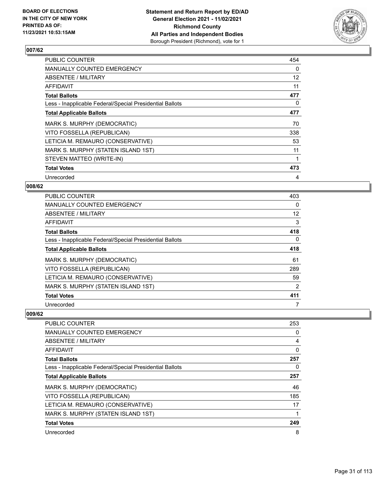

| <b>PUBLIC COUNTER</b>                                    | 454 |
|----------------------------------------------------------|-----|
| <b>MANUALLY COUNTED EMERGENCY</b>                        | 0   |
| ABSENTEE / MILITARY                                      | 12  |
| AFFIDAVIT                                                | 11  |
| <b>Total Ballots</b>                                     | 477 |
| Less - Inapplicable Federal/Special Presidential Ballots | 0   |
| <b>Total Applicable Ballots</b>                          | 477 |
| MARK S. MURPHY (DEMOCRATIC)                              | 70  |
| VITO FOSSELLA (REPUBLICAN)                               | 338 |
| LETICIA M. REMAURO (CONSERVATIVE)                        | 53  |
| MARK S. MURPHY (STATEN ISLAND 1ST)                       | 11  |
| STEVEN MATTEO (WRITE-IN)                                 |     |
| <b>Total Votes</b>                                       | 473 |
| Unrecorded                                               | 4   |

## **008/62**

| PUBLIC COUNTER                                           | 403            |
|----------------------------------------------------------|----------------|
| <b>MANUALLY COUNTED EMERGENCY</b>                        | $\Omega$       |
| ABSENTEE / MILITARY                                      | 12             |
| AFFIDAVIT                                                | 3              |
| <b>Total Ballots</b>                                     | 418            |
| Less - Inapplicable Federal/Special Presidential Ballots | 0              |
| <b>Total Applicable Ballots</b>                          | 418            |
| MARK S. MURPHY (DEMOCRATIC)                              | 61             |
| VITO FOSSELLA (REPUBLICAN)                               | 289            |
| LETICIA M. REMAURO (CONSERVATIVE)                        | 59             |
| MARK S. MURPHY (STATEN ISLAND 1ST)                       | $\overline{2}$ |
| <b>Total Votes</b>                                       | 411            |
| Unrecorded                                               | 7              |

| <b>PUBLIC COUNTER</b>                                    | 253      |
|----------------------------------------------------------|----------|
| <b>MANUALLY COUNTED EMERGENCY</b>                        | $\Omega$ |
| ABSENTEE / MILITARY                                      | 4        |
| AFFIDAVIT                                                | 0        |
| <b>Total Ballots</b>                                     | 257      |
| Less - Inapplicable Federal/Special Presidential Ballots | 0        |
| <b>Total Applicable Ballots</b>                          | 257      |
| MARK S. MURPHY (DEMOCRATIC)                              | 46       |
| VITO FOSSELLA (REPUBLICAN)                               | 185      |
| LETICIA M. REMAURO (CONSERVATIVE)                        | 17       |
| MARK S. MURPHY (STATEN ISLAND 1ST)                       |          |
| <b>Total Votes</b>                                       | 249      |
| Unrecorded                                               | 8        |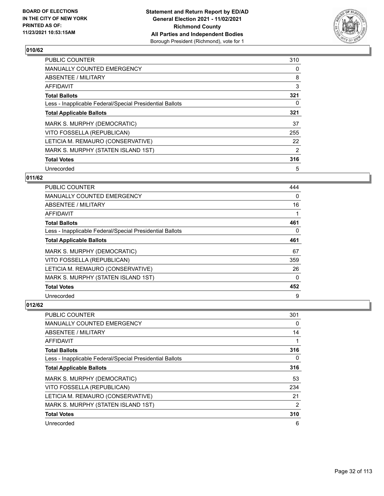

| <b>PUBLIC COUNTER</b>                                    | 310           |
|----------------------------------------------------------|---------------|
| <b>MANUALLY COUNTED EMERGENCY</b>                        | 0             |
| <b>ABSENTEE / MILITARY</b>                               | 8             |
| <b>AFFIDAVIT</b>                                         | 3             |
| <b>Total Ballots</b>                                     | 321           |
| Less - Inapplicable Federal/Special Presidential Ballots | 0             |
| <b>Total Applicable Ballots</b>                          | 321           |
| MARK S. MURPHY (DEMOCRATIC)                              | 37            |
| VITO FOSSELLA (REPUBLICAN)                               | 255           |
| LETICIA M. REMAURO (CONSERVATIVE)                        | 22            |
| MARK S. MURPHY (STATEN ISLAND 1ST)                       | $\mathcal{P}$ |
| <b>Total Votes</b>                                       | 316           |
| Unrecorded                                               | 5             |

## **011/62**

| PUBLIC COUNTER                                           | 444      |
|----------------------------------------------------------|----------|
| <b>MANUALLY COUNTED EMERGENCY</b>                        | 0        |
| ABSENTEE / MILITARY                                      | 16       |
| <b>AFFIDAVIT</b>                                         |          |
| <b>Total Ballots</b>                                     | 461      |
| Less - Inapplicable Federal/Special Presidential Ballots | 0        |
| <b>Total Applicable Ballots</b>                          | 461      |
| MARK S. MURPHY (DEMOCRATIC)                              | 67       |
| VITO FOSSELLA (REPUBLICAN)                               | 359      |
| LETICIA M. REMAURO (CONSERVATIVE)                        | 26       |
| MARK S. MURPHY (STATEN ISLAND 1ST)                       | $\Omega$ |
| <b>Total Votes</b>                                       | 452      |
| Unrecorded                                               | 9        |

| <b>PUBLIC COUNTER</b>                                    | 301 |
|----------------------------------------------------------|-----|
| MANUALLY COUNTED EMERGENCY                               | 0   |
| ABSENTEE / MILITARY                                      | 14  |
| AFFIDAVIT                                                |     |
| <b>Total Ballots</b>                                     | 316 |
| Less - Inapplicable Federal/Special Presidential Ballots | 0   |
| <b>Total Applicable Ballots</b>                          | 316 |
| MARK S. MURPHY (DEMOCRATIC)                              | 53  |
| VITO FOSSELLA (REPUBLICAN)                               | 234 |
| LETICIA M. REMAURO (CONSERVATIVE)                        | 21  |
| MARK S. MURPHY (STATEN ISLAND 1ST)                       | 2   |
| <b>Total Votes</b>                                       | 310 |
| Unrecorded                                               | 6   |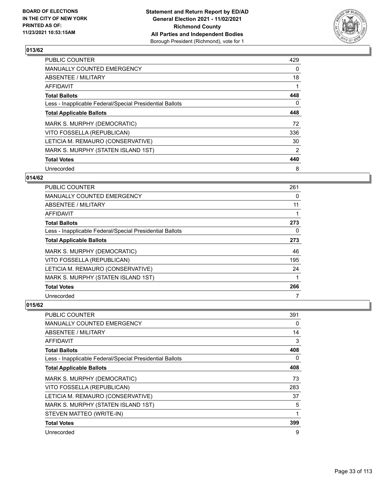

| <b>PUBLIC COUNTER</b>                                    | 429 |
|----------------------------------------------------------|-----|
| <b>MANUALLY COUNTED EMERGENCY</b>                        | 0   |
| ABSENTEE / MILITARY                                      | 18  |
| <b>AFFIDAVIT</b>                                         |     |
| <b>Total Ballots</b>                                     | 448 |
| Less - Inapplicable Federal/Special Presidential Ballots | 0   |
| <b>Total Applicable Ballots</b>                          | 448 |
| MARK S. MURPHY (DEMOCRATIC)                              | 72  |
| VITO FOSSELLA (REPUBLICAN)                               | 336 |
| LETICIA M. REMAURO (CONSERVATIVE)                        | 30  |
| MARK S. MURPHY (STATEN ISLAND 1ST)                       | 2   |
| <b>Total Votes</b>                                       | 440 |
| Unrecorded                                               | 8   |

## **014/62**

| PUBLIC COUNTER                                           | 261 |
|----------------------------------------------------------|-----|
| <b>MANUALLY COUNTED EMERGENCY</b>                        | 0   |
| ABSENTEE / MILITARY                                      | 11  |
| AFFIDAVIT                                                |     |
| <b>Total Ballots</b>                                     | 273 |
| Less - Inapplicable Federal/Special Presidential Ballots | 0   |
| <b>Total Applicable Ballots</b>                          | 273 |
| MARK S. MURPHY (DEMOCRATIC)                              | 46  |
| VITO FOSSELLA (REPUBLICAN)                               | 195 |
| LETICIA M. REMAURO (CONSERVATIVE)                        | 24  |
| MARK S. MURPHY (STATEN ISLAND 1ST)                       |     |
| <b>Total Votes</b>                                       | 266 |
| Unrecorded                                               |     |

| PUBLIC COUNTER                                           | 391 |
|----------------------------------------------------------|-----|
| MANUALLY COUNTED EMERGENCY                               | 0   |
| ABSENTEE / MILITARY                                      | 14  |
| AFFIDAVIT                                                | 3   |
| <b>Total Ballots</b>                                     | 408 |
| Less - Inapplicable Federal/Special Presidential Ballots | 0   |
| <b>Total Applicable Ballots</b>                          | 408 |
| MARK S. MURPHY (DEMOCRATIC)                              | 73  |
| VITO FOSSELLA (REPUBLICAN)                               | 283 |
| LETICIA M. REMAURO (CONSERVATIVE)                        | 37  |
| MARK S. MURPHY (STATEN ISLAND 1ST)                       | 5   |
| STEVEN MATTEO (WRITE-IN)                                 | 1   |
| <b>Total Votes</b>                                       | 399 |
| Unrecorded                                               | 9   |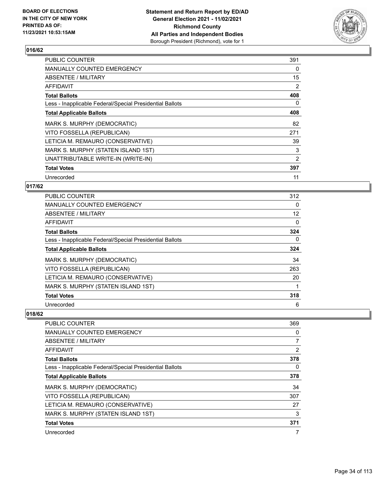

| <b>PUBLIC COUNTER</b>                                    | 391 |
|----------------------------------------------------------|-----|
| <b>MANUALLY COUNTED EMERGENCY</b>                        | 0   |
| ABSENTEE / MILITARY                                      | 15  |
| AFFIDAVIT                                                | 2   |
| <b>Total Ballots</b>                                     | 408 |
| Less - Inapplicable Federal/Special Presidential Ballots | 0   |
| <b>Total Applicable Ballots</b>                          | 408 |
| MARK S. MURPHY (DEMOCRATIC)                              | 82  |
| VITO FOSSELLA (REPUBLICAN)                               | 271 |
| LETICIA M. REMAURO (CONSERVATIVE)                        | 39  |
| MARK S. MURPHY (STATEN ISLAND 1ST)                       | 3   |
| UNATTRIBUTABLE WRITE-IN (WRITE-IN)                       | 2   |
| <b>Total Votes</b>                                       | 397 |
| Unrecorded                                               | 11  |

## **017/62**

| <b>PUBLIC COUNTER</b>                                    | 312 |
|----------------------------------------------------------|-----|
| MANUALLY COUNTED EMERGENCY                               | 0   |
| ABSENTEE / MILITARY                                      | 12  |
| AFFIDAVIT                                                | 0   |
| <b>Total Ballots</b>                                     | 324 |
| Less - Inapplicable Federal/Special Presidential Ballots | 0   |
| <b>Total Applicable Ballots</b>                          | 324 |
| MARK S. MURPHY (DEMOCRATIC)                              | 34  |
| VITO FOSSELLA (REPUBLICAN)                               | 263 |
| LETICIA M. REMAURO (CONSERVATIVE)                        | 20  |
| MARK S. MURPHY (STATEN ISLAND 1ST)                       |     |
| <b>Total Votes</b>                                       | 318 |
| Unrecorded                                               | 6   |

| PUBLIC COUNTER                                           | 369      |
|----------------------------------------------------------|----------|
| <b>MANUALLY COUNTED EMERGENCY</b>                        | $\Omega$ |
| ABSENTEE / MILITARY                                      | 7        |
| AFFIDAVIT                                                | 2        |
| <b>Total Ballots</b>                                     | 378      |
| Less - Inapplicable Federal/Special Presidential Ballots | 0        |
| <b>Total Applicable Ballots</b>                          | 378      |
| MARK S. MURPHY (DEMOCRATIC)                              | 34       |
| VITO FOSSELLA (REPUBLICAN)                               | 307      |
| LETICIA M. REMAURO (CONSERVATIVE)                        | 27       |
| MARK S. MURPHY (STATEN ISLAND 1ST)                       | 3        |
| <b>Total Votes</b>                                       | 371      |
| Unrecorded                                               | 7        |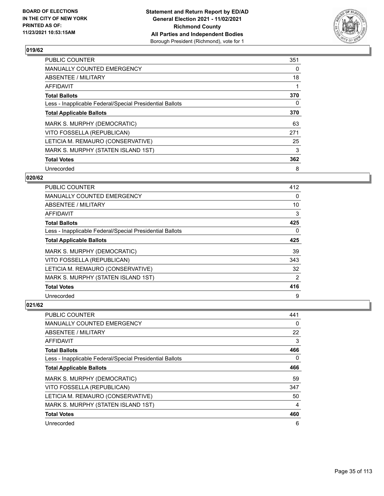

| <b>PUBLIC COUNTER</b>                                    | 351 |
|----------------------------------------------------------|-----|
| <b>MANUALLY COUNTED EMERGENCY</b>                        | 0   |
| ABSENTEE / MILITARY                                      | 18  |
| <b>AFFIDAVIT</b>                                         |     |
| <b>Total Ballots</b>                                     | 370 |
| Less - Inapplicable Federal/Special Presidential Ballots | 0   |
| <b>Total Applicable Ballots</b>                          | 370 |
| MARK S. MURPHY (DEMOCRATIC)                              | 63  |
| VITO FOSSELLA (REPUBLICAN)                               | 271 |
| LETICIA M. REMAURO (CONSERVATIVE)                        | 25  |
| MARK S. MURPHY (STATEN ISLAND 1ST)                       | 3   |
| <b>Total Votes</b>                                       | 362 |
| Unrecorded                                               | 8   |

## **020/62**

| PUBLIC COUNTER                                           | 412            |
|----------------------------------------------------------|----------------|
| <b>MANUALLY COUNTED EMERGENCY</b>                        | $\Omega$       |
| ABSENTEE / MILITARY                                      | 10             |
| AFFIDAVIT                                                | 3              |
| <b>Total Ballots</b>                                     | 425            |
| Less - Inapplicable Federal/Special Presidential Ballots | 0              |
| <b>Total Applicable Ballots</b>                          | 425            |
| MARK S. MURPHY (DEMOCRATIC)                              | 39             |
| VITO FOSSELLA (REPUBLICAN)                               | 343            |
| LETICIA M. REMAURO (CONSERVATIVE)                        | 32             |
| MARK S. MURPHY (STATEN ISLAND 1ST)                       | $\overline{2}$ |
| <b>Total Votes</b>                                       | 416            |
| Unrecorded                                               | 9              |

| PUBLIC COUNTER                                           | 441 |
|----------------------------------------------------------|-----|
| <b>MANUALLY COUNTED EMERGENCY</b>                        | 0   |
| ABSENTEE / MILITARY                                      | 22  |
| AFFIDAVIT                                                | 3   |
| <b>Total Ballots</b>                                     | 466 |
| Less - Inapplicable Federal/Special Presidential Ballots | 0   |
| <b>Total Applicable Ballots</b>                          | 466 |
| MARK S. MURPHY (DEMOCRATIC)                              | 59  |
| VITO FOSSELLA (REPUBLICAN)                               | 347 |
| LETICIA M. REMAURO (CONSERVATIVE)                        | 50  |
| MARK S. MURPHY (STATEN ISLAND 1ST)                       | 4   |
| <b>Total Votes</b>                                       | 460 |
| Unrecorded                                               | 6   |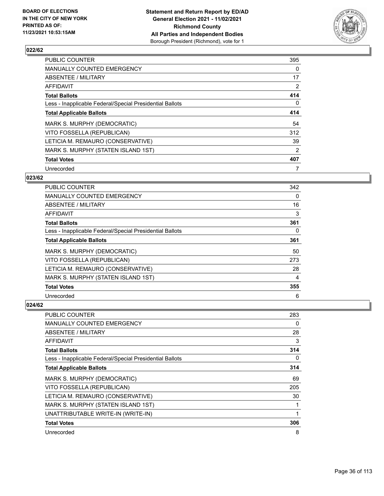

| <b>PUBLIC COUNTER</b>                                    | 395 |
|----------------------------------------------------------|-----|
| <b>MANUALLY COUNTED EMERGENCY</b>                        | 0   |
| ABSENTEE / MILITARY                                      | 17  |
| AFFIDAVIT                                                | 2   |
| <b>Total Ballots</b>                                     | 414 |
| Less - Inapplicable Federal/Special Presidential Ballots | 0   |
| <b>Total Applicable Ballots</b>                          | 414 |
| MARK S. MURPHY (DEMOCRATIC)                              | 54  |
| VITO FOSSELLA (REPUBLICAN)                               | 312 |
| LETICIA M. REMAURO (CONSERVATIVE)                        | 39  |
| MARK S. MURPHY (STATEN ISLAND 1ST)                       | 2   |
| <b>Total Votes</b>                                       | 407 |
| Unrecorded                                               |     |

## **023/62**

| PUBLIC COUNTER                                           | 342      |
|----------------------------------------------------------|----------|
| <b>MANUALLY COUNTED EMERGENCY</b>                        | $\Omega$ |
| ABSENTEE / MILITARY                                      | 16       |
| AFFIDAVIT                                                | 3        |
| <b>Total Ballots</b>                                     | 361      |
| Less - Inapplicable Federal/Special Presidential Ballots | $\Omega$ |
| <b>Total Applicable Ballots</b>                          | 361      |
| MARK S. MURPHY (DEMOCRATIC)                              | 50       |
| VITO FOSSELLA (REPUBLICAN)                               | 273      |
| LETICIA M. REMAURO (CONSERVATIVE)                        | 28       |
| MARK S. MURPHY (STATEN ISLAND 1ST)                       | 4        |
| <b>Total Votes</b>                                       | 355      |
| Unrecorded                                               | 6        |

| PUBLIC COUNTER                                           | 283 |
|----------------------------------------------------------|-----|
| <b>MANUALLY COUNTED EMERGENCY</b>                        | 0   |
| ABSENTEE / MILITARY                                      | 28  |
| AFFIDAVIT                                                | 3   |
| <b>Total Ballots</b>                                     | 314 |
| Less - Inapplicable Federal/Special Presidential Ballots | 0   |
| <b>Total Applicable Ballots</b>                          | 314 |
| MARK S. MURPHY (DEMOCRATIC)                              | 69  |
| VITO FOSSELLA (REPUBLICAN)                               | 205 |
| LETICIA M. REMAURO (CONSERVATIVE)                        | 30  |
| MARK S. MURPHY (STATEN ISLAND 1ST)                       | 1   |
| UNATTRIBUTABLE WRITE-IN (WRITE-IN)                       | 1   |
| <b>Total Votes</b>                                       | 306 |
| Unrecorded                                               | 8   |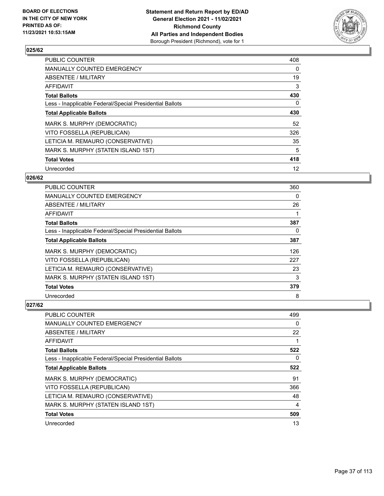

| <b>PUBLIC COUNTER</b>                                    | 408 |
|----------------------------------------------------------|-----|
| MANUALLY COUNTED EMERGENCY                               | 0   |
| ABSENTEE / MILITARY                                      | 19  |
| <b>AFFIDAVIT</b>                                         | 3   |
| <b>Total Ballots</b>                                     | 430 |
| Less - Inapplicable Federal/Special Presidential Ballots | 0   |
| <b>Total Applicable Ballots</b>                          | 430 |
| MARK S. MURPHY (DEMOCRATIC)                              | 52  |
| VITO FOSSELLA (REPUBLICAN)                               | 326 |
| LETICIA M. REMAURO (CONSERVATIVE)                        | 35  |
| MARK S. MURPHY (STATEN ISLAND 1ST)                       | 5   |
| <b>Total Votes</b>                                       | 418 |
| Unrecorded                                               | 12  |

### **026/62**

| PUBLIC COUNTER                                           | 360 |
|----------------------------------------------------------|-----|
| <b>MANUALLY COUNTED EMERGENCY</b>                        | 0   |
| ABSENTEE / MILITARY                                      | 26  |
| AFFIDAVIT                                                |     |
| <b>Total Ballots</b>                                     | 387 |
| Less - Inapplicable Federal/Special Presidential Ballots | 0   |
| <b>Total Applicable Ballots</b>                          | 387 |
| MARK S. MURPHY (DEMOCRATIC)                              | 126 |
| VITO FOSSELLA (REPUBLICAN)                               | 227 |
| LETICIA M. REMAURO (CONSERVATIVE)                        | 23  |
| MARK S. MURPHY (STATEN ISLAND 1ST)                       | 3   |
| <b>Total Votes</b>                                       | 379 |
| Unrecorded                                               | 8   |

| PUBLIC COUNTER                                           | 499 |
|----------------------------------------------------------|-----|
| <b>MANUALLY COUNTED EMERGENCY</b>                        | 0   |
| ABSENTEE / MILITARY                                      | 22  |
| AFFIDAVIT                                                | 1   |
| <b>Total Ballots</b>                                     | 522 |
| Less - Inapplicable Federal/Special Presidential Ballots | 0   |
| <b>Total Applicable Ballots</b>                          | 522 |
| MARK S. MURPHY (DEMOCRATIC)                              | 91  |
| VITO FOSSELLA (REPUBLICAN)                               | 366 |
| LETICIA M. REMAURO (CONSERVATIVE)                        | 48  |
| MARK S. MURPHY (STATEN ISLAND 1ST)                       | 4   |
| <b>Total Votes</b>                                       | 509 |
| Unrecorded                                               | 13  |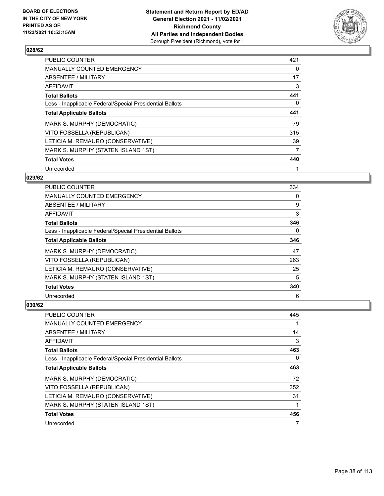

| <b>PUBLIC COUNTER</b>                                    | 421 |
|----------------------------------------------------------|-----|
| <b>MANUALLY COUNTED EMERGENCY</b>                        | 0   |
| ABSENTEE / MILITARY                                      | 17  |
| AFFIDAVIT                                                | 3   |
| <b>Total Ballots</b>                                     | 441 |
| Less - Inapplicable Federal/Special Presidential Ballots | 0   |
| <b>Total Applicable Ballots</b>                          | 441 |
| MARK S. MURPHY (DEMOCRATIC)                              | 79  |
| VITO FOSSELLA (REPUBLICAN)                               | 315 |
| LETICIA M. REMAURO (CONSERVATIVE)                        | 39  |
| MARK S. MURPHY (STATEN ISLAND 1ST)                       | 7   |
| <b>Total Votes</b>                                       | 440 |
| Unrecorded                                               |     |

### **029/62**

| PUBLIC COUNTER                                           | 334      |
|----------------------------------------------------------|----------|
| <b>MANUALLY COUNTED EMERGENCY</b>                        | 0        |
| ABSENTEE / MILITARY                                      | 9        |
| AFFIDAVIT                                                | 3        |
| <b>Total Ballots</b>                                     | 346      |
| Less - Inapplicable Federal/Special Presidential Ballots | $\Omega$ |
| <b>Total Applicable Ballots</b>                          | 346      |
| MARK S. MURPHY (DEMOCRATIC)                              | 47       |
| VITO FOSSELLA (REPUBLICAN)                               | 263      |
| LETICIA M. REMAURO (CONSERVATIVE)                        | 25       |
| MARK S. MURPHY (STATEN ISLAND 1ST)                       | 5        |
| <b>Total Votes</b>                                       | 340      |
| Unrecorded                                               | 6        |

| PUBLIC COUNTER                                           | 445 |
|----------------------------------------------------------|-----|
| <b>MANUALLY COUNTED EMERGENCY</b>                        |     |
| ABSENTEE / MILITARY                                      | 14  |
| AFFIDAVIT                                                | 3   |
| <b>Total Ballots</b>                                     | 463 |
| Less - Inapplicable Federal/Special Presidential Ballots | 0   |
| <b>Total Applicable Ballots</b>                          | 463 |
| MARK S. MURPHY (DEMOCRATIC)                              | 72  |
| VITO FOSSELLA (REPUBLICAN)                               | 352 |
| LETICIA M. REMAURO (CONSERVATIVE)                        | 31  |
| MARK S. MURPHY (STATEN ISLAND 1ST)                       | 1   |
| <b>Total Votes</b>                                       | 456 |
| Unrecorded                                               | 7   |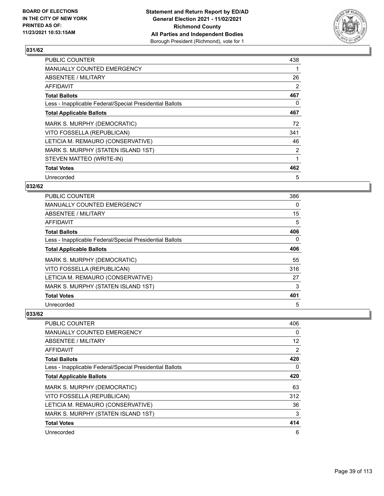

| <b>PUBLIC COUNTER</b>                                    | 438            |
|----------------------------------------------------------|----------------|
| <b>MANUALLY COUNTED EMERGENCY</b>                        |                |
| ABSENTEE / MILITARY                                      | 26             |
| AFFIDAVIT                                                | 2              |
| <b>Total Ballots</b>                                     | 467            |
| Less - Inapplicable Federal/Special Presidential Ballots | 0              |
| <b>Total Applicable Ballots</b>                          | 467            |
| MARK S. MURPHY (DEMOCRATIC)                              | 72             |
| VITO FOSSELLA (REPUBLICAN)                               | 341            |
| LETICIA M. REMAURO (CONSERVATIVE)                        | 46             |
| MARK S. MURPHY (STATEN ISLAND 1ST)                       | $\overline{2}$ |
| STEVEN MATTEO (WRITE-IN)                                 | 1              |
| <b>Total Votes</b>                                       | 462            |
| Unrecorded                                               | 5              |

### **032/62**

| PUBLIC COUNTER                                           | 386      |
|----------------------------------------------------------|----------|
| <b>MANUALLY COUNTED EMERGENCY</b>                        | $\Omega$ |
| ABSENTEE / MILITARY                                      | 15       |
| AFFIDAVIT                                                | 5        |
| <b>Total Ballots</b>                                     | 406      |
| Less - Inapplicable Federal/Special Presidential Ballots | 0        |
| <b>Total Applicable Ballots</b>                          | 406      |
| MARK S. MURPHY (DEMOCRATIC)                              | 55       |
| VITO FOSSELLA (REPUBLICAN)                               | 316      |
| LETICIA M. REMAURO (CONSERVATIVE)                        | 27       |
| MARK S. MURPHY (STATEN ISLAND 1ST)                       | 3        |
| <b>Total Votes</b>                                       | 401      |
| Unrecorded                                               | 5        |

| PUBLIC COUNTER                                           | 406               |
|----------------------------------------------------------|-------------------|
| <b>MANUALLY COUNTED EMERGENCY</b>                        | $\Omega$          |
| ABSENTEE / MILITARY                                      | $12 \overline{ }$ |
| AFFIDAVIT                                                | 2                 |
| <b>Total Ballots</b>                                     | 420               |
| Less - Inapplicable Federal/Special Presidential Ballots | 0                 |
| <b>Total Applicable Ballots</b>                          | 420               |
| MARK S. MURPHY (DEMOCRATIC)                              | 63                |
| VITO FOSSELLA (REPUBLICAN)                               | 312               |
| LETICIA M. REMAURO (CONSERVATIVE)                        | 36                |
| MARK S. MURPHY (STATEN ISLAND 1ST)                       | 3                 |
| <b>Total Votes</b>                                       | 414               |
| Unrecorded                                               | 6                 |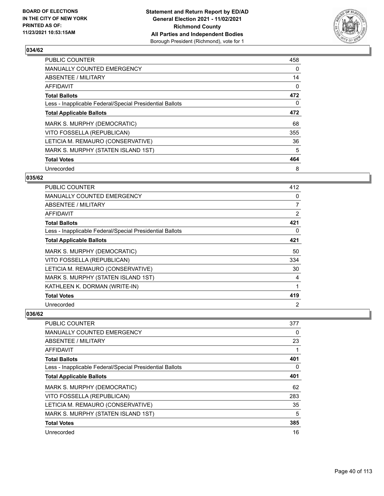

| <b>PUBLIC COUNTER</b>                                    | 458 |
|----------------------------------------------------------|-----|
| MANUALLY COUNTED EMERGENCY                               | 0   |
| ABSENTEE / MILITARY                                      | 14  |
| AFFIDAVIT                                                | 0   |
| <b>Total Ballots</b>                                     | 472 |
| Less - Inapplicable Federal/Special Presidential Ballots | 0   |
| <b>Total Applicable Ballots</b>                          | 472 |
| MARK S. MURPHY (DEMOCRATIC)                              | 68  |
| VITO FOSSELLA (REPUBLICAN)                               | 355 |
| LETICIA M. REMAURO (CONSERVATIVE)                        | 36  |
| MARK S. MURPHY (STATEN ISLAND 1ST)                       | 5   |
| <b>Total Votes</b>                                       | 464 |
| Unrecorded                                               | 8   |

#### **035/62**

| <b>PUBLIC COUNTER</b>                                    | 412            |
|----------------------------------------------------------|----------------|
| MANUALLY COUNTED EMERGENCY                               | 0              |
| ABSENTEE / MILITARY                                      | 7              |
| <b>AFFIDAVIT</b>                                         | 2              |
| <b>Total Ballots</b>                                     | 421            |
| Less - Inapplicable Federal/Special Presidential Ballots | 0              |
| <b>Total Applicable Ballots</b>                          | 421            |
| MARK S. MURPHY (DEMOCRATIC)                              | 50             |
| VITO FOSSELLA (REPUBLICAN)                               | 334            |
| LETICIA M. REMAURO (CONSERVATIVE)                        | 30             |
| MARK S. MURPHY (STATEN ISLAND 1ST)                       | 4              |
| KATHLEEN K. DORMAN (WRITE-IN)                            | 1              |
| <b>Total Votes</b>                                       | 419            |
| Unrecorded                                               | $\overline{2}$ |

| <b>PUBLIC COUNTER</b>                                    | 377 |
|----------------------------------------------------------|-----|
| <b>MANUALLY COUNTED EMERGENCY</b>                        | 0   |
| ABSENTEE / MILITARY                                      | 23  |
| AFFIDAVIT                                                |     |
| <b>Total Ballots</b>                                     | 401 |
| Less - Inapplicable Federal/Special Presidential Ballots | 0   |
| <b>Total Applicable Ballots</b>                          | 401 |
| MARK S. MURPHY (DEMOCRATIC)                              | 62  |
| VITO FOSSELLA (REPUBLICAN)                               | 283 |
| LETICIA M. REMAURO (CONSERVATIVE)                        | 35  |
| MARK S. MURPHY (STATEN ISLAND 1ST)                       | 5   |
| <b>Total Votes</b>                                       | 385 |
| Unrecorded                                               | 16  |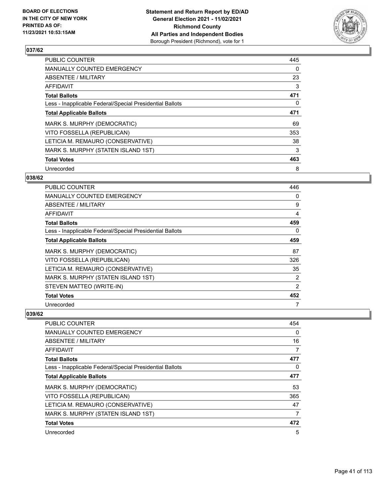

| <b>PUBLIC COUNTER</b>                                    | 445 |
|----------------------------------------------------------|-----|
| <b>MANUALLY COUNTED EMERGENCY</b>                        | 0   |
| ABSENTEE / MILITARY                                      | 23  |
| AFFIDAVIT                                                | 3   |
| <b>Total Ballots</b>                                     | 471 |
| Less - Inapplicable Federal/Special Presidential Ballots | 0   |
| <b>Total Applicable Ballots</b>                          | 471 |
| MARK S. MURPHY (DEMOCRATIC)                              | 69  |
| VITO FOSSELLA (REPUBLICAN)                               | 353 |
| LETICIA M. REMAURO (CONSERVATIVE)                        | 38  |
| MARK S. MURPHY (STATEN ISLAND 1ST)                       | 3   |
| <b>Total Votes</b>                                       | 463 |
| Unrecorded                                               | 8   |

### **038/62**

| <b>PUBLIC COUNTER</b>                                    | 446 |
|----------------------------------------------------------|-----|
| <b>MANUALLY COUNTED EMERGENCY</b>                        | 0   |
| ABSENTEE / MILITARY                                      | 9   |
| AFFIDAVIT                                                | 4   |
| <b>Total Ballots</b>                                     | 459 |
| Less - Inapplicable Federal/Special Presidential Ballots | 0   |
| <b>Total Applicable Ballots</b>                          | 459 |
| MARK S. MURPHY (DEMOCRATIC)                              | 87  |
| VITO FOSSELLA (REPUBLICAN)                               | 326 |
| LETICIA M. REMAURO (CONSERVATIVE)                        | 35  |
| MARK S. MURPHY (STATEN ISLAND 1ST)                       | 2   |
| STEVEN MATTEO (WRITE-IN)                                 | 2   |
| <b>Total Votes</b>                                       | 452 |
| Unrecorded                                               | 7   |

| PUBLIC COUNTER                                           | 454      |
|----------------------------------------------------------|----------|
| MANUALLY COUNTED EMERGENCY                               | $\Omega$ |
| ABSENTEE / MILITARY                                      | 16       |
| AFFIDAVIT                                                | 7        |
| <b>Total Ballots</b>                                     | 477      |
| Less - Inapplicable Federal/Special Presidential Ballots | 0        |
| <b>Total Applicable Ballots</b>                          | 477      |
| MARK S. MURPHY (DEMOCRATIC)                              | 53       |
| VITO FOSSELLA (REPUBLICAN)                               | 365      |
| LETICIA M. REMAURO (CONSERVATIVE)                        | 47       |
| MARK S. MURPHY (STATEN ISLAND 1ST)                       | 7        |
| <b>Total Votes</b>                                       | 472      |
| Unrecorded                                               | 5        |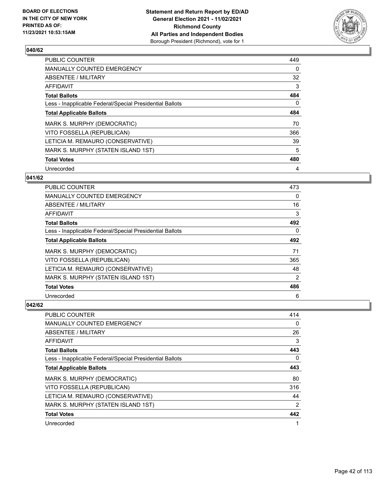

| PUBLIC COUNTER                                           | 449 |
|----------------------------------------------------------|-----|
| <b>MANUALLY COUNTED EMERGENCY</b>                        | 0   |
| ABSENTEE / MILITARY                                      | 32  |
| AFFIDAVIT                                                | 3   |
| <b>Total Ballots</b>                                     | 484 |
| Less - Inapplicable Federal/Special Presidential Ballots | 0   |
| <b>Total Applicable Ballots</b>                          | 484 |
| MARK S. MURPHY (DEMOCRATIC)                              | 70  |
| VITO FOSSELLA (REPUBLICAN)                               | 366 |
| LETICIA M. REMAURO (CONSERVATIVE)                        | 39  |
| MARK S. MURPHY (STATEN ISLAND 1ST)                       | 5   |
| <b>Total Votes</b>                                       | 480 |
| Unrecorded                                               | 4   |

### **041/62**

| <b>PUBLIC COUNTER</b>                                    | 473            |
|----------------------------------------------------------|----------------|
| <b>MANUALLY COUNTED EMERGENCY</b>                        | 0              |
| ABSENTEE / MILITARY                                      | 16             |
| AFFIDAVIT                                                | 3              |
| <b>Total Ballots</b>                                     | 492            |
| Less - Inapplicable Federal/Special Presidential Ballots | 0              |
| <b>Total Applicable Ballots</b>                          | 492            |
| MARK S. MURPHY (DEMOCRATIC)                              | 71             |
| VITO FOSSELLA (REPUBLICAN)                               | 365            |
| LETICIA M. REMAURO (CONSERVATIVE)                        | 48             |
| MARK S. MURPHY (STATEN ISLAND 1ST)                       | $\overline{2}$ |
| <b>Total Votes</b>                                       | 486            |
| Unrecorded                                               | 6              |

| PUBLIC COUNTER                                           | 414            |
|----------------------------------------------------------|----------------|
| MANUALLY COUNTED EMERGENCY                               | 0              |
| ABSENTEE / MILITARY                                      | 26             |
| AFFIDAVIT                                                | 3              |
| <b>Total Ballots</b>                                     | 443            |
| Less - Inapplicable Federal/Special Presidential Ballots | 0              |
| <b>Total Applicable Ballots</b>                          | 443            |
| MARK S. MURPHY (DEMOCRATIC)                              | 80             |
| VITO FOSSELLA (REPUBLICAN)                               | 316            |
| LETICIA M. REMAURO (CONSERVATIVE)                        | 44             |
| MARK S. MURPHY (STATEN ISLAND 1ST)                       | $\overline{2}$ |
| <b>Total Votes</b>                                       | 442            |
| Unrecorded                                               | 1              |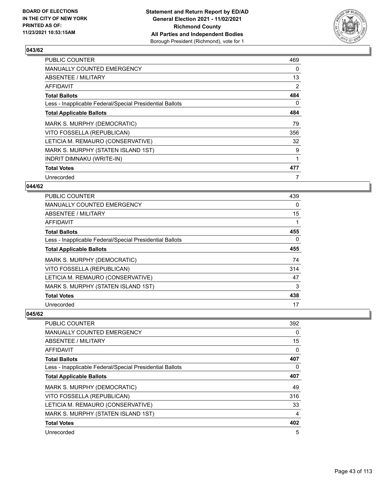

| <b>PUBLIC COUNTER</b>                                    | 469 |
|----------------------------------------------------------|-----|
| <b>MANUALLY COUNTED EMERGENCY</b>                        | 0   |
| ABSENTEE / MILITARY                                      | 13  |
| AFFIDAVIT                                                | 2   |
| <b>Total Ballots</b>                                     | 484 |
| Less - Inapplicable Federal/Special Presidential Ballots | 0   |
| <b>Total Applicable Ballots</b>                          | 484 |
| MARK S. MURPHY (DEMOCRATIC)                              | 79  |
| VITO FOSSELLA (REPUBLICAN)                               | 356 |
| LETICIA M. REMAURO (CONSERVATIVE)                        | 32  |
| MARK S. MURPHY (STATEN ISLAND 1ST)                       | 9   |
| INDRIT DIMNAKU (WRITE-IN)                                | 1   |
| <b>Total Votes</b>                                       | 477 |
| Unrecorded                                               | 7   |

### **044/62**

| PUBLIC COUNTER                                           | 439      |
|----------------------------------------------------------|----------|
| MANUALLY COUNTED EMERGENCY                               | $\Omega$ |
| ABSENTEE / MILITARY                                      | 15       |
| AFFIDAVIT                                                | 1        |
| <b>Total Ballots</b>                                     | 455      |
| Less - Inapplicable Federal/Special Presidential Ballots | $\Omega$ |
| <b>Total Applicable Ballots</b>                          | 455      |
| MARK S. MURPHY (DEMOCRATIC)                              | 74       |
| VITO FOSSELLA (REPUBLICAN)                               | 314      |
| LETICIA M. REMAURO (CONSERVATIVE)                        | 47       |
| MARK S. MURPHY (STATEN ISLAND 1ST)                       | 3        |
| <b>Total Votes</b>                                       | 438      |
| Unrecorded                                               | 17       |

| PUBLIC COUNTER                                           | 392      |
|----------------------------------------------------------|----------|
| <b>MANUALLY COUNTED EMERGENCY</b>                        | $\Omega$ |
| ABSENTEE / MILITARY                                      | 15       |
| <b>AFFIDAVIT</b>                                         | 0        |
| <b>Total Ballots</b>                                     | 407      |
| Less - Inapplicable Federal/Special Presidential Ballots | 0        |
| <b>Total Applicable Ballots</b>                          | 407      |
| MARK S. MURPHY (DEMOCRATIC)                              | 49       |
| VITO FOSSELLA (REPUBLICAN)                               | 316      |
| LETICIA M. REMAURO (CONSERVATIVE)                        | 33       |
| MARK S. MURPHY (STATEN ISLAND 1ST)                       | 4        |
| <b>Total Votes</b>                                       | 402      |
| Unrecorded                                               | 5        |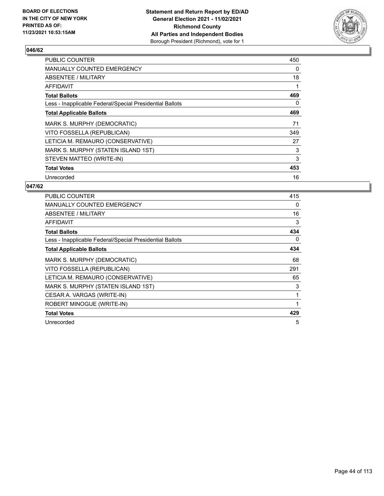

| <b>PUBLIC COUNTER</b>                                    | 450 |
|----------------------------------------------------------|-----|
| <b>MANUALLY COUNTED EMERGENCY</b>                        | 0   |
| ABSENTEE / MILITARY                                      | 18  |
| <b>AFFIDAVIT</b>                                         |     |
| <b>Total Ballots</b>                                     | 469 |
| Less - Inapplicable Federal/Special Presidential Ballots | 0   |
| <b>Total Applicable Ballots</b>                          | 469 |
| MARK S. MURPHY (DEMOCRATIC)                              | 71  |
| VITO FOSSELLA (REPUBLICAN)                               | 349 |
| LETICIA M. REMAURO (CONSERVATIVE)                        | 27  |
| MARK S. MURPHY (STATEN ISLAND 1ST)                       | 3   |
| STEVEN MATTEO (WRITE-IN)                                 | 3   |
|                                                          |     |
| <b>Total Votes</b>                                       | 453 |

| <b>PUBLIC COUNTER</b>                                    | 415 |
|----------------------------------------------------------|-----|
| <b>MANUALLY COUNTED EMERGENCY</b>                        | 0   |
| <b>ABSENTEE / MILITARY</b>                               | 16  |
| <b>AFFIDAVIT</b>                                         | 3   |
| <b>Total Ballots</b>                                     | 434 |
| Less - Inapplicable Federal/Special Presidential Ballots | 0   |
| <b>Total Applicable Ballots</b>                          | 434 |
| MARK S. MURPHY (DEMOCRATIC)                              | 68  |
| VITO FOSSELLA (REPUBLICAN)                               | 291 |
| LETICIA M. REMAURO (CONSERVATIVE)                        | 65  |
| MARK S. MURPHY (STATEN ISLAND 1ST)                       | 3   |
| CESAR A. VARGAS (WRITE-IN)                               | 1   |
| ROBERT MINOGUE (WRITE-IN)                                | 1   |
| <b>Total Votes</b>                                       | 429 |
| Unrecorded                                               | 5   |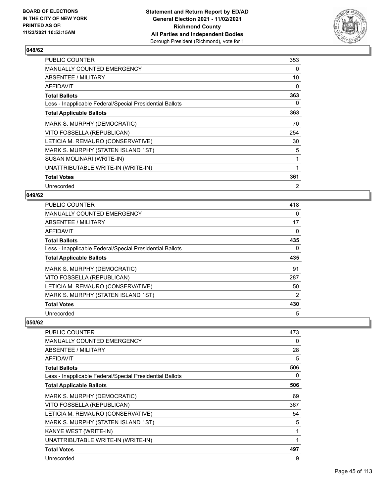

| <b>PUBLIC COUNTER</b>                                    | 353          |
|----------------------------------------------------------|--------------|
| <b>MANUALLY COUNTED EMERGENCY</b>                        | 0            |
| ABSENTEE / MILITARY                                      | 10           |
| AFFIDAVIT                                                | 0            |
| <b>Total Ballots</b>                                     | 363          |
| Less - Inapplicable Federal/Special Presidential Ballots | 0            |
| <b>Total Applicable Ballots</b>                          | 363          |
| MARK S. MURPHY (DEMOCRATIC)                              | 70           |
| VITO FOSSELLA (REPUBLICAN)                               | 254          |
| LETICIA M. REMAURO (CONSERVATIVE)                        | 30           |
| MARK S. MURPHY (STATEN ISLAND 1ST)                       | 5            |
| SUSAN MOLINARI (WRITE-IN)                                | $\mathbf{1}$ |
| UNATTRIBUTABLE WRITE-IN (WRITE-IN)                       | 1            |
| <b>Total Votes</b>                                       | 361          |
| Unrecorded                                               | 2            |

#### **049/62**

| PUBLIC COUNTER                                           | 418 |
|----------------------------------------------------------|-----|
| MANUALLY COUNTED EMERGENCY                               | 0   |
| ABSENTEE / MILITARY                                      | 17  |
| AFFIDAVIT                                                | 0   |
| <b>Total Ballots</b>                                     | 435 |
| Less - Inapplicable Federal/Special Presidential Ballots | 0   |
| <b>Total Applicable Ballots</b>                          | 435 |
| MARK S. MURPHY (DEMOCRATIC)                              | 91  |
| VITO FOSSELLA (REPUBLICAN)                               | 287 |
| LETICIA M. REMAURO (CONSERVATIVE)                        | 50  |
| MARK S. MURPHY (STATEN ISLAND 1ST)                       | 2   |
| <b>Total Votes</b>                                       | 430 |
| Unrecorded                                               | 5   |

| <b>PUBLIC COUNTER</b>                                    | 473 |
|----------------------------------------------------------|-----|
|                                                          |     |
| <b>MANUALLY COUNTED EMERGENCY</b>                        | 0   |
| ABSENTEE / MILITARY                                      | 28  |
| <b>AFFIDAVIT</b>                                         | 5   |
| <b>Total Ballots</b>                                     | 506 |
| Less - Inapplicable Federal/Special Presidential Ballots | 0   |
| <b>Total Applicable Ballots</b>                          | 506 |
| MARK S. MURPHY (DEMOCRATIC)                              | 69  |
| VITO FOSSELLA (REPUBLICAN)                               | 367 |
| LETICIA M. REMAURO (CONSERVATIVE)                        | 54  |
| MARK S. MURPHY (STATEN ISLAND 1ST)                       | 5   |
| KANYE WEST (WRITE-IN)                                    | 1   |
| UNATTRIBUTABLE WRITE-IN (WRITE-IN)                       | 1   |
| <b>Total Votes</b>                                       | 497 |
| Unrecorded                                               | 9   |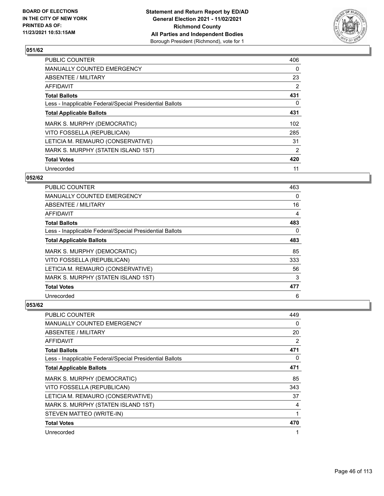

| PUBLIC COUNTER                                           | 406            |
|----------------------------------------------------------|----------------|
| <b>MANUALLY COUNTED EMERGENCY</b>                        | 0              |
| ABSENTEE / MILITARY                                      | 23             |
| <b>AFFIDAVIT</b>                                         | 2              |
| <b>Total Ballots</b>                                     | 431            |
| Less - Inapplicable Federal/Special Presidential Ballots | 0              |
| <b>Total Applicable Ballots</b>                          | 431            |
| MARK S. MURPHY (DEMOCRATIC)                              | 102            |
| VITO FOSSELLA (REPUBLICAN)                               | 285            |
| LETICIA M. REMAURO (CONSERVATIVE)                        | 31             |
| MARK S. MURPHY (STATEN ISLAND 1ST)                       | $\overline{2}$ |
| <b>Total Votes</b>                                       | 420            |
| Unrecorded                                               | 11             |

#### **052/62**

| PUBLIC COUNTER                                           | 463      |
|----------------------------------------------------------|----------|
| <b>MANUALLY COUNTED EMERGENCY</b>                        | $\Omega$ |
| ABSENTEE / MILITARY                                      | 16       |
| AFFIDAVIT                                                | 4        |
| <b>Total Ballots</b>                                     | 483      |
| Less - Inapplicable Federal/Special Presidential Ballots | $\Omega$ |
| <b>Total Applicable Ballots</b>                          | 483      |
| MARK S. MURPHY (DEMOCRATIC)                              | 85       |
| VITO FOSSELLA (REPUBLICAN)                               | 333      |
| LETICIA M. REMAURO (CONSERVATIVE)                        | 56       |
| MARK S. MURPHY (STATEN ISLAND 1ST)                       | 3        |
| <b>Total Votes</b>                                       | 477      |
| Unrecorded                                               | 6        |

| <b>PUBLIC COUNTER</b>                                    | 449            |
|----------------------------------------------------------|----------------|
| <b>MANUALLY COUNTED EMERGENCY</b>                        | 0              |
| ABSENTEE / MILITARY                                      | 20             |
| AFFIDAVIT                                                | $\overline{2}$ |
| <b>Total Ballots</b>                                     | 471            |
| Less - Inapplicable Federal/Special Presidential Ballots | $\Omega$       |
| <b>Total Applicable Ballots</b>                          | 471            |
| MARK S. MURPHY (DEMOCRATIC)                              | 85             |
| VITO FOSSELLA (REPUBLICAN)                               | 343            |
| LETICIA M. REMAURO (CONSERVATIVE)                        | 37             |
| MARK S. MURPHY (STATEN ISLAND 1ST)                       | 4              |
| STEVEN MATTEO (WRITE-IN)                                 | 1              |
| <b>Total Votes</b>                                       | 470            |
| Unrecorded                                               |                |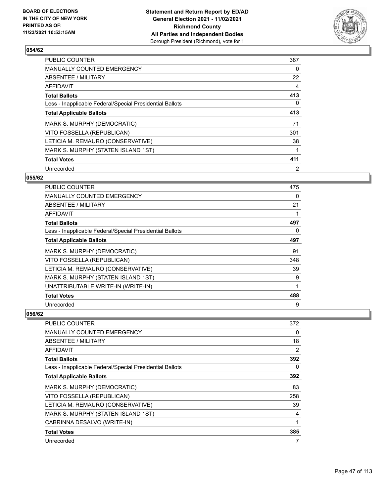

| <b>PUBLIC COUNTER</b>                                    | 387 |
|----------------------------------------------------------|-----|
| <b>MANUALLY COUNTED EMERGENCY</b>                        | 0   |
| ABSENTEE / MILITARY                                      | 22  |
| AFFIDAVIT                                                | 4   |
| <b>Total Ballots</b>                                     | 413 |
| Less - Inapplicable Federal/Special Presidential Ballots | 0   |
| <b>Total Applicable Ballots</b>                          | 413 |
| MARK S. MURPHY (DEMOCRATIC)                              | 71  |
| VITO FOSSELLA (REPUBLICAN)                               | 301 |
| LETICIA M. REMAURO (CONSERVATIVE)                        | 38  |
| MARK S. MURPHY (STATEN ISLAND 1ST)                       | 1   |
| <b>Total Votes</b>                                       | 411 |
| Unrecorded                                               | 2   |

#### **055/62**

| PUBLIC COUNTER                                           | 475 |
|----------------------------------------------------------|-----|
| <b>MANUALLY COUNTED EMERGENCY</b>                        | 0   |
| ABSENTEE / MILITARY                                      | 21  |
| AFFIDAVIT                                                | 1   |
| <b>Total Ballots</b>                                     | 497 |
| Less - Inapplicable Federal/Special Presidential Ballots | 0   |
| <b>Total Applicable Ballots</b>                          | 497 |
| MARK S. MURPHY (DEMOCRATIC)                              | 91  |
| VITO FOSSELLA (REPUBLICAN)                               | 348 |
| LETICIA M. REMAURO (CONSERVATIVE)                        | 39  |
| MARK S. MURPHY (STATEN ISLAND 1ST)                       | 9   |
| UNATTRIBUTABLE WRITE-IN (WRITE-IN)                       | 1   |
| <b>Total Votes</b>                                       | 488 |
| Unrecorded                                               | 9   |

| <b>PUBLIC COUNTER</b>                                    | 372 |
|----------------------------------------------------------|-----|
| MANUALLY COUNTED EMERGENCY                               | 0   |
| ABSENTEE / MILITARY                                      | 18  |
| <b>AFFIDAVIT</b>                                         | 2   |
| <b>Total Ballots</b>                                     | 392 |
| Less - Inapplicable Federal/Special Presidential Ballots | 0   |
| <b>Total Applicable Ballots</b>                          | 392 |
| MARK S. MURPHY (DEMOCRATIC)                              | 83  |
| VITO FOSSELLA (REPUBLICAN)                               | 258 |
| LETICIA M. REMAURO (CONSERVATIVE)                        | 39  |
| MARK S. MURPHY (STATEN ISLAND 1ST)                       | 4   |
| CABRINNA DESALVO (WRITE-IN)                              | 1   |
| <b>Total Votes</b>                                       | 385 |
| Unrecorded                                               | 7   |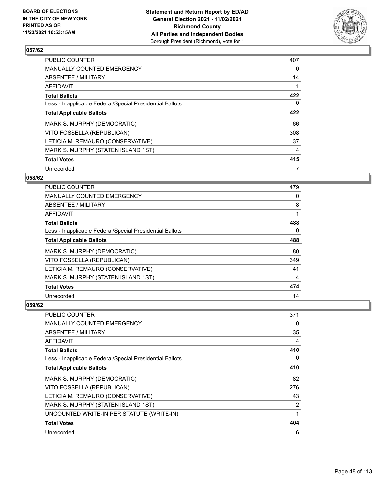

| <b>PUBLIC COUNTER</b>                                    | 407 |
|----------------------------------------------------------|-----|
| <b>MANUALLY COUNTED EMERGENCY</b>                        | 0   |
| ABSENTEE / MILITARY                                      | 14  |
| <b>AFFIDAVIT</b>                                         |     |
| <b>Total Ballots</b>                                     | 422 |
| Less - Inapplicable Federal/Special Presidential Ballots | 0   |
| <b>Total Applicable Ballots</b>                          | 422 |
| MARK S. MURPHY (DEMOCRATIC)                              | 66  |
| VITO FOSSELLA (REPUBLICAN)                               | 308 |
| LETICIA M. REMAURO (CONSERVATIVE)                        | 37  |
| MARK S. MURPHY (STATEN ISLAND 1ST)                       | 4   |
| <b>Total Votes</b>                                       | 415 |
| Unrecorded                                               | 7   |

### **058/62**

| <b>PUBLIC COUNTER</b>                                    | 479      |
|----------------------------------------------------------|----------|
| <b>MANUALLY COUNTED EMERGENCY</b>                        | $\Omega$ |
| ABSENTEE / MILITARY                                      | 8        |
| <b>AFFIDAVIT</b>                                         |          |
| <b>Total Ballots</b>                                     | 488      |
| Less - Inapplicable Federal/Special Presidential Ballots | 0        |
| <b>Total Applicable Ballots</b>                          | 488      |
| MARK S. MURPHY (DEMOCRATIC)                              | 80       |
| VITO FOSSELLA (REPUBLICAN)                               | 349      |
| LETICIA M. REMAURO (CONSERVATIVE)                        | 41       |
| MARK S. MURPHY (STATEN ISLAND 1ST)                       | 4        |
| <b>Total Votes</b>                                       | 474      |
| Unrecorded                                               | 14       |

| PUBLIC COUNTER                                           | 371 |
|----------------------------------------------------------|-----|
| <b>MANUALLY COUNTED EMERGENCY</b>                        | 0   |
| ABSENTEE / MILITARY                                      | 35  |
| AFFIDAVIT                                                | 4   |
| <b>Total Ballots</b>                                     | 410 |
| Less - Inapplicable Federal/Special Presidential Ballots | 0   |
| <b>Total Applicable Ballots</b>                          | 410 |
| MARK S. MURPHY (DEMOCRATIC)                              | 82  |
| VITO FOSSELLA (REPUBLICAN)                               | 276 |
| LETICIA M. REMAURO (CONSERVATIVE)                        | 43  |
| MARK S. MURPHY (STATEN ISLAND 1ST)                       | 2   |
| UNCOUNTED WRITE-IN PER STATUTE (WRITE-IN)                | 1   |
| <b>Total Votes</b>                                       | 404 |
| Unrecorded                                               | 6   |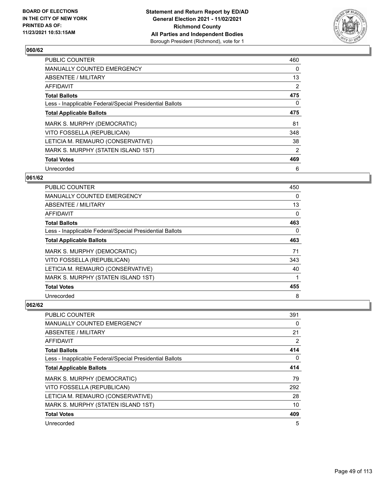

| <b>PUBLIC COUNTER</b>                                    | 460 |
|----------------------------------------------------------|-----|
| <b>MANUALLY COUNTED EMERGENCY</b>                        | 0   |
| ABSENTEE / MILITARY                                      | 13  |
| AFFIDAVIT                                                | 2   |
| <b>Total Ballots</b>                                     | 475 |
| Less - Inapplicable Federal/Special Presidential Ballots | 0   |
| <b>Total Applicable Ballots</b>                          | 475 |
| MARK S. MURPHY (DEMOCRATIC)                              | 81  |
| VITO FOSSELLA (REPUBLICAN)                               | 348 |
| LETICIA M. REMAURO (CONSERVATIVE)                        | 38  |
| MARK S. MURPHY (STATEN ISLAND 1ST)                       | 2   |
| <b>Total Votes</b>                                       | 469 |
| Unrecorded                                               | 6   |

#### **061/62**

| <b>PUBLIC COUNTER</b>                                    | 450      |
|----------------------------------------------------------|----------|
| MANUALLY COUNTED EMERGENCY                               | 0        |
| ABSENTEE / MILITARY                                      | 13       |
| AFFIDAVIT                                                | $\Omega$ |
| <b>Total Ballots</b>                                     | 463      |
| Less - Inapplicable Federal/Special Presidential Ballots | $\Omega$ |
| <b>Total Applicable Ballots</b>                          | 463      |
| MARK S. MURPHY (DEMOCRATIC)                              | 71       |
| VITO FOSSELLA (REPUBLICAN)                               | 343      |
| LETICIA M. REMAURO (CONSERVATIVE)                        | 40       |
| MARK S. MURPHY (STATEN ISLAND 1ST)                       |          |
| <b>Total Votes</b>                                       | 455      |
| Unrecorded                                               | 8        |

| PUBLIC COUNTER                                           | 391 |
|----------------------------------------------------------|-----|
| MANUALLY COUNTED EMERGENCY                               | 0   |
| ABSENTEE / MILITARY                                      | 21  |
| AFFIDAVIT                                                | 2   |
| <b>Total Ballots</b>                                     | 414 |
| Less - Inapplicable Federal/Special Presidential Ballots | 0   |
| <b>Total Applicable Ballots</b>                          | 414 |
| MARK S. MURPHY (DEMOCRATIC)                              | 79  |
| VITO FOSSELLA (REPUBLICAN)                               | 292 |
| LETICIA M. REMAURO (CONSERVATIVE)                        | 28  |
| MARK S. MURPHY (STATEN ISLAND 1ST)                       | 10  |
| <b>Total Votes</b>                                       | 409 |
| Unrecorded                                               | 5   |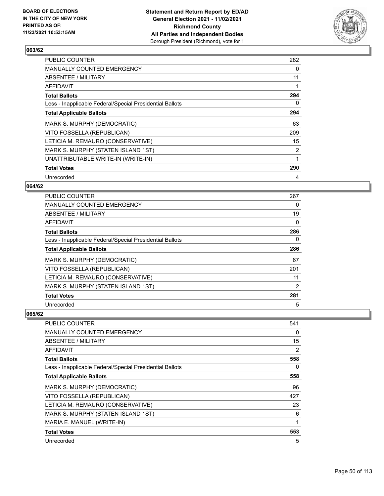

| <b>PUBLIC COUNTER</b>                                    | 282            |
|----------------------------------------------------------|----------------|
| <b>MANUALLY COUNTED EMERGENCY</b>                        | 0              |
| ABSENTEE / MILITARY                                      | 11             |
| AFFIDAVIT                                                |                |
| <b>Total Ballots</b>                                     | 294            |
| Less - Inapplicable Federal/Special Presidential Ballots | 0              |
| <b>Total Applicable Ballots</b>                          | 294            |
| MARK S. MURPHY (DEMOCRATIC)                              | 63             |
| VITO FOSSELLA (REPUBLICAN)                               | 209            |
| LETICIA M. REMAURO (CONSERVATIVE)                        | 15             |
| MARK S. MURPHY (STATEN ISLAND 1ST)                       | $\overline{2}$ |
| UNATTRIBUTABLE WRITE-IN (WRITE-IN)                       | 1              |
| <b>Total Votes</b>                                       | 290            |
| Unrecorded                                               | 4              |

### **064/62**

| <b>PUBLIC COUNTER</b>                                    | 267            |
|----------------------------------------------------------|----------------|
| <b>MANUALLY COUNTED EMERGENCY</b>                        | 0              |
| ABSENTEE / MILITARY                                      | 19             |
| AFFIDAVIT                                                | 0              |
| <b>Total Ballots</b>                                     | 286            |
| Less - Inapplicable Federal/Special Presidential Ballots | 0              |
| <b>Total Applicable Ballots</b>                          | 286            |
| MARK S. MURPHY (DEMOCRATIC)                              | 67             |
| VITO FOSSELLA (REPUBLICAN)                               | 201            |
| LETICIA M. REMAURO (CONSERVATIVE)                        | 11             |
| MARK S. MURPHY (STATEN ISLAND 1ST)                       | $\overline{2}$ |
| <b>Total Votes</b>                                       | 281            |
| Unrecorded                                               | 5              |

| <b>PUBLIC COUNTER</b>                                    | 541 |
|----------------------------------------------------------|-----|
| MANUALLY COUNTED EMERGENCY                               | 0   |
| ABSENTEE / MILITARY                                      | 15  |
| <b>AFFIDAVIT</b>                                         | 2   |
| <b>Total Ballots</b>                                     | 558 |
| Less - Inapplicable Federal/Special Presidential Ballots | 0   |
| <b>Total Applicable Ballots</b>                          | 558 |
| MARK S. MURPHY (DEMOCRATIC)                              | 96  |
| VITO FOSSELLA (REPUBLICAN)                               | 427 |
| LETICIA M. REMAURO (CONSERVATIVE)                        | 23  |
| MARK S. MURPHY (STATEN ISLAND 1ST)                       | 6   |
| MARIA E. MANUEL (WRITE-IN)                               | 1   |
| <b>Total Votes</b>                                       | 553 |
| Unrecorded                                               | 5   |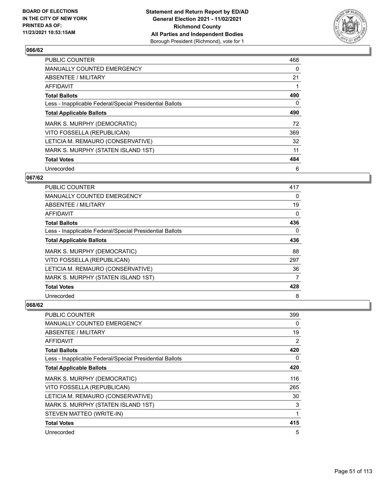

| <b>PUBLIC COUNTER</b>                                    | 468 |
|----------------------------------------------------------|-----|
| <b>MANUALLY COUNTED EMERGENCY</b>                        | 0   |
| ABSENTEE / MILITARY                                      | 21  |
| AFFIDAVIT                                                |     |
| <b>Total Ballots</b>                                     | 490 |
| Less - Inapplicable Federal/Special Presidential Ballots | 0   |
| <b>Total Applicable Ballots</b>                          | 490 |
| MARK S. MURPHY (DEMOCRATIC)                              | 72  |
| VITO FOSSELLA (REPUBLICAN)                               | 369 |
| LETICIA M. REMAURO (CONSERVATIVE)                        | 32  |
| MARK S. MURPHY (STATEN ISLAND 1ST)                       | 11  |
| <b>Total Votes</b>                                       | 484 |
| Unrecorded                                               | 6   |

### **067/62**

| <b>PUBLIC COUNTER</b>                                    | 417      |
|----------------------------------------------------------|----------|
| MANUALLY COUNTED EMERGENCY                               | 0        |
| ABSENTEE / MILITARY                                      | 19       |
| AFFIDAVIT                                                | 0        |
| <b>Total Ballots</b>                                     | 436      |
| Less - Inapplicable Federal/Special Presidential Ballots | $\Omega$ |
| <b>Total Applicable Ballots</b>                          | 436      |
| MARK S. MURPHY (DEMOCRATIC)                              | 88       |
| VITO FOSSELLA (REPUBLICAN)                               | 297      |
| LETICIA M. REMAURO (CONSERVATIVE)                        | 36       |
| MARK S. MURPHY (STATEN ISLAND 1ST)                       | 7        |
| <b>Total Votes</b>                                       | 428      |
| Unrecorded                                               | 8        |

| <b>PUBLIC COUNTER</b>                                    | 399      |
|----------------------------------------------------------|----------|
| MANUALLY COUNTED EMERGENCY                               | 0        |
| ABSENTEE / MILITARY                                      | 19       |
| AFFIDAVIT                                                | 2        |
| <b>Total Ballots</b>                                     | 420      |
| Less - Inapplicable Federal/Special Presidential Ballots | $\Omega$ |
| <b>Total Applicable Ballots</b>                          | 420      |
| MARK S. MURPHY (DEMOCRATIC)                              | 116      |
| VITO FOSSELLA (REPUBLICAN)                               | 265      |
| LETICIA M. REMAURO (CONSERVATIVE)                        | 30       |
| MARK S. MURPHY (STATEN ISLAND 1ST)                       | 3        |
| STEVEN MATTEO (WRITE-IN)                                 | 1        |
| <b>Total Votes</b>                                       | 415      |
| Unrecorded                                               | 5        |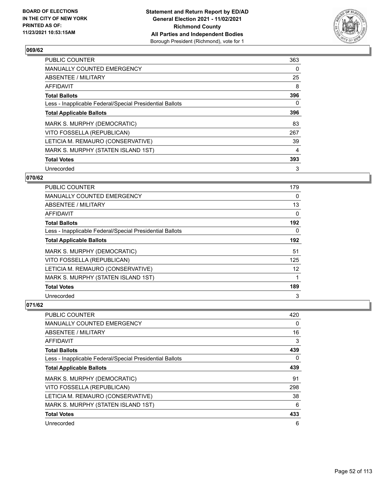

| <b>PUBLIC COUNTER</b>                                    | 363 |
|----------------------------------------------------------|-----|
| <b>MANUALLY COUNTED EMERGENCY</b>                        | 0   |
| ABSENTEE / MILITARY                                      | 25  |
| AFFIDAVIT                                                | 8   |
| <b>Total Ballots</b>                                     | 396 |
| Less - Inapplicable Federal/Special Presidential Ballots | 0   |
| <b>Total Applicable Ballots</b>                          | 396 |
| MARK S. MURPHY (DEMOCRATIC)                              | 83  |
| VITO FOSSELLA (REPUBLICAN)                               | 267 |
| LETICIA M. REMAURO (CONSERVATIVE)                        | 39  |
| MARK S. MURPHY (STATEN ISLAND 1ST)                       | 4   |
| <b>Total Votes</b>                                       | 393 |
| Unrecorded                                               | 3   |

#### **070/62**

| PUBLIC COUNTER                                           | 179      |
|----------------------------------------------------------|----------|
| <b>MANUALLY COUNTED EMERGENCY</b>                        | $\Omega$ |
| ABSENTEE / MILITARY                                      | 13       |
| AFFIDAVIT                                                | 0        |
| <b>Total Ballots</b>                                     | 192      |
| Less - Inapplicable Federal/Special Presidential Ballots | 0        |
| <b>Total Applicable Ballots</b>                          | 192      |
| MARK S. MURPHY (DEMOCRATIC)                              | 51       |
| VITO FOSSELLA (REPUBLICAN)                               | 125      |
| LETICIA M. REMAURO (CONSERVATIVE)                        | 12       |
| MARK S. MURPHY (STATEN ISLAND 1ST)                       |          |
| <b>Total Votes</b>                                       | 189      |
| Unrecorded                                               | 3        |

| <b>PUBLIC COUNTER</b>                                    | 420 |
|----------------------------------------------------------|-----|
| <b>MANUALLY COUNTED EMERGENCY</b>                        | 0   |
| ABSENTEE / MILITARY                                      | 16  |
| AFFIDAVIT                                                | 3   |
| <b>Total Ballots</b>                                     | 439 |
| Less - Inapplicable Federal/Special Presidential Ballots | 0   |
| <b>Total Applicable Ballots</b>                          | 439 |
| MARK S. MURPHY (DEMOCRATIC)                              | 91  |
| VITO FOSSELLA (REPUBLICAN)                               | 298 |
| LETICIA M. REMAURO (CONSERVATIVE)                        | 38  |
| MARK S. MURPHY (STATEN ISLAND 1ST)                       | 6   |
| <b>Total Votes</b>                                       | 433 |
| Unrecorded                                               | 6   |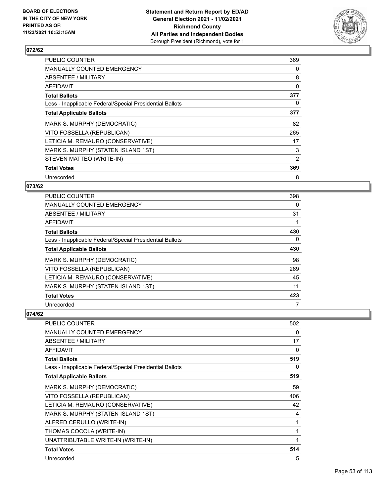

| <b>PUBLIC COUNTER</b>                                    | 369 |
|----------------------------------------------------------|-----|
| <b>MANUALLY COUNTED EMERGENCY</b>                        | 0   |
| ABSENTEE / MILITARY                                      | 8   |
| AFFIDAVIT                                                | 0   |
| <b>Total Ballots</b>                                     | 377 |
| Less - Inapplicable Federal/Special Presidential Ballots | 0   |
| <b>Total Applicable Ballots</b>                          | 377 |
| MARK S. MURPHY (DEMOCRATIC)                              | 82  |
| VITO FOSSELLA (REPUBLICAN)                               | 265 |
| LETICIA M. REMAURO (CONSERVATIVE)                        | 17  |
| MARK S. MURPHY (STATEN ISLAND 1ST)                       | 3   |
| STEVEN MATTEO (WRITE-IN)                                 | 2   |
| <b>Total Votes</b>                                       | 369 |
| Unrecorded                                               | 8   |

### **073/62**

| PUBLIC COUNTER                                           | 398      |
|----------------------------------------------------------|----------|
| MANUALLY COUNTED EMERGENCY                               | 0        |
| ABSENTEE / MILITARY                                      | 31       |
| AFFIDAVIT                                                |          |
| <b>Total Ballots</b>                                     | 430      |
| Less - Inapplicable Federal/Special Presidential Ballots | $\Omega$ |
| <b>Total Applicable Ballots</b>                          | 430      |
| MARK S. MURPHY (DEMOCRATIC)                              | 98       |
| VITO FOSSELLA (REPUBLICAN)                               | 269      |
| LETICIA M. REMAURO (CONSERVATIVE)                        | 45       |
| MARK S. MURPHY (STATEN ISLAND 1ST)                       | 11       |
| <b>Total Votes</b>                                       | 423      |
| Unrecorded                                               | 7        |

| <b>PUBLIC COUNTER</b>                                    | 502 |
|----------------------------------------------------------|-----|
| <b>MANUALLY COUNTED EMERGENCY</b>                        | 0   |
| ABSENTEE / MILITARY                                      | 17  |
| AFFIDAVIT                                                | 0   |
| <b>Total Ballots</b>                                     | 519 |
| Less - Inapplicable Federal/Special Presidential Ballots | 0   |
| <b>Total Applicable Ballots</b>                          | 519 |
| MARK S. MURPHY (DEMOCRATIC)                              | 59  |
| VITO FOSSELLA (REPUBLICAN)                               | 406 |
| LETICIA M. REMAURO (CONSERVATIVE)                        | 42  |
| MARK S. MURPHY (STATEN ISLAND 1ST)                       | 4   |
| ALFRED CERULLO (WRITE-IN)                                | 1   |
| THOMAS COCOLA (WRITE-IN)                                 | 1   |
| UNATTRIBUTABLE WRITE-IN (WRITE-IN)                       | 1   |
| <b>Total Votes</b>                                       | 514 |
| Unrecorded                                               | 5   |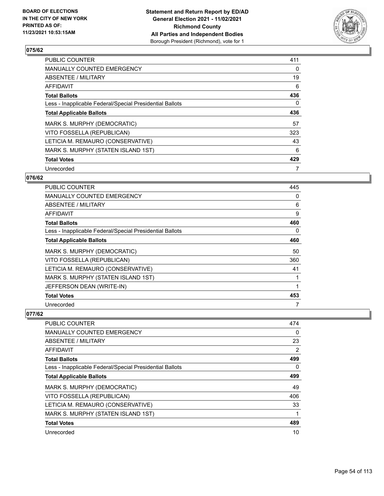

| <b>PUBLIC COUNTER</b>                                    | 411 |
|----------------------------------------------------------|-----|
| <b>MANUALLY COUNTED EMERGENCY</b>                        | 0   |
| ABSENTEE / MILITARY                                      | 19  |
| AFFIDAVIT                                                | 6   |
| <b>Total Ballots</b>                                     | 436 |
| Less - Inapplicable Federal/Special Presidential Ballots | 0   |
| <b>Total Applicable Ballots</b>                          | 436 |
| MARK S. MURPHY (DEMOCRATIC)                              | 57  |
| VITO FOSSELLA (REPUBLICAN)                               | 323 |
| LETICIA M. REMAURO (CONSERVATIVE)                        | 43  |
| MARK S. MURPHY (STATEN ISLAND 1ST)                       | 6   |
| <b>Total Votes</b>                                       | 429 |
| Unrecorded                                               | 7   |

### **076/62**

| <b>PUBLIC COUNTER</b>                                    | 445 |
|----------------------------------------------------------|-----|
| MANUALLY COUNTED EMERGENCY                               | 0   |
| ABSENTEE / MILITARY                                      | 6   |
| <b>AFFIDAVIT</b>                                         | 9   |
| <b>Total Ballots</b>                                     | 460 |
| Less - Inapplicable Federal/Special Presidential Ballots | 0   |
| <b>Total Applicable Ballots</b>                          | 460 |
| MARK S. MURPHY (DEMOCRATIC)                              | 50  |
| VITO FOSSELLA (REPUBLICAN)                               | 360 |
| LETICIA M. REMAURO (CONSERVATIVE)                        | 41  |
| MARK S. MURPHY (STATEN ISLAND 1ST)                       |     |
| JEFFERSON DEAN (WRITE-IN)                                | 1   |
| <b>Total Votes</b>                                       | 453 |
| Unrecorded                                               | 7   |

| <b>PUBLIC COUNTER</b>                                    | 474      |
|----------------------------------------------------------|----------|
| MANUALLY COUNTED EMERGENCY                               | $\Omega$ |
| ABSENTEE / MILITARY                                      | 23       |
| AFFIDAVIT                                                | 2        |
| <b>Total Ballots</b>                                     | 499      |
| Less - Inapplicable Federal/Special Presidential Ballots | $\Omega$ |
| <b>Total Applicable Ballots</b>                          | 499      |
| MARK S. MURPHY (DEMOCRATIC)                              | 49       |
| VITO FOSSELLA (REPUBLICAN)                               | 406      |
| LETICIA M. REMAURO (CONSERVATIVE)                        | 33       |
| MARK S. MURPHY (STATEN ISLAND 1ST)                       |          |
| <b>Total Votes</b>                                       | 489      |
| Unrecorded                                               | 10       |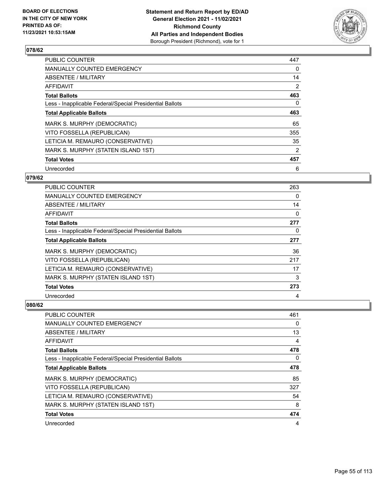

| <b>PUBLIC COUNTER</b>                                    | 447            |
|----------------------------------------------------------|----------------|
| <b>MANUALLY COUNTED EMERGENCY</b>                        | 0              |
| ABSENTEE / MILITARY                                      | 14             |
| <b>AFFIDAVIT</b>                                         | $\overline{2}$ |
| <b>Total Ballots</b>                                     | 463            |
| Less - Inapplicable Federal/Special Presidential Ballots | 0              |
| <b>Total Applicable Ballots</b>                          | 463            |
| MARK S. MURPHY (DEMOCRATIC)                              | 65             |
| VITO FOSSELLA (REPUBLICAN)                               | 355            |
| LETICIA M. REMAURO (CONSERVATIVE)                        | 35             |
| MARK S. MURPHY (STATEN ISLAND 1ST)                       | 2              |
| <b>Total Votes</b>                                       | 457            |
| Unrecorded                                               | 6              |

### **079/62**

| <b>PUBLIC COUNTER</b>                                    | 263      |
|----------------------------------------------------------|----------|
| MANUALLY COUNTED EMERGENCY                               | 0        |
| ABSENTEE / MILITARY                                      | 14       |
| AFFIDAVIT                                                | $\Omega$ |
| <b>Total Ballots</b>                                     | 277      |
| Less - Inapplicable Federal/Special Presidential Ballots | 0        |
| <b>Total Applicable Ballots</b>                          | 277      |
| MARK S. MURPHY (DEMOCRATIC)                              | 36       |
| VITO FOSSELLA (REPUBLICAN)                               | 217      |
| LETICIA M. REMAURO (CONSERVATIVE)                        | 17       |
| MARK S. MURPHY (STATEN ISLAND 1ST)                       | 3        |
| <b>Total Votes</b>                                       | 273      |
| Unrecorded                                               | 4        |

| PUBLIC COUNTER                                           | 461      |
|----------------------------------------------------------|----------|
| MANUALLY COUNTED EMERGENCY                               | $\Omega$ |
| ABSENTEE / MILITARY                                      | 13       |
| AFFIDAVIT                                                | 4        |
| <b>Total Ballots</b>                                     | 478      |
| Less - Inapplicable Federal/Special Presidential Ballots | 0        |
| <b>Total Applicable Ballots</b>                          | 478      |
| MARK S. MURPHY (DEMOCRATIC)                              | 85       |
| VITO FOSSELLA (REPUBLICAN)                               | 327      |
| LETICIA M. REMAURO (CONSERVATIVE)                        | 54       |
| MARK S. MURPHY (STATEN ISLAND 1ST)                       | 8        |
| <b>Total Votes</b>                                       | 474      |
| Unrecorded                                               | 4        |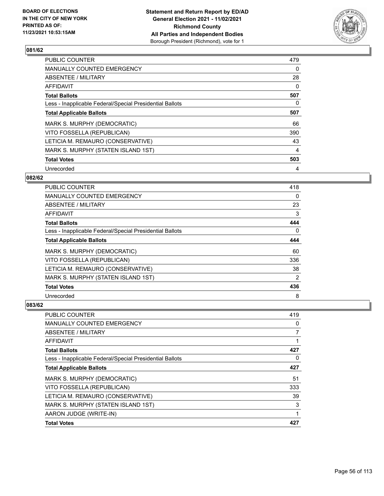

| <b>PUBLIC COUNTER</b>                                    | 479 |
|----------------------------------------------------------|-----|
| <b>MANUALLY COUNTED EMERGENCY</b>                        | 0   |
| ABSENTEE / MILITARY                                      | 28  |
| AFFIDAVIT                                                | 0   |
| <b>Total Ballots</b>                                     | 507 |
| Less - Inapplicable Federal/Special Presidential Ballots | 0   |
| <b>Total Applicable Ballots</b>                          | 507 |
| MARK S. MURPHY (DEMOCRATIC)                              | 66  |
| VITO FOSSELLA (REPUBLICAN)                               | 390 |
| LETICIA M. REMAURO (CONSERVATIVE)                        | 43  |
| MARK S. MURPHY (STATEN ISLAND 1ST)                       | 4   |
| <b>Total Votes</b>                                       | 503 |
| Unrecorded                                               | 4   |

### **082/62**

| <b>PUBLIC COUNTER</b>                                    | 418            |
|----------------------------------------------------------|----------------|
| MANUALLY COUNTED EMERGENCY                               | $\Omega$       |
| ABSENTEE / MILITARY                                      | 23             |
| AFFIDAVIT                                                | 3              |
| <b>Total Ballots</b>                                     | 444            |
| Less - Inapplicable Federal/Special Presidential Ballots | $\Omega$       |
| <b>Total Applicable Ballots</b>                          | 444            |
| MARK S. MURPHY (DEMOCRATIC)                              | 60             |
| VITO FOSSELLA (REPUBLICAN)                               | 336            |
| LETICIA M. REMAURO (CONSERVATIVE)                        | 38             |
| MARK S. MURPHY (STATEN ISLAND 1ST)                       | $\overline{2}$ |
| <b>Total Votes</b>                                       | 436            |
| Unrecorded                                               | 8              |

| PUBLIC COUNTER                                           | 419      |
|----------------------------------------------------------|----------|
| MANUALLY COUNTED EMERGENCY                               | $\Omega$ |
| ABSENTEE / MILITARY                                      |          |
| AFFIDAVIT                                                |          |
| <b>Total Ballots</b>                                     | 427      |
| Less - Inapplicable Federal/Special Presidential Ballots | $\Omega$ |
| <b>Total Applicable Ballots</b>                          | 427      |
| MARK S. MURPHY (DEMOCRATIC)                              | 51       |
| VITO FOSSELLA (REPUBLICAN)                               | 333      |
| LETICIA M. REMAURO (CONSERVATIVE)                        | 39       |
| MARK S. MURPHY (STATEN ISLAND 1ST)                       | 3        |
| AARON JUDGE (WRITE-IN)                                   |          |
| <b>Total Votes</b>                                       | 427      |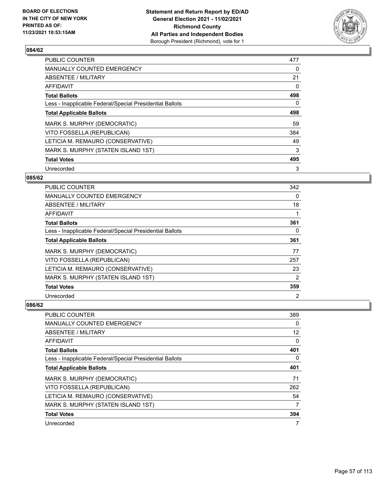

| <b>PUBLIC COUNTER</b>                                    | 477 |
|----------------------------------------------------------|-----|
| <b>MANUALLY COUNTED EMERGENCY</b>                        | 0   |
| ABSENTEE / MILITARY                                      | 21  |
| <b>AFFIDAVIT</b>                                         | 0   |
| <b>Total Ballots</b>                                     | 498 |
| Less - Inapplicable Federal/Special Presidential Ballots | 0   |
| <b>Total Applicable Ballots</b>                          | 498 |
| MARK S. MURPHY (DEMOCRATIC)                              | 59  |
| VITO FOSSELLA (REPUBLICAN)                               | 384 |
| LETICIA M. REMAURO (CONSERVATIVE)                        | 49  |
| MARK S. MURPHY (STATEN ISLAND 1ST)                       | 3   |
| <b>Total Votes</b>                                       | 495 |
| Unrecorded                                               | 3   |

#### **085/62**

| <b>PUBLIC COUNTER</b>                                    | 342 |
|----------------------------------------------------------|-----|
| MANUALLY COUNTED EMERGENCY                               | 0   |
| ABSENTEE / MILITARY                                      | 18  |
| AFFIDAVIT                                                |     |
| <b>Total Ballots</b>                                     | 361 |
| Less - Inapplicable Federal/Special Presidential Ballots | 0   |
| <b>Total Applicable Ballots</b>                          | 361 |
| MARK S. MURPHY (DEMOCRATIC)                              | 77  |
| VITO FOSSELLA (REPUBLICAN)                               | 257 |
| LETICIA M. REMAURO (CONSERVATIVE)                        | 23  |
| MARK S. MURPHY (STATEN ISLAND 1ST)                       | 2   |
| <b>Total Votes</b>                                       | 359 |
| Unrecorded                                               | 2   |

| PUBLIC COUNTER                                           | 389               |
|----------------------------------------------------------|-------------------|
| MANUALLY COUNTED EMERGENCY                               | 0                 |
| ABSENTEE / MILITARY                                      | $12 \overline{ }$ |
| AFFIDAVIT                                                | 0                 |
| <b>Total Ballots</b>                                     | 401               |
| Less - Inapplicable Federal/Special Presidential Ballots | 0                 |
| <b>Total Applicable Ballots</b>                          | 401               |
| MARK S. MURPHY (DEMOCRATIC)                              | 71                |
| VITO FOSSELLA (REPUBLICAN)                               | 262               |
| LETICIA M. REMAURO (CONSERVATIVE)                        | 54                |
| MARK S. MURPHY (STATEN ISLAND 1ST)                       | $\overline{7}$    |
| <b>Total Votes</b>                                       | 394               |
| Unrecorded                                               | 7                 |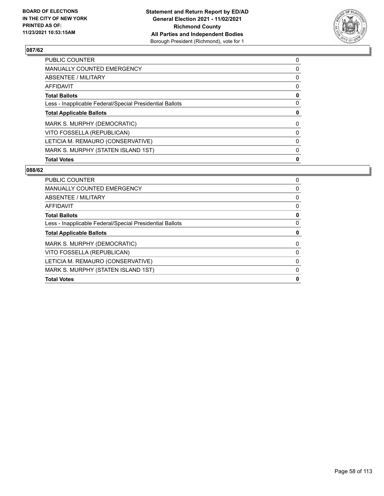

| <b>Total Votes</b>                                       | 0        |
|----------------------------------------------------------|----------|
| MARK S. MURPHY (STATEN ISLAND 1ST)                       | 0        |
| LETICIA M. REMAURO (CONSERVATIVE)                        | $\Omega$ |
| VITO FOSSELLA (REPUBLICAN)                               | $\Omega$ |
| MARK S. MURPHY (DEMOCRATIC)                              | $\Omega$ |
| <b>Total Applicable Ballots</b>                          | 0        |
| Less - Inapplicable Federal/Special Presidential Ballots | $\Omega$ |
| <b>Total Ballots</b>                                     | 0        |
| AFFIDAVIT                                                | $\Omega$ |
| ABSENTEE / MILITARY                                      | 0        |
| MANUALLY COUNTED EMERGENCY                               | 0        |
| PUBLIC COUNTER                                           | 0        |

| <b>PUBLIC COUNTER</b>                                    | 0 |
|----------------------------------------------------------|---|
| <b>MANUALLY COUNTED EMERGENCY</b>                        | 0 |
| ABSENTEE / MILITARY                                      | 0 |
| <b>AFFIDAVIT</b>                                         | 0 |
| <b>Total Ballots</b>                                     | 0 |
| Less - Inapplicable Federal/Special Presidential Ballots | 0 |
| <b>Total Applicable Ballots</b>                          | 0 |
| MARK S. MURPHY (DEMOCRATIC)                              | 0 |
| VITO FOSSELLA (REPUBLICAN)                               | 0 |
| LETICIA M. REMAURO (CONSERVATIVE)                        | 0 |
| MARK S. MURPHY (STATEN ISLAND 1ST)                       | 0 |
| <b>Total Votes</b>                                       | 0 |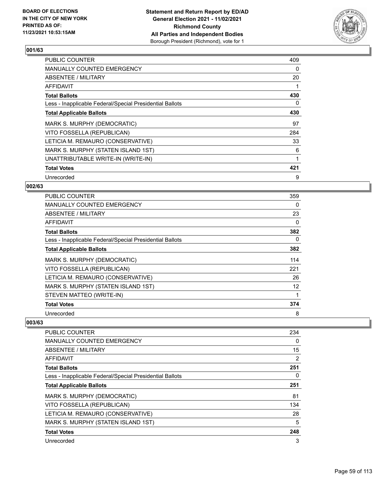

| <b>PUBLIC COUNTER</b>                                    | 409 |
|----------------------------------------------------------|-----|
| <b>MANUALLY COUNTED EMERGENCY</b>                        | 0   |
| ABSENTEE / MILITARY                                      | 20  |
| <b>AFFIDAVIT</b>                                         |     |
| <b>Total Ballots</b>                                     | 430 |
| Less - Inapplicable Federal/Special Presidential Ballots | 0   |
| <b>Total Applicable Ballots</b>                          | 430 |
| MARK S. MURPHY (DEMOCRATIC)                              | 97  |
| VITO FOSSELLA (REPUBLICAN)                               | 284 |
| LETICIA M. REMAURO (CONSERVATIVE)                        | 33  |
| MARK S. MURPHY (STATEN ISLAND 1ST)                       | 6   |
| UNATTRIBUTABLE WRITE-IN (WRITE-IN)                       | 1   |
| <b>Total Votes</b>                                       | 421 |
| Unrecorded                                               | 9   |

### **002/63**

| PUBLIC COUNTER                                           | 359      |
|----------------------------------------------------------|----------|
| <b>MANUALLY COUNTED EMERGENCY</b>                        | 0        |
| ABSENTEE / MILITARY                                      | 23       |
| AFFIDAVIT                                                | 0        |
| <b>Total Ballots</b>                                     | 382      |
| Less - Inapplicable Federal/Special Presidential Ballots | $\Omega$ |
| <b>Total Applicable Ballots</b>                          | 382      |
| MARK S. MURPHY (DEMOCRATIC)                              | 114      |
| VITO FOSSELLA (REPUBLICAN)                               | 221      |
| LETICIA M. REMAURO (CONSERVATIVE)                        | 26       |
| MARK S. MURPHY (STATEN ISLAND 1ST)                       | 12       |
| STEVEN MATTEO (WRITE-IN)                                 |          |
| <b>Total Votes</b>                                       | 374      |
| Unrecorded                                               | 8        |

| <b>PUBLIC COUNTER</b>                                    | 234 |
|----------------------------------------------------------|-----|
| <b>MANUALLY COUNTED EMERGENCY</b>                        | 0   |
| ABSENTEE / MILITARY                                      | 15  |
| AFFIDAVIT                                                | 2   |
| <b>Total Ballots</b>                                     | 251 |
| Less - Inapplicable Federal/Special Presidential Ballots | 0   |
| <b>Total Applicable Ballots</b>                          | 251 |
| MARK S. MURPHY (DEMOCRATIC)                              | 81  |
| VITO FOSSELLA (REPUBLICAN)                               | 134 |
| LETICIA M. REMAURO (CONSERVATIVE)                        | 28  |
| MARK S. MURPHY (STATEN ISLAND 1ST)                       | 5   |
| <b>Total Votes</b>                                       | 248 |
| Unrecorded                                               | 3   |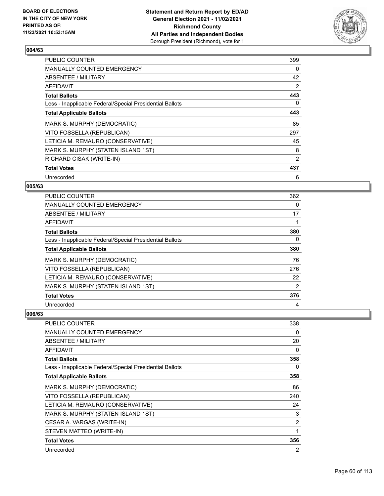

| <b>PUBLIC COUNTER</b>                                    | 399 |
|----------------------------------------------------------|-----|
| <b>MANUALLY COUNTED EMERGENCY</b>                        | 0   |
| ABSENTEE / MILITARY                                      | 42  |
| AFFIDAVIT                                                | 2   |
| <b>Total Ballots</b>                                     | 443 |
| Less - Inapplicable Federal/Special Presidential Ballots | 0   |
| <b>Total Applicable Ballots</b>                          | 443 |
| MARK S. MURPHY (DEMOCRATIC)                              | 85  |
| VITO FOSSELLA (REPUBLICAN)                               | 297 |
| LETICIA M. REMAURO (CONSERVATIVE)                        | 45  |
| MARK S. MURPHY (STATEN ISLAND 1ST)                       | 8   |
| RICHARD CISAK (WRITE-IN)                                 | 2   |
| <b>Total Votes</b>                                       | 437 |
| Unrecorded                                               | 6   |

### **005/63**

| PUBLIC COUNTER                                           | 362      |
|----------------------------------------------------------|----------|
| MANUALLY COUNTED EMERGENCY                               | 0        |
| ABSENTEE / MILITARY                                      | 17       |
| AFFIDAVIT                                                | 1        |
| <b>Total Ballots</b>                                     | 380      |
| Less - Inapplicable Federal/Special Presidential Ballots | $\Omega$ |
| <b>Total Applicable Ballots</b>                          | 380      |
| MARK S. MURPHY (DEMOCRATIC)                              | 76       |
| VITO FOSSELLA (REPUBLICAN)                               | 276      |
| LETICIA M. REMAURO (CONSERVATIVE)                        | 22       |
| MARK S. MURPHY (STATEN ISLAND 1ST)                       | 2        |
| <b>Total Votes</b>                                       | 376      |
| Unrecorded                                               | 4        |

| <b>PUBLIC COUNTER</b>                                    | 338            |
|----------------------------------------------------------|----------------|
| <b>MANUALLY COUNTED EMERGENCY</b>                        | 0              |
| ABSENTEE / MILITARY                                      | 20             |
| AFFIDAVIT                                                | 0              |
| <b>Total Ballots</b>                                     | 358            |
| Less - Inapplicable Federal/Special Presidential Ballots | 0              |
| <b>Total Applicable Ballots</b>                          | 358            |
| MARK S. MURPHY (DEMOCRATIC)                              | 86             |
| VITO FOSSELLA (REPUBLICAN)                               | 240            |
| LETICIA M. REMAURO (CONSERVATIVE)                        | 24             |
| MARK S. MURPHY (STATEN ISLAND 1ST)                       | 3              |
| CESAR A. VARGAS (WRITE-IN)                               | $\overline{2}$ |
| STEVEN MATTEO (WRITE-IN)                                 | 1              |
| <b>Total Votes</b>                                       | 356            |
| Unrecorded                                               | $\overline{2}$ |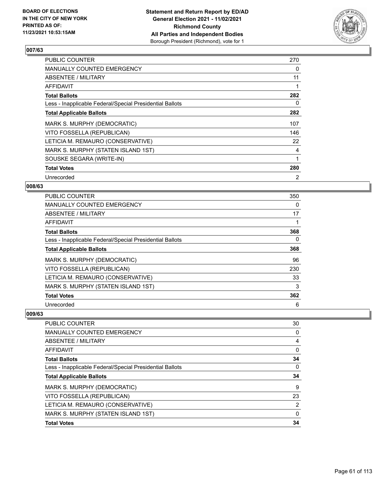

| <b>PUBLIC COUNTER</b>                                    | 270 |
|----------------------------------------------------------|-----|
| <b>MANUALLY COUNTED EMERGENCY</b>                        | 0   |
| ABSENTEE / MILITARY                                      | 11  |
| AFFIDAVIT                                                |     |
| <b>Total Ballots</b>                                     | 282 |
| Less - Inapplicable Federal/Special Presidential Ballots | 0   |
| <b>Total Applicable Ballots</b>                          | 282 |
| MARK S. MURPHY (DEMOCRATIC)                              | 107 |
| VITO FOSSELLA (REPUBLICAN)                               | 146 |
| LETICIA M. REMAURO (CONSERVATIVE)                        | 22  |
| MARK S. MURPHY (STATEN ISLAND 1ST)                       | 4   |
| SOUSKE SEGARA (WRITE-IN)                                 | 1   |
| <b>Total Votes</b>                                       | 280 |
| Unrecorded                                               | 2   |

### **008/63**

| PUBLIC COUNTER                                           | 350      |
|----------------------------------------------------------|----------|
| <b>MANUALLY COUNTED EMERGENCY</b>                        | $\Omega$ |
| ABSENTEE / MILITARY                                      | 17       |
| AFFIDAVIT                                                |          |
| <b>Total Ballots</b>                                     | 368      |
| Less - Inapplicable Federal/Special Presidential Ballots | 0        |
| <b>Total Applicable Ballots</b>                          | 368      |
| MARK S. MURPHY (DEMOCRATIC)                              | 96       |
| VITO FOSSELLA (REPUBLICAN)                               | 230      |
| LETICIA M. REMAURO (CONSERVATIVE)                        | 33       |
| MARK S. MURPHY (STATEN ISLAND 1ST)                       | 3        |
| <b>Total Votes</b>                                       | 362      |
| Unrecorded                                               | 6        |

| PUBLIC COUNTER                                           | 30       |
|----------------------------------------------------------|----------|
| <b>MANUALLY COUNTED EMERGENCY</b>                        | 0        |
| ABSENTEE / MILITARY                                      | 4        |
| AFFIDAVIT                                                | $\Omega$ |
| <b>Total Ballots</b>                                     | 34       |
| Less - Inapplicable Federal/Special Presidential Ballots | $\Omega$ |
| <b>Total Applicable Ballots</b>                          | 34       |
| MARK S. MURPHY (DEMOCRATIC)                              | 9        |
| VITO FOSSELLA (REPUBLICAN)                               | 23       |
| LETICIA M. REMAURO (CONSERVATIVE)                        | 2        |
| MARK S. MURPHY (STATEN ISLAND 1ST)                       | $\Omega$ |
| <b>Total Votes</b>                                       | 34       |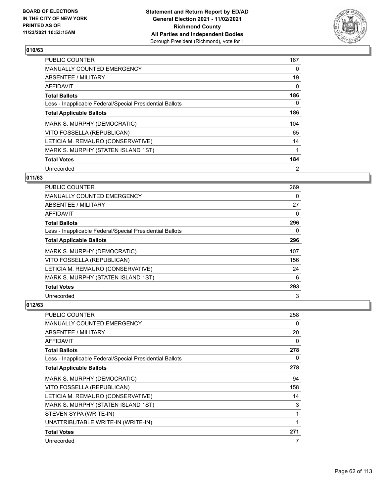

| <b>PUBLIC COUNTER</b>                                    | 167           |
|----------------------------------------------------------|---------------|
| <b>MANUALLY COUNTED EMERGENCY</b>                        | 0             |
| ABSENTEE / MILITARY                                      | 19            |
| AFFIDAVIT                                                | $\Omega$      |
| <b>Total Ballots</b>                                     | 186           |
| Less - Inapplicable Federal/Special Presidential Ballots | 0             |
| <b>Total Applicable Ballots</b>                          | 186           |
| MARK S. MURPHY (DEMOCRATIC)                              | 104           |
| VITO FOSSELLA (REPUBLICAN)                               | 65            |
| LETICIA M. REMAURO (CONSERVATIVE)                        | 14            |
| MARK S. MURPHY (STATEN ISLAND 1ST)                       | 1             |
| <b>Total Votes</b>                                       | 184           |
| Unrecorded                                               | $\mathcal{P}$ |

## **011/63**

| <b>PUBLIC COUNTER</b>                                    | 269      |
|----------------------------------------------------------|----------|
| <b>MANUALLY COUNTED EMERGENCY</b>                        | 0        |
| ABSENTEE / MILITARY                                      | 27       |
| AFFIDAVIT                                                | 0        |
| <b>Total Ballots</b>                                     | 296      |
| Less - Inapplicable Federal/Special Presidential Ballots | $\Omega$ |
| <b>Total Applicable Ballots</b>                          | 296      |
| MARK S. MURPHY (DEMOCRATIC)                              | 107      |
| VITO FOSSELLA (REPUBLICAN)                               | 156      |
| LETICIA M. REMAURO (CONSERVATIVE)                        | 24       |
| MARK S. MURPHY (STATEN ISLAND 1ST)                       | 6        |
| <b>Total Votes</b>                                       | 293      |
| Unrecorded                                               | 3        |

| PUBLIC COUNTER                                           | 258 |
|----------------------------------------------------------|-----|
| <b>MANUALLY COUNTED EMERGENCY</b>                        | 0   |
| <b>ABSENTEE / MILITARY</b>                               | 20  |
| AFFIDAVIT                                                | 0   |
| <b>Total Ballots</b>                                     | 278 |
| Less - Inapplicable Federal/Special Presidential Ballots | 0   |
| <b>Total Applicable Ballots</b>                          | 278 |
| MARK S. MURPHY (DEMOCRATIC)                              | 94  |
| VITO FOSSELLA (REPUBLICAN)                               | 158 |
| LETICIA M. REMAURO (CONSERVATIVE)                        | 14  |
| MARK S. MURPHY (STATEN ISLAND 1ST)                       | 3   |
| STEVEN SYPA (WRITE-IN)                                   | 1   |
| UNATTRIBUTABLE WRITE-IN (WRITE-IN)                       | 1   |
| <b>Total Votes</b>                                       | 271 |
| Unrecorded                                               | 7   |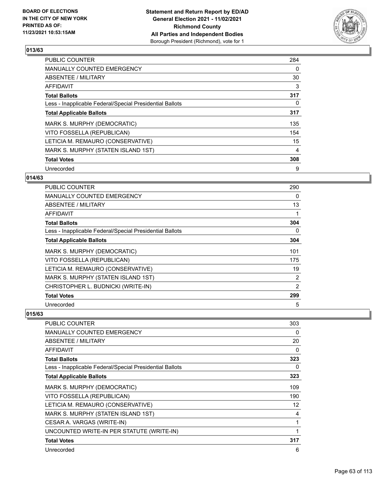

| <b>PUBLIC COUNTER</b>                                    | 284 |
|----------------------------------------------------------|-----|
| <b>MANUALLY COUNTED EMERGENCY</b>                        | 0   |
| ABSENTEE / MILITARY                                      | 30  |
| AFFIDAVIT                                                | 3   |
| <b>Total Ballots</b>                                     | 317 |
| Less - Inapplicable Federal/Special Presidential Ballots | 0   |
| <b>Total Applicable Ballots</b>                          | 317 |
| MARK S. MURPHY (DEMOCRATIC)                              | 135 |
| VITO FOSSELLA (REPUBLICAN)                               | 154 |
| LETICIA M. REMAURO (CONSERVATIVE)                        | 15  |
| MARK S. MURPHY (STATEN ISLAND 1ST)                       | 4   |
| <b>Total Votes</b>                                       | 308 |
| Unrecorded                                               | 9   |

### **014/63**

| <b>PUBLIC COUNTER</b>                                    | 290 |
|----------------------------------------------------------|-----|
| MANUALLY COUNTED EMERGENCY                               | 0   |
| ABSENTEE / MILITARY                                      | 13  |
| <b>AFFIDAVIT</b>                                         | 1   |
| <b>Total Ballots</b>                                     | 304 |
| Less - Inapplicable Federal/Special Presidential Ballots | 0   |
| <b>Total Applicable Ballots</b>                          | 304 |
| MARK S. MURPHY (DEMOCRATIC)                              | 101 |
| VITO FOSSELLA (REPUBLICAN)                               | 175 |
| LETICIA M. REMAURO (CONSERVATIVE)                        | 19  |
| MARK S. MURPHY (STATEN ISLAND 1ST)                       | 2   |
| CHRISTOPHER L. BUDNICKI (WRITE-IN)                       | 2   |
| <b>Total Votes</b>                                       | 299 |
| Unrecorded                                               | 5   |

| PUBLIC COUNTER                                           | 303 |
|----------------------------------------------------------|-----|
| <b>MANUALLY COUNTED EMERGENCY</b>                        | 0   |
| ABSENTEE / MILITARY                                      | 20  |
| AFFIDAVIT                                                | 0   |
| <b>Total Ballots</b>                                     | 323 |
| Less - Inapplicable Federal/Special Presidential Ballots | 0   |
| <b>Total Applicable Ballots</b>                          | 323 |
| MARK S. MURPHY (DEMOCRATIC)                              | 109 |
| VITO FOSSELLA (REPUBLICAN)                               | 190 |
| LETICIA M. REMAURO (CONSERVATIVE)                        | 12  |
| MARK S. MURPHY (STATEN ISLAND 1ST)                       | 4   |
| CESAR A. VARGAS (WRITE-IN)                               |     |
| UNCOUNTED WRITE-IN PER STATUTE (WRITE-IN)                |     |
| <b>Total Votes</b>                                       | 317 |
| Unrecorded                                               | 6   |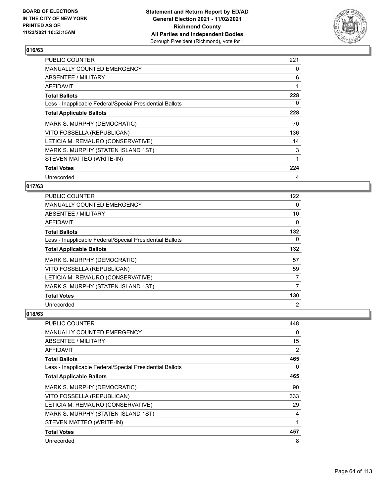

| <b>PUBLIC COUNTER</b>                                    | 221 |
|----------------------------------------------------------|-----|
| <b>MANUALLY COUNTED EMERGENCY</b>                        | 0   |
| ABSENTEE / MILITARY                                      | 6   |
| AFFIDAVIT                                                | 1   |
| <b>Total Ballots</b>                                     | 228 |
| Less - Inapplicable Federal/Special Presidential Ballots | 0   |
| <b>Total Applicable Ballots</b>                          | 228 |
| MARK S. MURPHY (DEMOCRATIC)                              | 70  |
| VITO FOSSELLA (REPUBLICAN)                               | 136 |
| LETICIA M. REMAURO (CONSERVATIVE)                        | 14  |
| MARK S. MURPHY (STATEN ISLAND 1ST)                       | 3   |
| STEVEN MATTEO (WRITE-IN)                                 | 1   |
| <b>Total Votes</b>                                       | 224 |
| Unrecorded                                               | 4   |

### **017/63**

| PUBLIC COUNTER                                           | 122            |
|----------------------------------------------------------|----------------|
| MANUALLY COUNTED EMERGENCY                               | 0              |
| ABSENTEE / MILITARY                                      | 10             |
| AFFIDAVIT                                                | 0              |
| <b>Total Ballots</b>                                     | 132            |
| Less - Inapplicable Federal/Special Presidential Ballots | $\Omega$       |
| <b>Total Applicable Ballots</b>                          | 132            |
| MARK S. MURPHY (DEMOCRATIC)                              | 57             |
| VITO FOSSELLA (REPUBLICAN)                               | 59             |
| LETICIA M. REMAURO (CONSERVATIVE)                        | 7              |
| MARK S. MURPHY (STATEN ISLAND 1ST)                       | 7              |
| <b>Total Votes</b>                                       | 130            |
| Unrecorded                                               | $\overline{2}$ |

| <b>PUBLIC COUNTER</b>                                    | 448 |
|----------------------------------------------------------|-----|
| <b>MANUALLY COUNTED EMERGENCY</b>                        | 0   |
| ABSENTEE / MILITARY                                      | 15  |
| <b>AFFIDAVIT</b>                                         | 2   |
| <b>Total Ballots</b>                                     | 465 |
| Less - Inapplicable Federal/Special Presidential Ballots | 0   |
| <b>Total Applicable Ballots</b>                          | 465 |
| MARK S. MURPHY (DEMOCRATIC)                              | 90  |
| VITO FOSSELLA (REPUBLICAN)                               | 333 |
| LETICIA M. REMAURO (CONSERVATIVE)                        | 29  |
| MARK S. MURPHY (STATEN ISLAND 1ST)                       | 4   |
| STEVEN MATTEO (WRITE-IN)                                 | 1   |
| <b>Total Votes</b>                                       | 457 |
| Unrecorded                                               | 8   |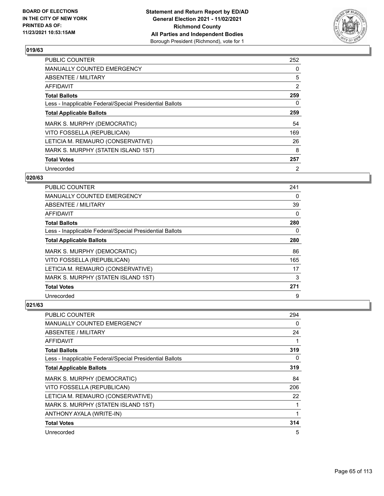

| <b>PUBLIC COUNTER</b>                                    | 252            |
|----------------------------------------------------------|----------------|
| MANUALLY COUNTED EMERGENCY                               | 0              |
| ABSENTEE / MILITARY                                      | 5              |
| AFFIDAVIT                                                | $\overline{2}$ |
| <b>Total Ballots</b>                                     | 259            |
| Less - Inapplicable Federal/Special Presidential Ballots | 0              |
| <b>Total Applicable Ballots</b>                          | 259            |
| MARK S. MURPHY (DEMOCRATIC)                              | 54             |
| VITO FOSSELLA (REPUBLICAN)                               | 169            |
| LETICIA M. REMAURO (CONSERVATIVE)                        | 26             |
| MARK S. MURPHY (STATEN ISLAND 1ST)                       | 8              |
| <b>Total Votes</b>                                       | 257            |
| Unrecorded                                               | $\overline{2}$ |

## **020/63**

| PUBLIC COUNTER                                           | 241 |
|----------------------------------------------------------|-----|
| <b>MANUALLY COUNTED EMERGENCY</b>                        | 0   |
| ABSENTEE / MILITARY                                      | 39  |
| AFFIDAVIT                                                | 0   |
| <b>Total Ballots</b>                                     | 280 |
| Less - Inapplicable Federal/Special Presidential Ballots | 0   |
| <b>Total Applicable Ballots</b>                          | 280 |
| MARK S. MURPHY (DEMOCRATIC)                              | 86  |
| VITO FOSSELLA (REPUBLICAN)                               | 165 |
| LETICIA M. REMAURO (CONSERVATIVE)                        | 17  |
| MARK S. MURPHY (STATEN ISLAND 1ST)                       | 3   |
| <b>Total Votes</b>                                       | 271 |
| Unrecorded                                               | 9   |

| PUBLIC COUNTER                                           | 294 |
|----------------------------------------------------------|-----|
| MANUALLY COUNTED EMERGENCY                               | 0   |
| ABSENTEE / MILITARY                                      | 24  |
| AFFIDAVIT                                                | 1   |
| <b>Total Ballots</b>                                     | 319 |
| Less - Inapplicable Federal/Special Presidential Ballots | 0   |
| <b>Total Applicable Ballots</b>                          | 319 |
| MARK S. MURPHY (DEMOCRATIC)                              | 84  |
| VITO FOSSELLA (REPUBLICAN)                               | 206 |
| LETICIA M. REMAURO (CONSERVATIVE)                        | 22  |
| MARK S. MURPHY (STATEN ISLAND 1ST)                       | 1   |
| ANTHONY AYALA (WRITE-IN)                                 | 1   |
| <b>Total Votes</b>                                       | 314 |
| Unrecorded                                               | 5   |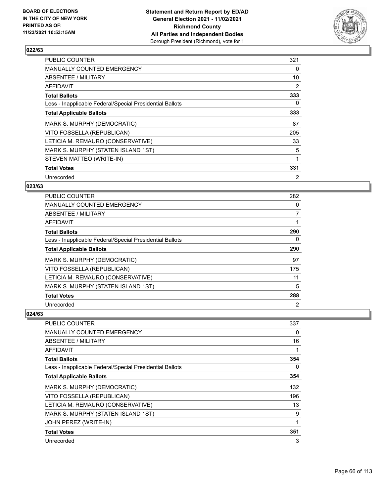

| <b>PUBLIC COUNTER</b>                                    | 321 |
|----------------------------------------------------------|-----|
| <b>MANUALLY COUNTED EMERGENCY</b>                        | 0   |
| ABSENTEE / MILITARY                                      | 10  |
| AFFIDAVIT                                                | 2   |
| <b>Total Ballots</b>                                     | 333 |
| Less - Inapplicable Federal/Special Presidential Ballots | 0   |
| <b>Total Applicable Ballots</b>                          | 333 |
| MARK S. MURPHY (DEMOCRATIC)                              | 87  |
| VITO FOSSELLA (REPUBLICAN)                               | 205 |
| LETICIA M. REMAURO (CONSERVATIVE)                        | 33  |
| MARK S. MURPHY (STATEN ISLAND 1ST)                       | 5   |
| STEVEN MATTEO (WRITE-IN)                                 | 1   |
| <b>Total Votes</b>                                       | 331 |
| Unrecorded                                               | 2   |

### **023/63**

| PUBLIC COUNTER                                           | 282            |
|----------------------------------------------------------|----------------|
| <b>MANUALLY COUNTED EMERGENCY</b>                        | 0              |
| ABSENTEE / MILITARY                                      | 7              |
| AFFIDAVIT                                                | 1              |
| <b>Total Ballots</b>                                     | 290            |
| Less - Inapplicable Federal/Special Presidential Ballots | $\Omega$       |
| <b>Total Applicable Ballots</b>                          | 290            |
| MARK S. MURPHY (DEMOCRATIC)                              | 97             |
| VITO FOSSELLA (REPUBLICAN)                               | 175            |
| LETICIA M. REMAURO (CONSERVATIVE)                        | 11             |
| MARK S. MURPHY (STATEN ISLAND 1ST)                       | 5              |
| <b>Total Votes</b>                                       | 288            |
| Unrecorded                                               | $\overline{2}$ |

| PUBLIC COUNTER                                           | 337 |
|----------------------------------------------------------|-----|
| <b>MANUALLY COUNTED EMERGENCY</b>                        | 0   |
| ABSENTEE / MILITARY                                      | 16  |
| AFFIDAVIT                                                |     |
| <b>Total Ballots</b>                                     | 354 |
| Less - Inapplicable Federal/Special Presidential Ballots | 0   |
| <b>Total Applicable Ballots</b>                          | 354 |
| MARK S. MURPHY (DEMOCRATIC)                              | 132 |
| VITO FOSSELLA (REPUBLICAN)                               | 196 |
| LETICIA M. REMAURO (CONSERVATIVE)                        | 13  |
| MARK S. MURPHY (STATEN ISLAND 1ST)                       | 9   |
| JOHN PEREZ (WRITE-IN)                                    | 1   |
| <b>Total Votes</b>                                       | 351 |
| Unrecorded                                               | 3   |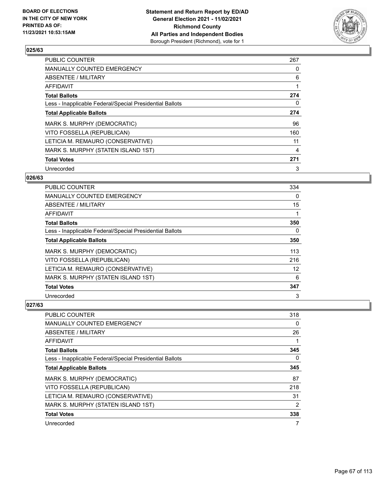

| <b>PUBLIC COUNTER</b>                                    | 267 |
|----------------------------------------------------------|-----|
| <b>MANUALLY COUNTED EMERGENCY</b>                        | 0   |
| ABSENTEE / MILITARY                                      | 6   |
| <b>AFFIDAVIT</b>                                         |     |
| <b>Total Ballots</b>                                     | 274 |
| Less - Inapplicable Federal/Special Presidential Ballots | 0   |
| <b>Total Applicable Ballots</b>                          | 274 |
| MARK S. MURPHY (DEMOCRATIC)                              | 96  |
| VITO FOSSELLA (REPUBLICAN)                               | 160 |
| LETICIA M. REMAURO (CONSERVATIVE)                        | 11  |
| MARK S. MURPHY (STATEN ISLAND 1ST)                       | 4   |
| <b>Total Votes</b>                                       | 271 |
| Unrecorded                                               | 3   |

### **026/63**

| <b>PUBLIC COUNTER</b>                                    | 334 |
|----------------------------------------------------------|-----|
| <b>MANUALLY COUNTED EMERGENCY</b>                        | 0   |
| ABSENTEE / MILITARY                                      | 15  |
| AFFIDAVIT                                                |     |
| <b>Total Ballots</b>                                     | 350 |
| Less - Inapplicable Federal/Special Presidential Ballots | 0   |
| <b>Total Applicable Ballots</b>                          | 350 |
| MARK S. MURPHY (DEMOCRATIC)                              | 113 |
| VITO FOSSELLA (REPUBLICAN)                               | 216 |
| LETICIA M. REMAURO (CONSERVATIVE)                        | 12  |
| MARK S. MURPHY (STATEN ISLAND 1ST)                       | 6   |
| <b>Total Votes</b>                                       | 347 |
| Unrecorded                                               | 3   |

| PUBLIC COUNTER                                           | 318 |
|----------------------------------------------------------|-----|
| <b>MANUALLY COUNTED EMERGENCY</b>                        | 0   |
| ABSENTEE / MILITARY                                      | 26  |
| AFFIDAVIT                                                | 1   |
| <b>Total Ballots</b>                                     | 345 |
| Less - Inapplicable Federal/Special Presidential Ballots | 0   |
| <b>Total Applicable Ballots</b>                          | 345 |
| MARK S. MURPHY (DEMOCRATIC)                              | 87  |
| VITO FOSSELLA (REPUBLICAN)                               | 218 |
| LETICIA M. REMAURO (CONSERVATIVE)                        | 31  |
| MARK S. MURPHY (STATEN ISLAND 1ST)                       | 2   |
| <b>Total Votes</b>                                       | 338 |
| Unrecorded                                               | 7   |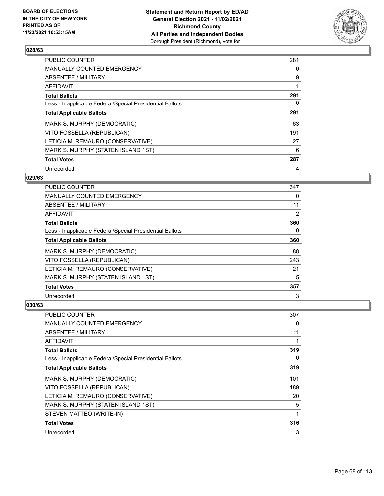

| <b>PUBLIC COUNTER</b>                                    | 281 |
|----------------------------------------------------------|-----|
| MANUALLY COUNTED EMERGENCY                               | 0   |
| <b>ABSENTEE / MILITARY</b>                               | 9   |
| AFFIDAVIT                                                |     |
| <b>Total Ballots</b>                                     | 291 |
| Less - Inapplicable Federal/Special Presidential Ballots | 0   |
| <b>Total Applicable Ballots</b>                          | 291 |
| MARK S. MURPHY (DEMOCRATIC)                              | 63  |
| VITO FOSSELLA (REPUBLICAN)                               | 191 |
| LETICIA M. REMAURO (CONSERVATIVE)                        | 27  |
| MARK S. MURPHY (STATEN ISLAND 1ST)                       | 6   |
| <b>Total Votes</b>                                       | 287 |
| Unrecorded                                               | 4   |

## **029/63**

| <b>PUBLIC COUNTER</b>                                    | 347      |
|----------------------------------------------------------|----------|
| MANUALLY COUNTED EMERGENCY                               | $\Omega$ |
| ABSENTEE / MILITARY                                      | 11       |
| AFFIDAVIT                                                | 2        |
| <b>Total Ballots</b>                                     | 360      |
| Less - Inapplicable Federal/Special Presidential Ballots | 0        |
| <b>Total Applicable Ballots</b>                          | 360      |
| MARK S. MURPHY (DEMOCRATIC)                              | 88       |
| VITO FOSSELLA (REPUBLICAN)                               | 243      |
| LETICIA M. REMAURO (CONSERVATIVE)                        | 21       |
| MARK S. MURPHY (STATEN ISLAND 1ST)                       | 5        |
| <b>Total Votes</b>                                       | 357      |
| Unrecorded                                               | 3        |

| PUBLIC COUNTER                                           | 307 |
|----------------------------------------------------------|-----|
| <b>MANUALLY COUNTED EMERGENCY</b>                        | 0   |
| ABSENTEE / MILITARY                                      | 11  |
| AFFIDAVIT                                                | 1   |
| <b>Total Ballots</b>                                     | 319 |
| Less - Inapplicable Federal/Special Presidential Ballots | 0   |
| <b>Total Applicable Ballots</b>                          | 319 |
| MARK S. MURPHY (DEMOCRATIC)                              | 101 |
| VITO FOSSELLA (REPUBLICAN)                               | 189 |
| LETICIA M. REMAURO (CONSERVATIVE)                        | 20  |
| MARK S. MURPHY (STATEN ISLAND 1ST)                       | 5   |
| STEVEN MATTEO (WRITE-IN)                                 | 1   |
| <b>Total Votes</b>                                       | 316 |
| Unrecorded                                               | 3   |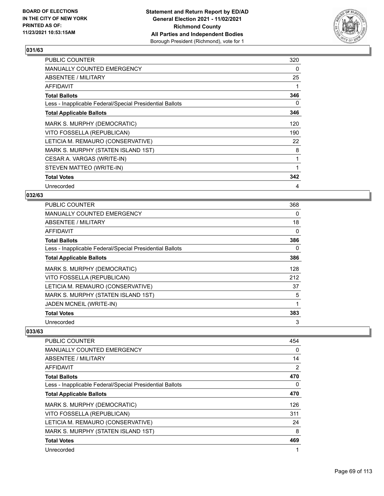

| <b>PUBLIC COUNTER</b>                                    | 320      |
|----------------------------------------------------------|----------|
| <b>MANUALLY COUNTED EMERGENCY</b>                        | $\Omega$ |
| ABSENTEE / MILITARY                                      | 25       |
| AFFIDAVIT                                                |          |
| <b>Total Ballots</b>                                     | 346      |
| Less - Inapplicable Federal/Special Presidential Ballots | 0        |
| <b>Total Applicable Ballots</b>                          | 346      |
| MARK S. MURPHY (DEMOCRATIC)                              | 120      |
| VITO FOSSELLA (REPUBLICAN)                               | 190      |
| LETICIA M. REMAURO (CONSERVATIVE)                        | 22       |
| MARK S. MURPHY (STATEN ISLAND 1ST)                       | 8        |
| CESAR A. VARGAS (WRITE-IN)                               | 1        |
| STEVEN MATTEO (WRITE-IN)                                 | 1        |
| <b>Total Votes</b>                                       | 342      |
| Unrecorded                                               | 4        |

#### **032/63**

| PUBLIC COUNTER                                           | 368 |
|----------------------------------------------------------|-----|
| <b>MANUALLY COUNTED EMERGENCY</b>                        | 0   |
| ABSENTEE / MILITARY                                      | 18  |
| AFFIDAVIT                                                | 0   |
| <b>Total Ballots</b>                                     | 386 |
| Less - Inapplicable Federal/Special Presidential Ballots | 0   |
| <b>Total Applicable Ballots</b>                          | 386 |
| MARK S. MURPHY (DEMOCRATIC)                              | 128 |
| VITO FOSSELLA (REPUBLICAN)                               | 212 |
| LETICIA M. REMAURO (CONSERVATIVE)                        | 37  |
| MARK S. MURPHY (STATEN ISLAND 1ST)                       | 5   |
| JADEN MCNEIL (WRITE-IN)                                  | 1   |
| <b>Total Votes</b>                                       | 383 |
| Unrecorded                                               | 3   |

| PUBLIC COUNTER                                           | 454 |
|----------------------------------------------------------|-----|
| <b>MANUALLY COUNTED EMERGENCY</b>                        | 0   |
| ABSENTEE / MILITARY                                      | 14  |
| <b>AFFIDAVIT</b>                                         | 2   |
| <b>Total Ballots</b>                                     | 470 |
| Less - Inapplicable Federal/Special Presidential Ballots | 0   |
| <b>Total Applicable Ballots</b>                          | 470 |
| MARK S. MURPHY (DEMOCRATIC)                              | 126 |
| VITO FOSSELLA (REPUBLICAN)                               | 311 |
| LETICIA M. REMAURO (CONSERVATIVE)                        | 24  |
| MARK S. MURPHY (STATEN ISLAND 1ST)                       | 8   |
| <b>Total Votes</b>                                       | 469 |
| Unrecorded                                               | 1   |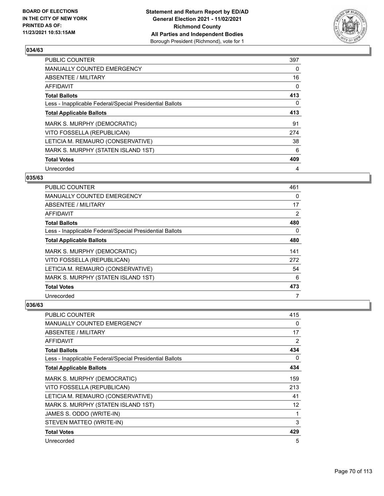

| <b>PUBLIC COUNTER</b>                                    | 397 |
|----------------------------------------------------------|-----|
| MANUALLY COUNTED EMERGENCY                               | 0   |
| <b>ABSENTEE / MILITARY</b>                               | 16  |
| AFFIDAVIT                                                | 0   |
| <b>Total Ballots</b>                                     | 413 |
| Less - Inapplicable Federal/Special Presidential Ballots | 0   |
| <b>Total Applicable Ballots</b>                          | 413 |
| MARK S. MURPHY (DEMOCRATIC)                              | 91  |
| VITO FOSSELLA (REPUBLICAN)                               | 274 |
| LETICIA M. REMAURO (CONSERVATIVE)                        | 38  |
| MARK S. MURPHY (STATEN ISLAND 1ST)                       | 6   |
| <b>Total Votes</b>                                       | 409 |
| Unrecorded                                               | 4   |

### **035/63**

| <b>PUBLIC COUNTER</b>                                    | 461      |
|----------------------------------------------------------|----------|
| MANUALLY COUNTED EMERGENCY                               | $\Omega$ |
| ABSENTEE / MILITARY                                      | 17       |
| AFFIDAVIT                                                | 2        |
| <b>Total Ballots</b>                                     | 480      |
| Less - Inapplicable Federal/Special Presidential Ballots | $\Omega$ |
| <b>Total Applicable Ballots</b>                          | 480      |
| MARK S. MURPHY (DEMOCRATIC)                              | 141      |
| VITO FOSSELLA (REPUBLICAN)                               | 272      |
| LETICIA M. REMAURO (CONSERVATIVE)                        | 54       |
| MARK S. MURPHY (STATEN ISLAND 1ST)                       | 6        |
| <b>Total Votes</b>                                       | 473      |
| Unrecorded                                               | 7        |

| PUBLIC COUNTER                                           | 415 |
|----------------------------------------------------------|-----|
| <b>MANUALLY COUNTED EMERGENCY</b>                        | 0   |
| <b>ABSENTEE / MILITARY</b>                               | 17  |
| AFFIDAVIT                                                | 2   |
| <b>Total Ballots</b>                                     | 434 |
| Less - Inapplicable Federal/Special Presidential Ballots | 0   |
| <b>Total Applicable Ballots</b>                          | 434 |
| MARK S. MURPHY (DEMOCRATIC)                              | 159 |
| VITO FOSSELLA (REPUBLICAN)                               | 213 |
| LETICIA M. REMAURO (CONSERVATIVE)                        | 41  |
| MARK S. MURPHY (STATEN ISLAND 1ST)                       | 12  |
| JAMES S. ODDO (WRITE-IN)                                 | 1   |
| STEVEN MATTEO (WRITE-IN)                                 | 3   |
| <b>Total Votes</b>                                       | 429 |
| Unrecorded                                               | 5   |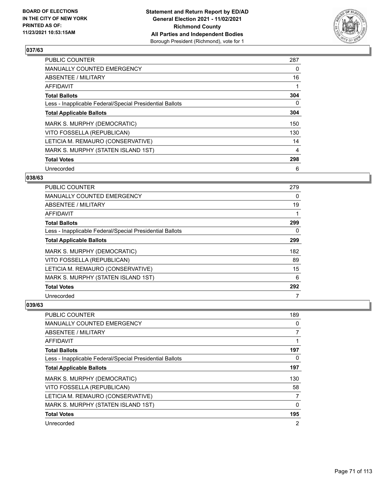

| <b>PUBLIC COUNTER</b>                                    | 287 |
|----------------------------------------------------------|-----|
| <b>MANUALLY COUNTED EMERGENCY</b>                        | 0   |
| ABSENTEE / MILITARY                                      | 16  |
| AFFIDAVIT                                                |     |
| <b>Total Ballots</b>                                     | 304 |
| Less - Inapplicable Federal/Special Presidential Ballots | 0   |
| <b>Total Applicable Ballots</b>                          | 304 |
| MARK S. MURPHY (DEMOCRATIC)                              | 150 |
| VITO FOSSELLA (REPUBLICAN)                               | 130 |
| LETICIA M. REMAURO (CONSERVATIVE)                        | 14  |
| MARK S. MURPHY (STATEN ISLAND 1ST)                       | 4   |
| <b>Total Votes</b>                                       | 298 |
| Unrecorded                                               | 6   |

### **038/63**

| PUBLIC COUNTER                                           | 279      |
|----------------------------------------------------------|----------|
| <b>MANUALLY COUNTED EMERGENCY</b>                        | $\Omega$ |
| ABSENTEE / MILITARY                                      | 19       |
| AFFIDAVIT                                                |          |
| <b>Total Ballots</b>                                     | 299      |
| Less - Inapplicable Federal/Special Presidential Ballots | 0        |
| <b>Total Applicable Ballots</b>                          | 299      |
| MARK S. MURPHY (DEMOCRATIC)                              | 182      |
| VITO FOSSELLA (REPUBLICAN)                               | 89       |
| LETICIA M. REMAURO (CONSERVATIVE)                        | 15       |
| MARK S. MURPHY (STATEN ISLAND 1ST)                       | 6        |
| <b>Total Votes</b>                                       | 292      |
| Unrecorded                                               |          |

| PUBLIC COUNTER                                           | 189      |
|----------------------------------------------------------|----------|
| <b>MANUALLY COUNTED EMERGENCY</b>                        | 0        |
| ABSENTEE / MILITARY                                      | 7        |
| AFFIDAVIT                                                |          |
| <b>Total Ballots</b>                                     | 197      |
| Less - Inapplicable Federal/Special Presidential Ballots | $\Omega$ |
| <b>Total Applicable Ballots</b>                          | 197      |
| MARK S. MURPHY (DEMOCRATIC)                              | 130      |
| VITO FOSSELLA (REPUBLICAN)                               | 58       |
| LETICIA M. REMAURO (CONSERVATIVE)                        | 7        |
| MARK S. MURPHY (STATEN ISLAND 1ST)                       | $\Omega$ |
| <b>Total Votes</b>                                       | 195      |
| Unrecorded                                               | 2        |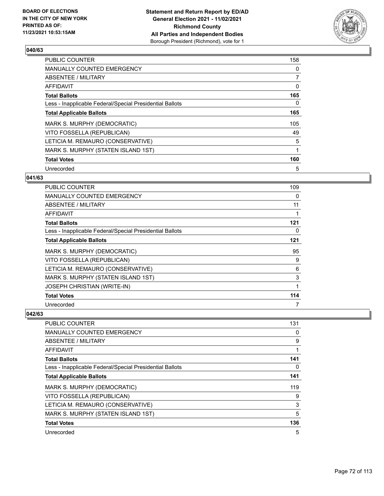

| <b>PUBLIC COUNTER</b>                                    | 158 |
|----------------------------------------------------------|-----|
| MANUALLY COUNTED EMERGENCY                               | 0   |
| ABSENTEE / MILITARY                                      | 7   |
| AFFIDAVIT                                                | 0   |
| <b>Total Ballots</b>                                     | 165 |
| Less - Inapplicable Federal/Special Presidential Ballots | 0   |
| <b>Total Applicable Ballots</b>                          | 165 |
| MARK S. MURPHY (DEMOCRATIC)                              | 105 |
| VITO FOSSELLA (REPUBLICAN)                               | 49  |
| LETICIA M. REMAURO (CONSERVATIVE)                        | 5   |
| MARK S. MURPHY (STATEN ISLAND 1ST)                       | 1   |
| <b>Total Votes</b>                                       | 160 |
| Unrecorded                                               | 5   |

### **041/63**

| <b>PUBLIC COUNTER</b>                                    | 109 |
|----------------------------------------------------------|-----|
| MANUALLY COUNTED EMERGENCY                               | 0   |
| ABSENTEE / MILITARY                                      | 11  |
| <b>AFFIDAVIT</b>                                         | 1   |
| <b>Total Ballots</b>                                     | 121 |
| Less - Inapplicable Federal/Special Presidential Ballots | 0   |
| <b>Total Applicable Ballots</b>                          | 121 |
| MARK S. MURPHY (DEMOCRATIC)                              | 95  |
| VITO FOSSELLA (REPUBLICAN)                               | 9   |
| LETICIA M. REMAURO (CONSERVATIVE)                        | 6   |
| MARK S. MURPHY (STATEN ISLAND 1ST)                       | 3   |
| <b>JOSEPH CHRISTIAN (WRITE-IN)</b>                       | 1   |
| <b>Total Votes</b>                                       | 114 |
| Unrecorded                                               | 7   |

| <b>PUBLIC COUNTER</b>                                    | 131      |
|----------------------------------------------------------|----------|
| MANUALLY COUNTED EMERGENCY                               | $\Omega$ |
| ABSENTEE / MILITARY                                      | 9        |
| AFFIDAVIT                                                |          |
| <b>Total Ballots</b>                                     | 141      |
| Less - Inapplicable Federal/Special Presidential Ballots | $\Omega$ |
| <b>Total Applicable Ballots</b>                          | 141      |
| MARK S. MURPHY (DEMOCRATIC)                              | 119      |
| VITO FOSSELLA (REPUBLICAN)                               | 9        |
| LETICIA M. REMAURO (CONSERVATIVE)                        | 3        |
| MARK S. MURPHY (STATEN ISLAND 1ST)                       | 5        |
| <b>Total Votes</b>                                       | 136      |
| Unrecorded                                               | 5        |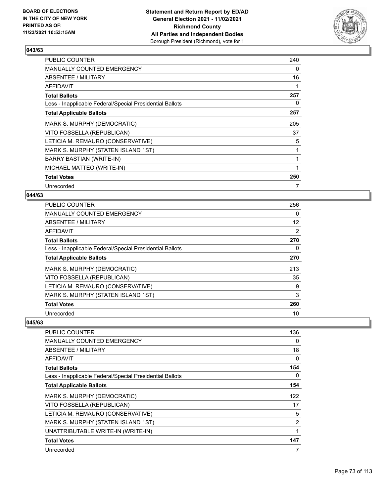

| <b>PUBLIC COUNTER</b>                                    | 240 |
|----------------------------------------------------------|-----|
| <b>MANUALLY COUNTED EMERGENCY</b>                        | 0   |
| ABSENTEE / MILITARY                                      | 16  |
| AFFIDAVIT                                                |     |
| <b>Total Ballots</b>                                     | 257 |
| Less - Inapplicable Federal/Special Presidential Ballots | 0   |
| <b>Total Applicable Ballots</b>                          | 257 |
| MARK S. MURPHY (DEMOCRATIC)                              | 205 |
| VITO FOSSELLA (REPUBLICAN)                               | 37  |
| LETICIA M. REMAURO (CONSERVATIVE)                        | 5   |
| MARK S. MURPHY (STATEN ISLAND 1ST)                       |     |
| BARRY BASTIAN (WRITE-IN)                                 |     |
| MICHAEL MATTEO (WRITE-IN)                                | 1   |
| <b>Total Votes</b>                                       | 250 |
| Unrecorded                                               |     |

## **044/63**

| PUBLIC COUNTER                                           | 256               |
|----------------------------------------------------------|-------------------|
| MANUALLY COUNTED EMERGENCY                               | 0                 |
| ABSENTEE / MILITARY                                      | $12 \overline{ }$ |
| AFFIDAVIT                                                | $\overline{2}$    |
| <b>Total Ballots</b>                                     | 270               |
| Less - Inapplicable Federal/Special Presidential Ballots | 0                 |
| <b>Total Applicable Ballots</b>                          | 270               |
| MARK S. MURPHY (DEMOCRATIC)                              | 213               |
| VITO FOSSELLA (REPUBLICAN)                               | 35                |
| LETICIA M. REMAURO (CONSERVATIVE)                        | 9                 |
| MARK S. MURPHY (STATEN ISLAND 1ST)                       | 3                 |
| <b>Total Votes</b>                                       | 260               |
| Unrecorded                                               | 10                |

| PUBLIC COUNTER                                           | 136      |
|----------------------------------------------------------|----------|
| <b>MANUALLY COUNTED EMERGENCY</b>                        | $\Omega$ |
| <b>ABSENTEE / MILITARY</b>                               | 18       |
| AFFIDAVIT                                                | $\Omega$ |
| <b>Total Ballots</b>                                     | 154      |
| Less - Inapplicable Federal/Special Presidential Ballots | 0        |
| <b>Total Applicable Ballots</b>                          | 154      |
| MARK S. MURPHY (DEMOCRATIC)                              | 122      |
| VITO FOSSELLA (REPUBLICAN)                               | 17       |
| LETICIA M. REMAURO (CONSERVATIVE)                        | 5        |
| MARK S. MURPHY (STATEN ISLAND 1ST)                       | 2        |
| UNATTRIBUTABLE WRITE-IN (WRITE-IN)                       |          |
| <b>Total Votes</b>                                       | 147      |
| Unrecorded                                               | 7        |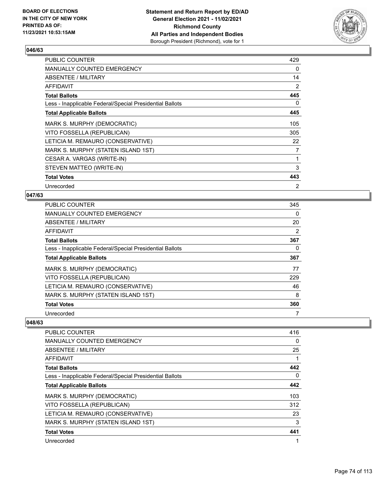

| <b>PUBLIC COUNTER</b>                                    | 429      |
|----------------------------------------------------------|----------|
| MANUALLY COUNTED EMERGENCY                               | $\Omega$ |
| ABSENTEE / MILITARY                                      | 14       |
| AFFIDAVIT                                                | 2        |
| <b>Total Ballots</b>                                     | 445      |
| Less - Inapplicable Federal/Special Presidential Ballots | $\Omega$ |
| <b>Total Applicable Ballots</b>                          | 445      |
| MARK S. MURPHY (DEMOCRATIC)                              | 105      |
| VITO FOSSELLA (REPUBLICAN)                               | 305      |
| LETICIA M. REMAURO (CONSERVATIVE)                        | 22       |
| MARK S. MURPHY (STATEN ISLAND 1ST)                       | 7        |
| CESAR A. VARGAS (WRITE-IN)                               | 1        |
| STEVEN MATTEO (WRITE-IN)                                 | 3        |
| <b>Total Votes</b>                                       | 443      |
| Unrecorded                                               | 2        |

## **047/63**

| <b>PUBLIC COUNTER</b>                                    | 345 |
|----------------------------------------------------------|-----|
| <b>MANUALLY COUNTED EMERGENCY</b>                        | 0   |
| <b>ABSENTEE / MILITARY</b>                               | 20  |
| AFFIDAVIT                                                | 2   |
| <b>Total Ballots</b>                                     | 367 |
| Less - Inapplicable Federal/Special Presidential Ballots | 0   |
| <b>Total Applicable Ballots</b>                          | 367 |
| MARK S. MURPHY (DEMOCRATIC)                              | 77  |
| VITO FOSSELLA (REPUBLICAN)                               | 229 |
| LETICIA M. REMAURO (CONSERVATIVE)                        | 46  |
| MARK S. MURPHY (STATEN ISLAND 1ST)                       | 8   |
| <b>Total Votes</b>                                       | 360 |
| Unrecorded                                               | 7   |

| <b>PUBLIC COUNTER</b>                                    | 416      |
|----------------------------------------------------------|----------|
| <b>MANUALLY COUNTED EMERGENCY</b>                        | 0        |
| ABSENTEE / MILITARY                                      | 25       |
| AFFIDAVIT                                                |          |
| <b>Total Ballots</b>                                     | 442      |
| Less - Inapplicable Federal/Special Presidential Ballots | $\Omega$ |
| <b>Total Applicable Ballots</b>                          | 442      |
| MARK S. MURPHY (DEMOCRATIC)                              | 103      |
| VITO FOSSELLA (REPUBLICAN)                               | 312      |
| LETICIA M. REMAURO (CONSERVATIVE)                        | 23       |
| MARK S. MURPHY (STATEN ISLAND 1ST)                       | 3        |
| <b>Total Votes</b>                                       | 441      |
| Unrecorded                                               |          |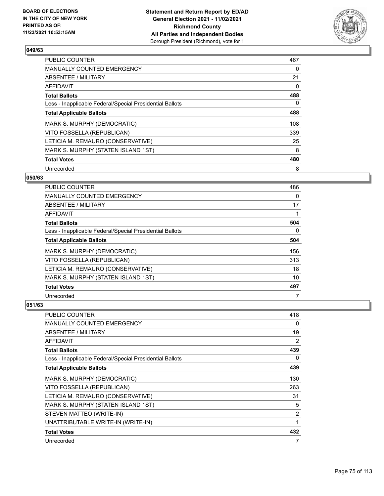

| <b>PUBLIC COUNTER</b>                                    | 467 |
|----------------------------------------------------------|-----|
| <b>MANUALLY COUNTED EMERGENCY</b>                        | 0   |
| ABSENTEE / MILITARY                                      | 21  |
| AFFIDAVIT                                                | 0   |
| <b>Total Ballots</b>                                     | 488 |
| Less - Inapplicable Federal/Special Presidential Ballots | 0   |
| <b>Total Applicable Ballots</b>                          | 488 |
| MARK S. MURPHY (DEMOCRATIC)                              | 108 |
| VITO FOSSELLA (REPUBLICAN)                               | 339 |
| LETICIA M. REMAURO (CONSERVATIVE)                        | 25  |
| MARK S. MURPHY (STATEN ISLAND 1ST)                       | 8   |
| <b>Total Votes</b>                                       | 480 |
| Unrecorded                                               | 8   |

#### **050/63**

| <b>PUBLIC COUNTER</b>                                    | 486      |
|----------------------------------------------------------|----------|
| <b>MANUALLY COUNTED EMERGENCY</b>                        | $\Omega$ |
| ABSENTEE / MILITARY                                      | 17       |
| <b>AFFIDAVIT</b>                                         |          |
| <b>Total Ballots</b>                                     | 504      |
| Less - Inapplicable Federal/Special Presidential Ballots | $\Omega$ |
| <b>Total Applicable Ballots</b>                          | 504      |
| MARK S. MURPHY (DEMOCRATIC)                              | 156      |
| VITO FOSSELLA (REPUBLICAN)                               | 313      |
| LETICIA M. REMAURO (CONSERVATIVE)                        | 18       |
| MARK S. MURPHY (STATEN ISLAND 1ST)                       | 10       |
| <b>Total Votes</b>                                       | 497      |
| Unrecorded                                               |          |

| PUBLIC COUNTER                                           | 418            |
|----------------------------------------------------------|----------------|
| MANUALLY COUNTED EMERGENCY                               | 0              |
| ABSENTEE / MILITARY                                      | 19             |
| AFFIDAVIT                                                | 2              |
| <b>Total Ballots</b>                                     | 439            |
| Less - Inapplicable Federal/Special Presidential Ballots | 0              |
| <b>Total Applicable Ballots</b>                          | 439            |
| MARK S. MURPHY (DEMOCRATIC)                              | 130            |
| VITO FOSSELLA (REPUBLICAN)                               | 263            |
| LETICIA M. REMAURO (CONSERVATIVE)                        | 31             |
| MARK S. MURPHY (STATEN ISLAND 1ST)                       | 5              |
| STEVEN MATTEO (WRITE-IN)                                 | $\overline{2}$ |
| UNATTRIBUTABLE WRITE-IN (WRITE-IN)                       | 1              |
| <b>Total Votes</b>                                       | 432            |
| Unrecorded                                               | 7              |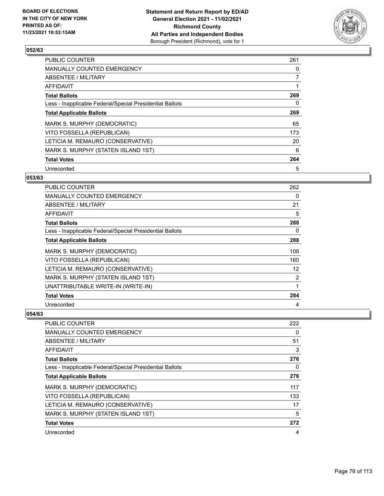

| <b>PUBLIC COUNTER</b>                                    | 261 |
|----------------------------------------------------------|-----|
| <b>MANUALLY COUNTED EMERGENCY</b>                        | 0   |
| ABSENTEE / MILITARY                                      | 7   |
| <b>AFFIDAVIT</b>                                         |     |
| <b>Total Ballots</b>                                     | 269 |
| Less - Inapplicable Federal/Special Presidential Ballots | 0   |
| <b>Total Applicable Ballots</b>                          | 269 |
| MARK S. MURPHY (DEMOCRATIC)                              | 65  |
| VITO FOSSELLA (REPUBLICAN)                               | 173 |
| LETICIA M. REMAURO (CONSERVATIVE)                        | 20  |
| MARK S. MURPHY (STATEN ISLAND 1ST)                       | 6   |
| <b>Total Votes</b>                                       | 264 |
| Unrecorded                                               | 5   |

## **053/63**

| <b>PUBLIC COUNTER</b>                                    | 262 |
|----------------------------------------------------------|-----|
| <b>MANUALLY COUNTED EMERGENCY</b>                        | 0   |
| ABSENTEE / MILITARY                                      | 21  |
| AFFIDAVIT                                                | 5   |
| <b>Total Ballots</b>                                     | 288 |
| Less - Inapplicable Federal/Special Presidential Ballots | 0   |
| <b>Total Applicable Ballots</b>                          | 288 |
| MARK S. MURPHY (DEMOCRATIC)                              | 109 |
| VITO FOSSELLA (REPUBLICAN)                               | 160 |
| LETICIA M. REMAURO (CONSERVATIVE)                        | 12  |
| MARK S. MURPHY (STATEN ISLAND 1ST)                       | 2   |
| UNATTRIBUTABLE WRITE-IN (WRITE-IN)                       | 1   |
| <b>Total Votes</b>                                       | 284 |
| Unrecorded                                               | 4   |

| PUBLIC COUNTER                                           | 222 |
|----------------------------------------------------------|-----|
| <b>MANUALLY COUNTED EMERGENCY</b>                        | 0   |
| ABSENTEE / MILITARY                                      | 51  |
| AFFIDAVIT                                                | 3   |
| <b>Total Ballots</b>                                     | 276 |
| Less - Inapplicable Federal/Special Presidential Ballots | 0   |
| <b>Total Applicable Ballots</b>                          | 276 |
| MARK S. MURPHY (DEMOCRATIC)                              | 117 |
| VITO FOSSELLA (REPUBLICAN)                               | 133 |
| LETICIA M. REMAURO (CONSERVATIVE)                        | 17  |
| MARK S. MURPHY (STATEN ISLAND 1ST)                       | 5   |
| <b>Total Votes</b>                                       | 272 |
| Unrecorded                                               | 4   |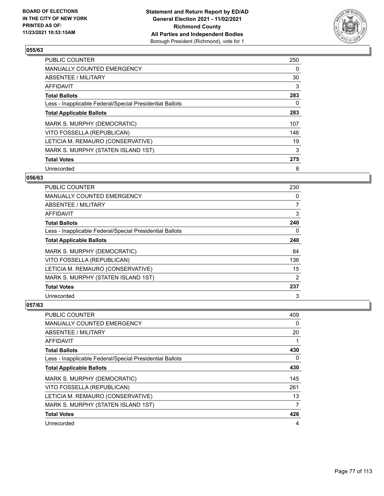

| <b>PUBLIC COUNTER</b>                                    | 250 |
|----------------------------------------------------------|-----|
| <b>MANUALLY COUNTED EMERGENCY</b>                        | 0   |
| ABSENTEE / MILITARY                                      | 30  |
| AFFIDAVIT                                                | 3   |
| <b>Total Ballots</b>                                     | 283 |
| Less - Inapplicable Federal/Special Presidential Ballots | 0   |
| <b>Total Applicable Ballots</b>                          | 283 |
| MARK S. MURPHY (DEMOCRATIC)                              | 107 |
| VITO FOSSELLA (REPUBLICAN)                               | 146 |
| LETICIA M. REMAURO (CONSERVATIVE)                        | 19  |
| MARK S. MURPHY (STATEN ISLAND 1ST)                       | 3   |
| <b>Total Votes</b>                                       | 275 |
| Unrecorded                                               | 8   |

#### **056/63**

| <b>PUBLIC COUNTER</b>                                    | 230            |
|----------------------------------------------------------|----------------|
| <b>MANUALLY COUNTED EMERGENCY</b>                        | 0              |
| ABSENTEE / MILITARY                                      | $\overline{7}$ |
| AFFIDAVIT                                                | 3              |
| <b>Total Ballots</b>                                     | 240            |
| Less - Inapplicable Federal/Special Presidential Ballots | $\Omega$       |
| <b>Total Applicable Ballots</b>                          | 240            |
| MARK S. MURPHY (DEMOCRATIC)                              | 84             |
| VITO FOSSELLA (REPUBLICAN)                               | 136            |
| LETICIA M. REMAURO (CONSERVATIVE)                        | 15             |
| MARK S. MURPHY (STATEN ISLAND 1ST)                       | 2              |
| <b>Total Votes</b>                                       | 237            |
| Unrecorded                                               | 3              |

| <b>PUBLIC COUNTER</b>                                    | 409 |
|----------------------------------------------------------|-----|
| <b>MANUALLY COUNTED EMERGENCY</b>                        | 0   |
| ABSENTEE / MILITARY                                      | 20  |
| AFFIDAVIT                                                | 1   |
| <b>Total Ballots</b>                                     | 430 |
| Less - Inapplicable Federal/Special Presidential Ballots | 0   |
| <b>Total Applicable Ballots</b>                          | 430 |
| MARK S. MURPHY (DEMOCRATIC)                              | 145 |
| VITO FOSSELLA (REPUBLICAN)                               | 261 |
| LETICIA M. REMAURO (CONSERVATIVE)                        | 13  |
| MARK S. MURPHY (STATEN ISLAND 1ST)                       | 7   |
| <b>Total Votes</b>                                       | 426 |
| Unrecorded                                               | 4   |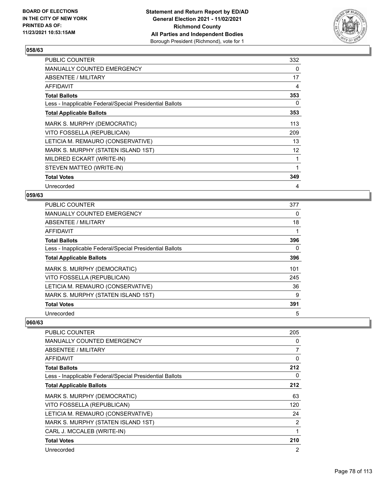

| <b>PUBLIC COUNTER</b>                                    | 332 |
|----------------------------------------------------------|-----|
| <b>MANUALLY COUNTED EMERGENCY</b>                        | 0   |
| ABSENTEE / MILITARY                                      | 17  |
| <b>AFFIDAVIT</b>                                         | 4   |
| <b>Total Ballots</b>                                     | 353 |
| Less - Inapplicable Federal/Special Presidential Ballots | 0   |
| <b>Total Applicable Ballots</b>                          | 353 |
| MARK S. MURPHY (DEMOCRATIC)                              | 113 |
| VITO FOSSELLA (REPUBLICAN)                               | 209 |
| LETICIA M. REMAURO (CONSERVATIVE)                        | 13  |
| MARK S. MURPHY (STATEN ISLAND 1ST)                       | 12  |
| MILDRED ECKART (WRITE-IN)                                |     |
| STEVEN MATTEO (WRITE-IN)                                 | 1   |
| <b>Total Votes</b>                                       | 349 |
| Unrecorded                                               | 4   |

## **059/63**

| PUBLIC COUNTER                                           | 377 |
|----------------------------------------------------------|-----|
| <b>MANUALLY COUNTED EMERGENCY</b>                        | 0   |
| ABSENTEE / MILITARY                                      | 18  |
| AFFIDAVIT                                                |     |
| <b>Total Ballots</b>                                     | 396 |
| Less - Inapplicable Federal/Special Presidential Ballots | 0   |
| <b>Total Applicable Ballots</b>                          | 396 |
| MARK S. MURPHY (DEMOCRATIC)                              | 101 |
| VITO FOSSELLA (REPUBLICAN)                               | 245 |
| LETICIA M. REMAURO (CONSERVATIVE)                        | 36  |
| MARK S. MURPHY (STATEN ISLAND 1ST)                       | 9   |
| <b>Total Votes</b>                                       | 391 |
| Unrecorded                                               | 5   |

| <b>PUBLIC COUNTER</b>                                    | 205      |
|----------------------------------------------------------|----------|
| <b>MANUALLY COUNTED EMERGENCY</b>                        | 0        |
| <b>ABSENTEE / MILITARY</b>                               | 7        |
| AFFIDAVIT                                                | $\Omega$ |
| <b>Total Ballots</b>                                     | 212      |
| Less - Inapplicable Federal/Special Presidential Ballots | 0        |
| <b>Total Applicable Ballots</b>                          | 212      |
| MARK S. MURPHY (DEMOCRATIC)                              | 63       |
| VITO FOSSELLA (REPUBLICAN)                               | 120      |
| LETICIA M. REMAURO (CONSERVATIVE)                        | 24       |
| MARK S. MURPHY (STATEN ISLAND 1ST)                       | 2        |
| CARL J. MCCALEB (WRITE-IN)                               |          |
| <b>Total Votes</b>                                       | 210      |
| Unrecorded                                               | 2        |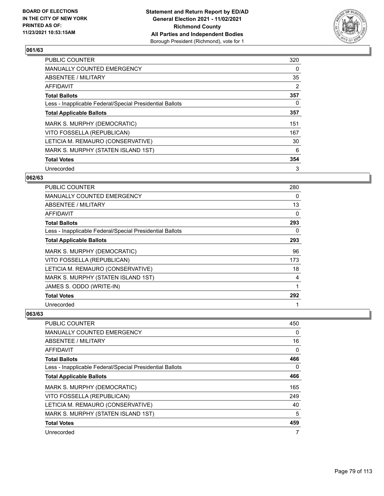

| <b>PUBLIC COUNTER</b>                                    | 320 |
|----------------------------------------------------------|-----|
| <b>MANUALLY COUNTED EMERGENCY</b>                        | 0   |
| ABSENTEE / MILITARY                                      | 35  |
| <b>AFFIDAVIT</b>                                         | 2   |
| <b>Total Ballots</b>                                     | 357 |
| Less - Inapplicable Federal/Special Presidential Ballots | 0   |
| <b>Total Applicable Ballots</b>                          | 357 |
| MARK S. MURPHY (DEMOCRATIC)                              | 151 |
| VITO FOSSELLA (REPUBLICAN)                               | 167 |
| LETICIA M. REMAURO (CONSERVATIVE)                        | 30  |
| MARK S. MURPHY (STATEN ISLAND 1ST)                       | 6   |
| <b>Total Votes</b>                                       | 354 |
| Unrecorded                                               | 3   |

## **062/63**

| <b>PUBLIC COUNTER</b>                                    | 280 |
|----------------------------------------------------------|-----|
| <b>MANUALLY COUNTED EMERGENCY</b>                        | 0   |
| ABSENTEE / MILITARY                                      | 13  |
| <b>AFFIDAVIT</b>                                         | 0   |
| <b>Total Ballots</b>                                     | 293 |
| Less - Inapplicable Federal/Special Presidential Ballots | 0   |
| <b>Total Applicable Ballots</b>                          | 293 |
| MARK S. MURPHY (DEMOCRATIC)                              | 96  |
| VITO FOSSELLA (REPUBLICAN)                               | 173 |
| LETICIA M. REMAURO (CONSERVATIVE)                        | 18  |
| MARK S. MURPHY (STATEN ISLAND 1ST)                       | 4   |
| JAMES S. ODDO (WRITE-IN)                                 | 1   |
| <b>Total Votes</b>                                       | 292 |
| Unrecorded                                               | 1   |

| PUBLIC COUNTER                                           | 450      |
|----------------------------------------------------------|----------|
| <b>MANUALLY COUNTED EMERGENCY</b>                        | $\Omega$ |
| ABSENTEE / MILITARY                                      | 16       |
| AFFIDAVIT                                                | 0        |
| <b>Total Ballots</b>                                     | 466      |
| Less - Inapplicable Federal/Special Presidential Ballots | 0        |
| <b>Total Applicable Ballots</b>                          | 466      |
| MARK S. MURPHY (DEMOCRATIC)                              | 165      |
| VITO FOSSELLA (REPUBLICAN)                               | 249      |
| LETICIA M. REMAURO (CONSERVATIVE)                        | 40       |
| MARK S. MURPHY (STATEN ISLAND 1ST)                       | 5        |
| <b>Total Votes</b>                                       | 459      |
| Unrecorded                                               | 7        |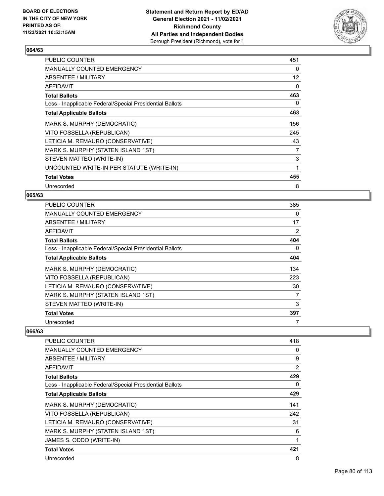

| 451 |
|-----|
| 0   |
| 12  |
| 0   |
| 463 |
| 0   |
| 463 |
| 156 |
| 245 |
| 43  |
| 7   |
| 3   |
| 1   |
| 455 |
| 8   |
|     |

# **065/63**

| PUBLIC COUNTER                                           | 385            |
|----------------------------------------------------------|----------------|
| <b>MANUALLY COUNTED EMERGENCY</b>                        | 0              |
| ABSENTEE / MILITARY                                      | 17             |
| <b>AFFIDAVIT</b>                                         | $\overline{2}$ |
| <b>Total Ballots</b>                                     | 404            |
| Less - Inapplicable Federal/Special Presidential Ballots | $\Omega$       |
| <b>Total Applicable Ballots</b>                          | 404            |
| MARK S. MURPHY (DEMOCRATIC)                              | 134            |
| VITO FOSSELLA (REPUBLICAN)                               | 223            |
| LETICIA M. REMAURO (CONSERVATIVE)                        | 30             |
| MARK S. MURPHY (STATEN ISLAND 1ST)                       | 7              |
| STEVEN MATTEO (WRITE-IN)                                 | 3              |
| <b>Total Votes</b>                                       | 397            |
| Unrecorded                                               |                |

| PUBLIC COUNTER                                           | 418 |
|----------------------------------------------------------|-----|
| <b>MANUALLY COUNTED EMERGENCY</b>                        | 0   |
| ABSENTEE / MILITARY                                      | 9   |
| AFFIDAVIT                                                | 2   |
| <b>Total Ballots</b>                                     | 429 |
| Less - Inapplicable Federal/Special Presidential Ballots | 0   |
| <b>Total Applicable Ballots</b>                          | 429 |
| MARK S. MURPHY (DEMOCRATIC)                              | 141 |
| VITO FOSSELLA (REPUBLICAN)                               | 242 |
| LETICIA M. REMAURO (CONSERVATIVE)                        | 31  |
| MARK S. MURPHY (STATEN ISLAND 1ST)                       | 6   |
| JAMES S. ODDO (WRITE-IN)                                 | 1   |
| <b>Total Votes</b>                                       | 421 |
| Unrecorded                                               | 8   |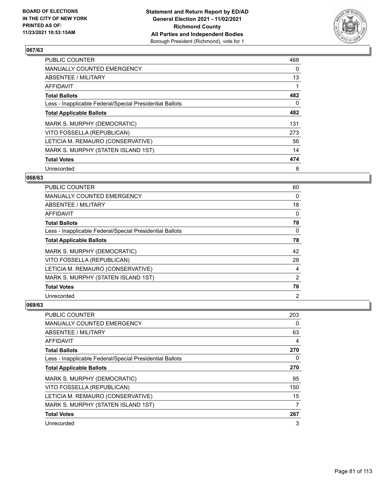

| <b>PUBLIC COUNTER</b>                                    | 468 |
|----------------------------------------------------------|-----|
| <b>MANUALLY COUNTED EMERGENCY</b>                        | 0   |
| ABSENTEE / MILITARY                                      | 13  |
| <b>AFFIDAVIT</b>                                         |     |
| <b>Total Ballots</b>                                     | 482 |
| Less - Inapplicable Federal/Special Presidential Ballots | 0   |
| <b>Total Applicable Ballots</b>                          | 482 |
| MARK S. MURPHY (DEMOCRATIC)                              | 131 |
| VITO FOSSELLA (REPUBLICAN)                               | 273 |
| LETICIA M. REMAURO (CONSERVATIVE)                        | 56  |
| MARK S. MURPHY (STATEN ISLAND 1ST)                       | 14  |
| <b>Total Votes</b>                                       | 474 |
| Unrecorded                                               | 8   |

## **068/63**

| PUBLIC COUNTER                                           | 60             |
|----------------------------------------------------------|----------------|
| <b>MANUALLY COUNTED EMERGENCY</b>                        | $\Omega$       |
| ABSENTEE / MILITARY                                      | 18             |
| AFFIDAVIT                                                | 0              |
| <b>Total Ballots</b>                                     | 78             |
| Less - Inapplicable Federal/Special Presidential Ballots | 0              |
| <b>Total Applicable Ballots</b>                          | 78             |
| MARK S. MURPHY (DEMOCRATIC)                              | 42             |
| VITO FOSSELLA (REPUBLICAN)                               | 28             |
| LETICIA M. REMAURO (CONSERVATIVE)                        | 4              |
| MARK S. MURPHY (STATEN ISLAND 1ST)                       | $\overline{2}$ |
| <b>Total Votes</b>                                       | 76             |
| Unrecorded                                               | $\overline{2}$ |

| <b>PUBLIC COUNTER</b>                                    | 203 |
|----------------------------------------------------------|-----|
| <b>MANUALLY COUNTED EMERGENCY</b>                        | 0   |
| ABSENTEE / MILITARY                                      | 63  |
| AFFIDAVIT                                                | 4   |
| <b>Total Ballots</b>                                     | 270 |
| Less - Inapplicable Federal/Special Presidential Ballots | 0   |
| <b>Total Applicable Ballots</b>                          | 270 |
| MARK S. MURPHY (DEMOCRATIC)                              | 95  |
| VITO FOSSELLA (REPUBLICAN)                               | 150 |
| LETICIA M. REMAURO (CONSERVATIVE)                        | 15  |
| MARK S. MURPHY (STATEN ISLAND 1ST)                       | 7   |
| <b>Total Votes</b>                                       | 267 |
| Unrecorded                                               | 3   |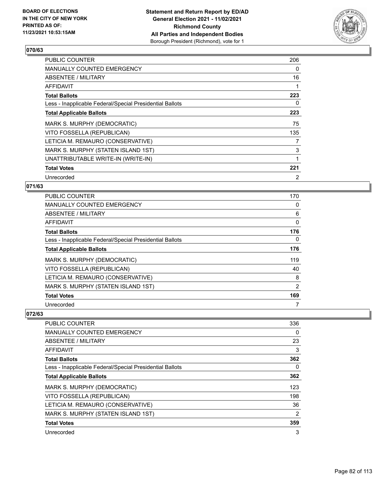

| <b>PUBLIC COUNTER</b>                                    | 206 |
|----------------------------------------------------------|-----|
| MANUALLY COUNTED EMERGENCY                               | 0   |
| ABSENTEE / MILITARY                                      | 16  |
| <b>AFFIDAVIT</b>                                         |     |
| <b>Total Ballots</b>                                     | 223 |
| Less - Inapplicable Federal/Special Presidential Ballots | 0   |
| <b>Total Applicable Ballots</b>                          | 223 |
| MARK S. MURPHY (DEMOCRATIC)                              | 75  |
| VITO FOSSELLA (REPUBLICAN)                               | 135 |
| LETICIA M. REMAURO (CONSERVATIVE)                        | 7   |
| MARK S. MURPHY (STATEN ISLAND 1ST)                       | 3   |
| UNATTRIBUTABLE WRITE-IN (WRITE-IN)                       |     |
| <b>Total Votes</b>                                       | 221 |
| Unrecorded                                               | 2   |

## **071/63**

| PUBLIC COUNTER                                           | 170 |
|----------------------------------------------------------|-----|
| <b>MANUALLY COUNTED EMERGENCY</b>                        | 0   |
| ABSENTEE / MILITARY                                      | 6   |
| AFFIDAVIT                                                | 0   |
| <b>Total Ballots</b>                                     | 176 |
| Less - Inapplicable Federal/Special Presidential Ballots | 0   |
| <b>Total Applicable Ballots</b>                          | 176 |
| MARK S. MURPHY (DEMOCRATIC)                              | 119 |
| VITO FOSSELLA (REPUBLICAN)                               | 40  |
| LETICIA M. REMAURO (CONSERVATIVE)                        | 8   |
| MARK S. MURPHY (STATEN ISLAND 1ST)                       | 2   |
| <b>Total Votes</b>                                       | 169 |
| Unrecorded                                               |     |

| <b>PUBLIC COUNTER</b>                                    | 336            |
|----------------------------------------------------------|----------------|
| <b>MANUALLY COUNTED EMERGENCY</b>                        | $\Omega$       |
| ABSENTEE / MILITARY                                      | 23             |
| AFFIDAVIT                                                | 3              |
| <b>Total Ballots</b>                                     | 362            |
| Less - Inapplicable Federal/Special Presidential Ballots | 0              |
| <b>Total Applicable Ballots</b>                          | 362            |
| MARK S. MURPHY (DEMOCRATIC)                              | 123            |
| VITO FOSSELLA (REPUBLICAN)                               | 198            |
| LETICIA M. REMAURO (CONSERVATIVE)                        | 36             |
| MARK S. MURPHY (STATEN ISLAND 1ST)                       | $\overline{2}$ |
| <b>Total Votes</b>                                       | 359            |
| Unrecorded                                               | 3              |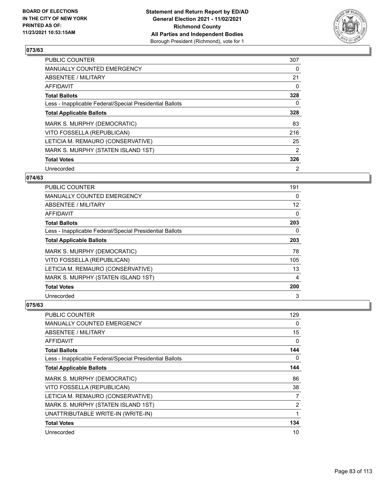

| <b>PUBLIC COUNTER</b>                                    | 307 |
|----------------------------------------------------------|-----|
| <b>MANUALLY COUNTED EMERGENCY</b>                        | 0   |
| ABSENTEE / MILITARY                                      | 21  |
| <b>AFFIDAVIT</b>                                         | 0   |
| <b>Total Ballots</b>                                     | 328 |
| Less - Inapplicable Federal/Special Presidential Ballots | 0   |
| <b>Total Applicable Ballots</b>                          | 328 |
| MARK S. MURPHY (DEMOCRATIC)                              | 83  |
| VITO FOSSELLA (REPUBLICAN)                               | 216 |
| LETICIA M. REMAURO (CONSERVATIVE)                        | 25  |
| MARK S. MURPHY (STATEN ISLAND 1ST)                       | 2   |
| <b>Total Votes</b>                                       | 326 |
| Unrecorded                                               | 2   |

## **074/63**

| PUBLIC COUNTER                                           | 191      |
|----------------------------------------------------------|----------|
| <b>MANUALLY COUNTED EMERGENCY</b>                        | $\Omega$ |
| ABSENTEE / MILITARY                                      | 12       |
| AFFIDAVIT                                                | 0        |
| <b>Total Ballots</b>                                     | 203      |
| Less - Inapplicable Federal/Special Presidential Ballots | 0        |
| <b>Total Applicable Ballots</b>                          | 203      |
| MARK S. MURPHY (DEMOCRATIC)                              | 78       |
| VITO FOSSELLA (REPUBLICAN)                               | 105      |
| LETICIA M. REMAURO (CONSERVATIVE)                        | 13       |
| MARK S. MURPHY (STATEN ISLAND 1ST)                       | 4        |
| <b>Total Votes</b>                                       | 200      |
| Unrecorded                                               | 3        |

| PUBLIC COUNTER                                           | 129            |
|----------------------------------------------------------|----------------|
| <b>MANUALLY COUNTED EMERGENCY</b>                        | 0              |
| ABSENTEE / MILITARY                                      | 15             |
| AFFIDAVIT                                                | 0              |
| <b>Total Ballots</b>                                     | 144            |
| Less - Inapplicable Federal/Special Presidential Ballots | 0              |
| <b>Total Applicable Ballots</b>                          | 144            |
| MARK S. MURPHY (DEMOCRATIC)                              | 86             |
| VITO FOSSELLA (REPUBLICAN)                               | 38             |
| LETICIA M. REMAURO (CONSERVATIVE)                        | 7              |
| MARK S. MURPHY (STATEN ISLAND 1ST)                       | $\overline{2}$ |
| UNATTRIBUTABLE WRITE-IN (WRITE-IN)                       | 1              |
| <b>Total Votes</b>                                       | 134            |
| Unrecorded                                               | 10             |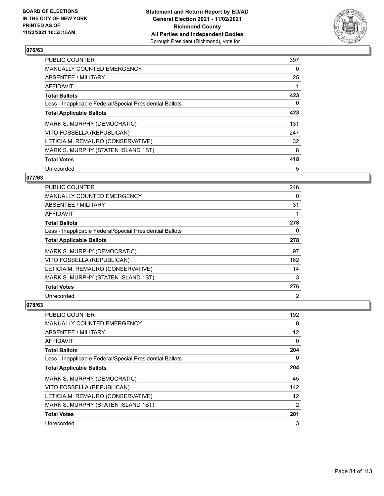

| <b>PUBLIC COUNTER</b>                                    | 397 |
|----------------------------------------------------------|-----|
| MANUALLY COUNTED EMERGENCY                               | 0   |
| ABSENTEE / MILITARY                                      | 25  |
| <b>AFFIDAVIT</b>                                         |     |
| <b>Total Ballots</b>                                     | 423 |
| Less - Inapplicable Federal/Special Presidential Ballots | 0   |
| <b>Total Applicable Ballots</b>                          | 423 |
| MARK S. MURPHY (DEMOCRATIC)                              | 131 |
| VITO FOSSELLA (REPUBLICAN)                               | 247 |
| LETICIA M. REMAURO (CONSERVATIVE)                        | 32  |
| MARK S. MURPHY (STATEN ISLAND 1ST)                       | 8   |
| <b>Total Votes</b>                                       | 418 |
| Unrecorded                                               | 5   |

## **077/63**

| <b>PUBLIC COUNTER</b>                                    | 246            |
|----------------------------------------------------------|----------------|
| <b>MANUALLY COUNTED EMERGENCY</b>                        | 0              |
| ABSENTEE / MILITARY                                      | 31             |
| AFFIDAVIT                                                |                |
| <b>Total Ballots</b>                                     | 278            |
| Less - Inapplicable Federal/Special Presidential Ballots | 0              |
| <b>Total Applicable Ballots</b>                          | 278            |
| MARK S. MURPHY (DEMOCRATIC)                              | 97             |
| VITO FOSSELLA (REPUBLICAN)                               | 162            |
| LETICIA M. REMAURO (CONSERVATIVE)                        | 14             |
| MARK S. MURPHY (STATEN ISLAND 1ST)                       | 3              |
| <b>Total Votes</b>                                       | 276            |
| Unrecorded                                               | $\overline{2}$ |

| PUBLIC COUNTER                                           | 192               |
|----------------------------------------------------------|-------------------|
| <b>MANUALLY COUNTED EMERGENCY</b>                        | 0                 |
| ABSENTEE / MILITARY                                      | $12 \overline{ }$ |
| AFFIDAVIT                                                | 0                 |
| <b>Total Ballots</b>                                     | 204               |
| Less - Inapplicable Federal/Special Presidential Ballots | 0                 |
| <b>Total Applicable Ballots</b>                          | 204               |
| MARK S. MURPHY (DEMOCRATIC)                              | 45                |
| VITO FOSSELLA (REPUBLICAN)                               | 142               |
| LETICIA M. REMAURO (CONSERVATIVE)                        | $12 \overline{ }$ |
| MARK S. MURPHY (STATEN ISLAND 1ST)                       | $\overline{2}$    |
| <b>Total Votes</b>                                       | 201               |
| Unrecorded                                               | 3                 |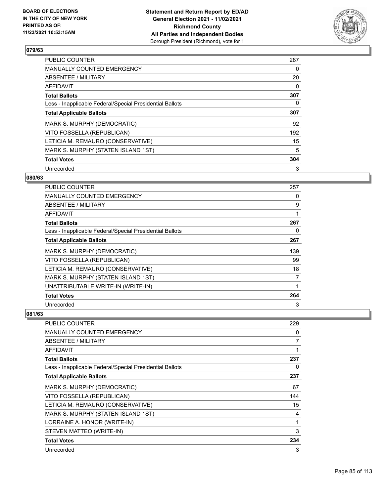

| <b>PUBLIC COUNTER</b>                                    | 287      |
|----------------------------------------------------------|----------|
| <b>MANUALLY COUNTED EMERGENCY</b>                        | 0        |
| ABSENTEE / MILITARY                                      | 20       |
| <b>AFFIDAVIT</b>                                         | $\Omega$ |
| <b>Total Ballots</b>                                     | 307      |
| Less - Inapplicable Federal/Special Presidential Ballots | 0        |
| <b>Total Applicable Ballots</b>                          | 307      |
| MARK S. MURPHY (DEMOCRATIC)                              | 92       |
| VITO FOSSELLA (REPUBLICAN)                               | 192      |
| LETICIA M. REMAURO (CONSERVATIVE)                        | 15       |
| MARK S. MURPHY (STATEN ISLAND 1ST)                       | 5        |
| <b>Total Votes</b>                                       | 304      |
| Unrecorded                                               | 3        |

## **080/63**

| <b>PUBLIC COUNTER</b>                                    | 257 |
|----------------------------------------------------------|-----|
| <b>MANUALLY COUNTED EMERGENCY</b>                        | 0   |
| ABSENTEE / MILITARY                                      | 9   |
| AFFIDAVIT                                                | 1   |
| <b>Total Ballots</b>                                     | 267 |
| Less - Inapplicable Federal/Special Presidential Ballots | 0   |
| <b>Total Applicable Ballots</b>                          | 267 |
| MARK S. MURPHY (DEMOCRATIC)                              | 139 |
| VITO FOSSELLA (REPUBLICAN)                               | 99  |
| LETICIA M. REMAURO (CONSERVATIVE)                        | 18  |
| MARK S. MURPHY (STATEN ISLAND 1ST)                       | 7   |
| UNATTRIBUTABLE WRITE-IN (WRITE-IN)                       | 1   |
| <b>Total Votes</b>                                       | 264 |
| Unrecorded                                               | 3   |

| PUBLIC COUNTER                                           | 229 |
|----------------------------------------------------------|-----|
| <b>MANUALLY COUNTED EMERGENCY</b>                        | 0   |
| ABSENTEE / MILITARY                                      | 7   |
| AFFIDAVIT                                                |     |
| <b>Total Ballots</b>                                     | 237 |
| Less - Inapplicable Federal/Special Presidential Ballots | 0   |
| <b>Total Applicable Ballots</b>                          | 237 |
| MARK S. MURPHY (DEMOCRATIC)                              | 67  |
| VITO FOSSELLA (REPUBLICAN)                               | 144 |
| LETICIA M. REMAURO (CONSERVATIVE)                        | 15  |
| MARK S. MURPHY (STATEN ISLAND 1ST)                       | 4   |
| LORRAINE A. HONOR (WRITE-IN)                             | 1   |
| STEVEN MATTEO (WRITE-IN)                                 | 3   |
| <b>Total Votes</b>                                       | 234 |
| Unrecorded                                               | 3   |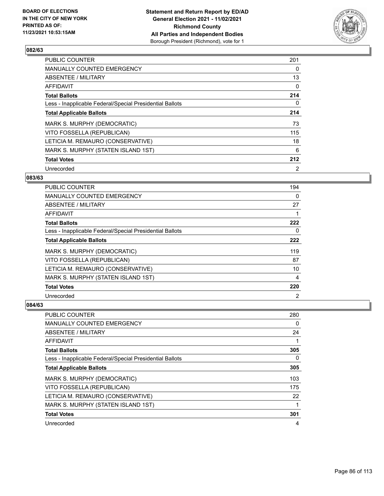

| <b>PUBLIC COUNTER</b>                                    | 201            |
|----------------------------------------------------------|----------------|
| <b>MANUALLY COUNTED EMERGENCY</b>                        | 0              |
| ABSENTEE / MILITARY                                      | 13             |
| <b>AFFIDAVIT</b>                                         | 0              |
| <b>Total Ballots</b>                                     | 214            |
| Less - Inapplicable Federal/Special Presidential Ballots | 0              |
| <b>Total Applicable Ballots</b>                          | 214            |
| MARK S. MURPHY (DEMOCRATIC)                              | 73             |
| VITO FOSSELLA (REPUBLICAN)                               | 115            |
| LETICIA M. REMAURO (CONSERVATIVE)                        | 18             |
| MARK S. MURPHY (STATEN ISLAND 1ST)                       | 6              |
| <b>Total Votes</b>                                       | 212            |
| Unrecorded                                               | $\overline{2}$ |

#### **083/63**

| <b>PUBLIC COUNTER</b>                                    | 194            |
|----------------------------------------------------------|----------------|
| <b>MANUALLY COUNTED EMERGENCY</b>                        | 0              |
| ABSENTEE / MILITARY                                      | 27             |
| AFFIDAVIT                                                |                |
| <b>Total Ballots</b>                                     | 222            |
| Less - Inapplicable Federal/Special Presidential Ballots | 0              |
| <b>Total Applicable Ballots</b>                          | 222            |
| MARK S. MURPHY (DEMOCRATIC)                              | 119            |
| VITO FOSSELLA (REPUBLICAN)                               | 87             |
| LETICIA M. REMAURO (CONSERVATIVE)                        | 10             |
| MARK S. MURPHY (STATEN ISLAND 1ST)                       | 4              |
| <b>Total Votes</b>                                       | 220            |
| Unrecorded                                               | $\overline{2}$ |

| PUBLIC COUNTER                                           | 280 |
|----------------------------------------------------------|-----|
| <b>MANUALLY COUNTED EMERGENCY</b>                        | 0   |
| ABSENTEE / MILITARY                                      | 24  |
| AFFIDAVIT                                                |     |
| <b>Total Ballots</b>                                     | 305 |
| Less - Inapplicable Federal/Special Presidential Ballots | 0   |
| <b>Total Applicable Ballots</b>                          | 305 |
| MARK S. MURPHY (DEMOCRATIC)                              | 103 |
| VITO FOSSELLA (REPUBLICAN)                               | 175 |
| LETICIA M. REMAURO (CONSERVATIVE)                        | 22  |
| MARK S. MURPHY (STATEN ISLAND 1ST)                       | 1   |
| <b>Total Votes</b>                                       | 301 |
| Unrecorded                                               | 4   |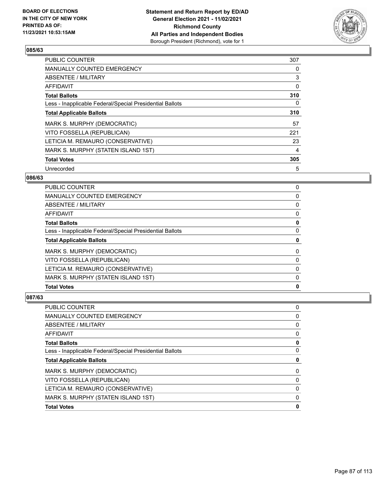

| <b>PUBLIC COUNTER</b>                                    | 307 |
|----------------------------------------------------------|-----|
| <b>MANUALLY COUNTED EMERGENCY</b>                        | 0   |
| ABSENTEE / MILITARY                                      | 3   |
| AFFIDAVIT                                                | 0   |
| <b>Total Ballots</b>                                     | 310 |
| Less - Inapplicable Federal/Special Presidential Ballots | 0   |
| <b>Total Applicable Ballots</b>                          | 310 |
| MARK S. MURPHY (DEMOCRATIC)                              | 57  |
| VITO FOSSELLA (REPUBLICAN)                               | 221 |
| LETICIA M. REMAURO (CONSERVATIVE)                        | 23  |
| MARK S. MURPHY (STATEN ISLAND 1ST)                       | 4   |
| <b>Total Votes</b>                                       | 305 |
| Unrecorded                                               | 5   |

#### **086/63**

| <b>PUBLIC COUNTER</b>                                    | 0        |
|----------------------------------------------------------|----------|
| MANUALLY COUNTED EMERGENCY                               | 0        |
| <b>ABSENTEE / MILITARY</b>                               | 0        |
| AFFIDAVIT                                                | $\Omega$ |
| <b>Total Ballots</b>                                     | 0        |
| Less - Inapplicable Federal/Special Presidential Ballots | 0        |
| <b>Total Applicable Ballots</b>                          | 0        |
| MARK S. MURPHY (DEMOCRATIC)                              | $\Omega$ |
| VITO FOSSELLA (REPUBLICAN)                               | 0        |
| LETICIA M. REMAURO (CONSERVATIVE)                        | 0        |
| MARK S. MURPHY (STATEN ISLAND 1ST)                       | $\Omega$ |
| <b>Total Votes</b>                                       | 0        |

| <b>PUBLIC COUNTER</b>                                    | 0 |
|----------------------------------------------------------|---|
| <b>MANUALLY COUNTED EMERGENCY</b>                        | 0 |
| ABSENTEE / MILITARY                                      | 0 |
| AFFIDAVIT                                                | 0 |
| <b>Total Ballots</b>                                     | 0 |
| Less - Inapplicable Federal/Special Presidential Ballots | 0 |
| <b>Total Applicable Ballots</b>                          | 0 |
| MARK S. MURPHY (DEMOCRATIC)                              | 0 |
| VITO FOSSELLA (REPUBLICAN)                               | 0 |
| LETICIA M. REMAURO (CONSERVATIVE)                        | 0 |
| MARK S. MURPHY (STATEN ISLAND 1ST)                       | 0 |
| <b>Total Votes</b>                                       | 0 |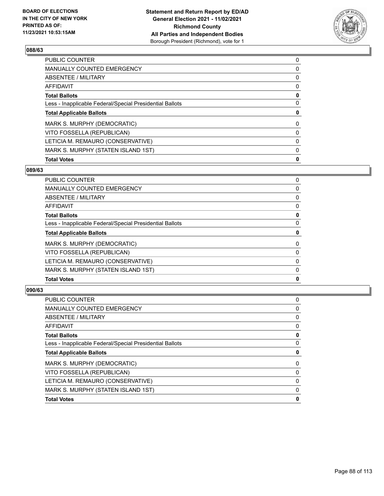

| <b>Total Votes</b>                                       | 0        |
|----------------------------------------------------------|----------|
| MARK S. MURPHY (STATEN ISLAND 1ST)                       | 0        |
| LETICIA M. REMAURO (CONSERVATIVE)                        | $\Omega$ |
| VITO FOSSELLA (REPUBLICAN)                               | 0        |
| MARK S. MURPHY (DEMOCRATIC)                              | $\Omega$ |
| <b>Total Applicable Ballots</b>                          | 0        |
| Less - Inapplicable Federal/Special Presidential Ballots | $\Omega$ |
| <b>Total Ballots</b>                                     | 0        |
| AFFIDAVIT                                                | 0        |
| ABSENTEE / MILITARY                                      | 0        |
| <b>MANUALLY COUNTED EMERGENCY</b>                        | 0        |
| PUBLIC COUNTER                                           | 0        |

## **089/63**

| PUBLIC COUNTER                                           | 0        |
|----------------------------------------------------------|----------|
| <b>MANUALLY COUNTED EMERGENCY</b>                        | 0        |
| <b>ABSENTEE / MILITARY</b>                               | 0        |
| AFFIDAVIT                                                | 0        |
| <b>Total Ballots</b>                                     | 0        |
| Less - Inapplicable Federal/Special Presidential Ballots | 0        |
| <b>Total Applicable Ballots</b>                          | 0        |
| MARK S. MURPHY (DEMOCRATIC)                              | 0        |
| VITO FOSSELLA (REPUBLICAN)                               | 0        |
| LETICIA M. REMAURO (CONSERVATIVE)                        | 0        |
| MARK S. MURPHY (STATEN ISLAND 1ST)                       | $\Omega$ |
| <b>Total Votes</b>                                       | 0        |
|                                                          |          |

| 0 |
|---|
| 0 |
| 0 |
| 0 |
| 0 |
| 0 |
| 0 |
| 0 |
| 0 |
| 0 |
| 0 |
| 0 |
|   |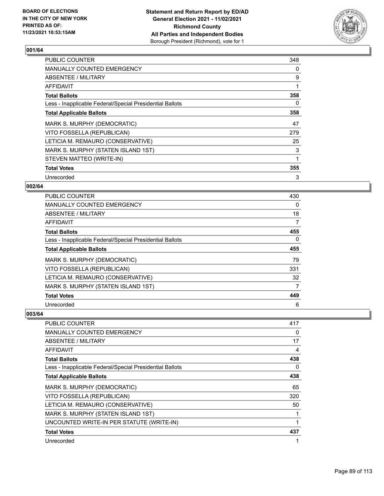

| <b>PUBLIC COUNTER</b>                                    | 348 |
|----------------------------------------------------------|-----|
| <b>MANUALLY COUNTED EMERGENCY</b>                        | 0   |
| ABSENTEE / MILITARY                                      | 9   |
| AFFIDAVIT                                                | 1   |
| <b>Total Ballots</b>                                     | 358 |
| Less - Inapplicable Federal/Special Presidential Ballots | 0   |
| <b>Total Applicable Ballots</b>                          | 358 |
| MARK S. MURPHY (DEMOCRATIC)                              | 47  |
| VITO FOSSELLA (REPUBLICAN)                               | 279 |
| LETICIA M. REMAURO (CONSERVATIVE)                        | 25  |
| MARK S. MURPHY (STATEN ISLAND 1ST)                       | 3   |
| STEVEN MATTEO (WRITE-IN)                                 | 1   |
| <b>Total Votes</b>                                       | 355 |
| Unrecorded                                               | 3   |

## **002/64**

| PUBLIC COUNTER                                           | 430      |
|----------------------------------------------------------|----------|
| <b>MANUALLY COUNTED EMERGENCY</b>                        | $\Omega$ |
| ABSENTEE / MILITARY                                      | 18       |
| AFFIDAVIT                                                | 7        |
| <b>Total Ballots</b>                                     | 455      |
| Less - Inapplicable Federal/Special Presidential Ballots | 0        |
| <b>Total Applicable Ballots</b>                          | 455      |
| MARK S. MURPHY (DEMOCRATIC)                              | 79       |
| VITO FOSSELLA (REPUBLICAN)                               | 331      |
| LETICIA M. REMAURO (CONSERVATIVE)                        | 32       |
| MARK S. MURPHY (STATEN ISLAND 1ST)                       | 7        |
| <b>Total Votes</b>                                       | 449      |
| Unrecorded                                               | 6        |

| PUBLIC COUNTER                                           | 417 |
|----------------------------------------------------------|-----|
| <b>MANUALLY COUNTED EMERGENCY</b>                        | 0   |
| <b>ABSENTEE / MILITARY</b>                               | 17  |
| AFFIDAVIT                                                | 4   |
| <b>Total Ballots</b>                                     | 438 |
| Less - Inapplicable Federal/Special Presidential Ballots | 0   |
| <b>Total Applicable Ballots</b>                          | 438 |
| MARK S. MURPHY (DEMOCRATIC)                              | 65  |
| VITO FOSSELLA (REPUBLICAN)                               | 320 |
| LETICIA M. REMAURO (CONSERVATIVE)                        | 50  |
| MARK S. MURPHY (STATEN ISLAND 1ST)                       |     |
| UNCOUNTED WRITE-IN PER STATUTE (WRITE-IN)                |     |
| <b>Total Votes</b>                                       | 437 |
| Unrecorded                                               |     |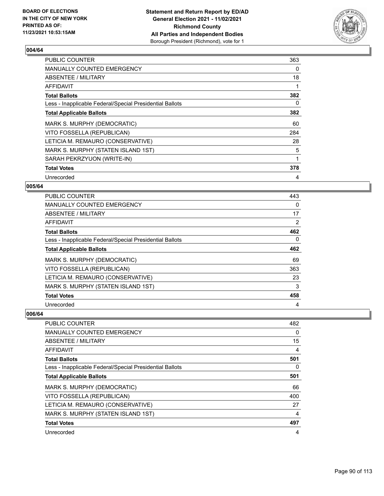

| <b>PUBLIC COUNTER</b>                                    | 363 |
|----------------------------------------------------------|-----|
| MANUALLY COUNTED EMERGENCY                               | 0   |
| ABSENTEE / MILITARY                                      | 18  |
| AFFIDAVIT                                                |     |
| <b>Total Ballots</b>                                     | 382 |
| Less - Inapplicable Federal/Special Presidential Ballots | 0   |
| <b>Total Applicable Ballots</b>                          | 382 |
| MARK S. MURPHY (DEMOCRATIC)                              | 60  |
| VITO FOSSELLA (REPUBLICAN)                               | 284 |
| LETICIA M. REMAURO (CONSERVATIVE)                        | 28  |
| MARK S. MURPHY (STATEN ISLAND 1ST)                       | 5   |
| SARAH PEKRZYUON (WRITE-IN)                               | 1   |
| <b>Total Votes</b>                                       | 378 |
| Unrecorded                                               | 4   |

## **005/64**

| <b>PUBLIC COUNTER</b>                                    | 443 |
|----------------------------------------------------------|-----|
| <b>MANUALLY COUNTED EMERGENCY</b>                        | 0   |
| ABSENTEE / MILITARY                                      | 17  |
| AFFIDAVIT                                                | 2   |
| <b>Total Ballots</b>                                     | 462 |
| Less - Inapplicable Federal/Special Presidential Ballots | 0   |
| <b>Total Applicable Ballots</b>                          | 462 |
| MARK S. MURPHY (DEMOCRATIC)                              | 69  |
| VITO FOSSELLA (REPUBLICAN)                               | 363 |
| LETICIA M. REMAURO (CONSERVATIVE)                        | 23  |
| MARK S. MURPHY (STATEN ISLAND 1ST)                       | 3   |
| <b>Total Votes</b>                                       | 458 |
| Unrecorded                                               | 4   |

| PUBLIC COUNTER                                           | 482      |
|----------------------------------------------------------|----------|
| <b>MANUALLY COUNTED EMERGENCY</b>                        | $\Omega$ |
| ABSENTEE / MILITARY                                      | 15       |
| AFFIDAVIT                                                | 4        |
| <b>Total Ballots</b>                                     | 501      |
| Less - Inapplicable Federal/Special Presidential Ballots | 0        |
| <b>Total Applicable Ballots</b>                          | 501      |
| MARK S. MURPHY (DEMOCRATIC)                              | 66       |
| VITO FOSSELLA (REPUBLICAN)                               | 400      |
| LETICIA M. REMAURO (CONSERVATIVE)                        | 27       |
| MARK S. MURPHY (STATEN ISLAND 1ST)                       | 4        |
| <b>Total Votes</b>                                       | 497      |
| Unrecorded                                               | 4        |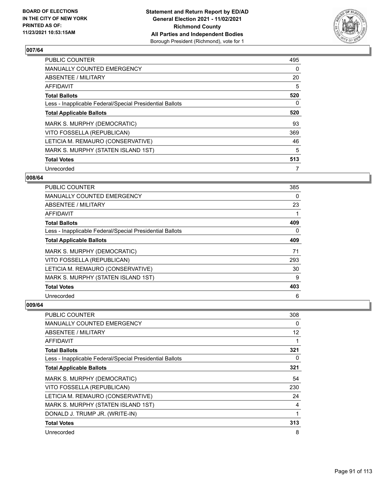

| <b>PUBLIC COUNTER</b>                                    | 495 |
|----------------------------------------------------------|-----|
| <b>MANUALLY COUNTED EMERGENCY</b>                        | 0   |
| ABSENTEE / MILITARY                                      | 20  |
| <b>AFFIDAVIT</b>                                         | 5   |
| <b>Total Ballots</b>                                     | 520 |
| Less - Inapplicable Federal/Special Presidential Ballots | 0   |
| <b>Total Applicable Ballots</b>                          | 520 |
| MARK S. MURPHY (DEMOCRATIC)                              | 93  |
| VITO FOSSELLA (REPUBLICAN)                               | 369 |
| LETICIA M. REMAURO (CONSERVATIVE)                        | 46  |
| MARK S. MURPHY (STATEN ISLAND 1ST)                       | 5   |
| <b>Total Votes</b>                                       | 513 |
| Unrecorded                                               | 7   |

#### **008/64**

| PUBLIC COUNTER                                           | 385      |
|----------------------------------------------------------|----------|
| <b>MANUALLY COUNTED EMERGENCY</b>                        | 0        |
| ABSENTEE / MILITARY                                      | 23       |
| AFFIDAVIT                                                |          |
| <b>Total Ballots</b>                                     | 409      |
| Less - Inapplicable Federal/Special Presidential Ballots | $\Omega$ |
| <b>Total Applicable Ballots</b>                          | 409      |
| MARK S. MURPHY (DEMOCRATIC)                              | 71       |
| VITO FOSSELLA (REPUBLICAN)                               | 293      |
| LETICIA M. REMAURO (CONSERVATIVE)                        | 30       |
| MARK S. MURPHY (STATEN ISLAND 1ST)                       | 9        |
| <b>Total Votes</b>                                       | 403      |
| Unrecorded                                               | 6        |

| PUBLIC COUNTER                                           | 308      |
|----------------------------------------------------------|----------|
| MANUALLY COUNTED EMERGENCY                               | 0        |
| ABSENTEE / MILITARY                                      | 12       |
| AFFIDAVIT                                                |          |
| <b>Total Ballots</b>                                     | 321      |
| Less - Inapplicable Federal/Special Presidential Ballots | $\Omega$ |
| <b>Total Applicable Ballots</b>                          | 321      |
| MARK S. MURPHY (DEMOCRATIC)                              | 54       |
| VITO FOSSELLA (REPUBLICAN)                               | 230      |
| LETICIA M. REMAURO (CONSERVATIVE)                        | 24       |
| MARK S. MURPHY (STATEN ISLAND 1ST)                       | 4        |
| DONALD J. TRUMP JR. (WRITE-IN)                           | 1        |
| <b>Total Votes</b>                                       | 313      |
| Unrecorded                                               | 8        |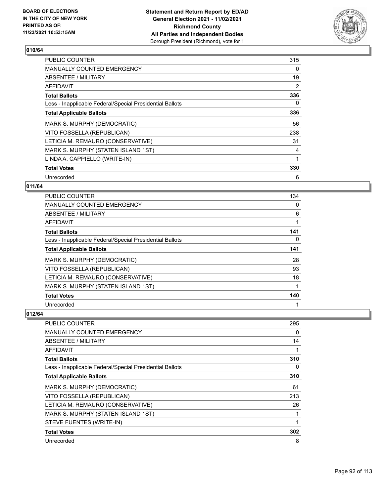

| <b>PUBLIC COUNTER</b>                                    | 315 |
|----------------------------------------------------------|-----|
| MANUALLY COUNTED EMERGENCY                               | 0   |
| ABSENTEE / MILITARY                                      | 19  |
| AFFIDAVIT                                                | 2   |
| <b>Total Ballots</b>                                     | 336 |
| Less - Inapplicable Federal/Special Presidential Ballots | 0   |
| <b>Total Applicable Ballots</b>                          | 336 |
| MARK S. MURPHY (DEMOCRATIC)                              | 56  |
| VITO FOSSELLA (REPUBLICAN)                               | 238 |
| LETICIA M. REMAURO (CONSERVATIVE)                        | 31  |
| MARK S. MURPHY (STATEN ISLAND 1ST)                       | 4   |
| LINDA A. CAPPIELLO (WRITE-IN)                            |     |
| <b>Total Votes</b>                                       | 330 |
| Unrecorded                                               | 6   |

## **011/64**

| PUBLIC COUNTER                                           | 134 |
|----------------------------------------------------------|-----|
| <b>MANUALLY COUNTED EMERGENCY</b>                        | 0   |
| ABSENTEE / MILITARY                                      | 6   |
| AFFIDAVIT                                                | 1   |
| <b>Total Ballots</b>                                     | 141 |
| Less - Inapplicable Federal/Special Presidential Ballots | 0   |
| <b>Total Applicable Ballots</b>                          | 141 |
| MARK S. MURPHY (DEMOCRATIC)                              | 28  |
| VITO FOSSELLA (REPUBLICAN)                               | 93  |
| LETICIA M. REMAURO (CONSERVATIVE)                        | 18  |
| MARK S. MURPHY (STATEN ISLAND 1ST)                       |     |
| <b>Total Votes</b>                                       | 140 |
| Unrecorded                                               |     |

| PUBLIC COUNTER                                           | 295 |
|----------------------------------------------------------|-----|
| <b>MANUALLY COUNTED EMERGENCY</b>                        | 0   |
| ABSENTEE / MILITARY                                      | 14  |
| AFFIDAVIT                                                |     |
| <b>Total Ballots</b>                                     | 310 |
| Less - Inapplicable Federal/Special Presidential Ballots | 0   |
| <b>Total Applicable Ballots</b>                          | 310 |
| MARK S. MURPHY (DEMOCRATIC)                              | 61  |
| VITO FOSSELLA (REPUBLICAN)                               | 213 |
| LETICIA M. REMAURO (CONSERVATIVE)                        | 26  |
| MARK S. MURPHY (STATEN ISLAND 1ST)                       |     |
| STEVE FUENTES (WRITE-IN)                                 |     |
| <b>Total Votes</b>                                       | 302 |
| Unrecorded                                               | 8   |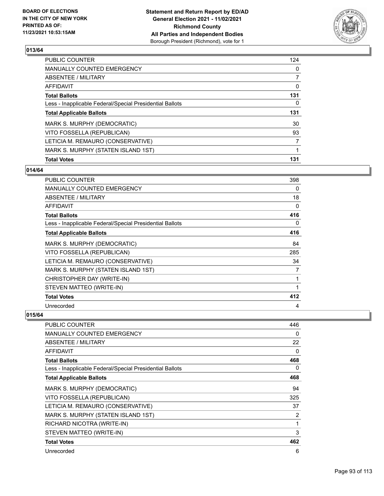

| <b>Total Votes</b>                                       | 131            |
|----------------------------------------------------------|----------------|
| MARK S. MURPHY (STATEN ISLAND 1ST)                       |                |
| LETICIA M. REMAURO (CONSERVATIVE)                        | 7              |
| VITO FOSSELLA (REPUBLICAN)                               | 93             |
| MARK S. MURPHY (DEMOCRATIC)                              | 30             |
| <b>Total Applicable Ballots</b>                          | 131            |
| Less - Inapplicable Federal/Special Presidential Ballots | 0              |
| <b>Total Ballots</b>                                     | 131            |
| AFFIDAVIT                                                | $\Omega$       |
| ABSENTEE / MILITARY                                      | $\overline{7}$ |
| MANUALLY COUNTED EMERGENCY                               | $\Omega$       |
| PUBLIC COUNTER                                           | 124            |

## **014/64**

| PUBLIC COUNTER                                           | 398 |
|----------------------------------------------------------|-----|
| MANUALLY COUNTED EMERGENCY                               | 0   |
| ABSENTEE / MILITARY                                      | 18  |
| AFFIDAVIT                                                | 0   |
| <b>Total Ballots</b>                                     | 416 |
| Less - Inapplicable Federal/Special Presidential Ballots | 0   |
| <b>Total Applicable Ballots</b>                          | 416 |
| MARK S. MURPHY (DEMOCRATIC)                              | 84  |
| VITO FOSSELLA (REPUBLICAN)                               | 285 |
| LETICIA M. REMAURO (CONSERVATIVE)                        | 34  |
| MARK S. MURPHY (STATEN ISLAND 1ST)                       | 7   |
| CHRISTOPHER DAY (WRITE-IN)                               | 1   |
| STEVEN MATTEO (WRITE-IN)                                 | 1   |
| <b>Total Votes</b>                                       | 412 |
| Unrecorded                                               | 4   |

| <b>PUBLIC COUNTER</b>                                    | 446 |
|----------------------------------------------------------|-----|
| <b>MANUALLY COUNTED EMERGENCY</b>                        | 0   |
| ABSENTEE / MILITARY                                      | 22  |
| AFFIDAVIT                                                | 0   |
| <b>Total Ballots</b>                                     | 468 |
| Less - Inapplicable Federal/Special Presidential Ballots | 0   |
| <b>Total Applicable Ballots</b>                          | 468 |
| MARK S. MURPHY (DEMOCRATIC)                              | 94  |
| VITO FOSSELLA (REPUBLICAN)                               | 325 |
| LETICIA M. REMAURO (CONSERVATIVE)                        | 37  |
| MARK S. MURPHY (STATEN ISLAND 1ST)                       | 2   |
| RICHARD NICOTRA (WRITE-IN)                               | 1   |
| STEVEN MATTEO (WRITE-IN)                                 | 3   |
| <b>Total Votes</b>                                       | 462 |
| Unrecorded                                               | 6   |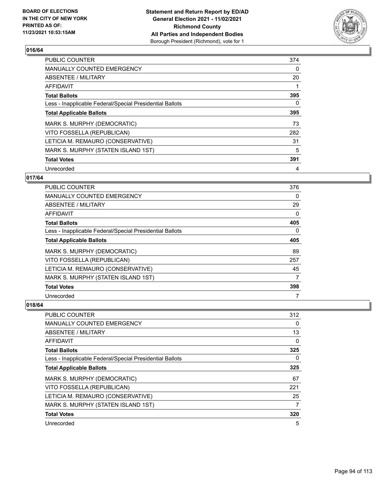

| <b>PUBLIC COUNTER</b>                                    | 374 |
|----------------------------------------------------------|-----|
| <b>MANUALLY COUNTED EMERGENCY</b>                        | 0   |
| ABSENTEE / MILITARY                                      | 20  |
| <b>AFFIDAVIT</b>                                         |     |
| <b>Total Ballots</b>                                     | 395 |
| Less - Inapplicable Federal/Special Presidential Ballots | 0   |
| <b>Total Applicable Ballots</b>                          | 395 |
| MARK S. MURPHY (DEMOCRATIC)                              | 73  |
| VITO FOSSELLA (REPUBLICAN)                               | 282 |
| LETICIA M. REMAURO (CONSERVATIVE)                        | 31  |
| MARK S. MURPHY (STATEN ISLAND 1ST)                       | 5   |
| <b>Total Votes</b>                                       | 391 |
| Unrecorded                                               | 4   |

## **017/64**

| PUBLIC COUNTER                                           | 376 |
|----------------------------------------------------------|-----|
| <b>MANUALLY COUNTED EMERGENCY</b>                        | 0   |
| ABSENTEE / MILITARY                                      | 29  |
| AFFIDAVIT                                                | 0   |
| <b>Total Ballots</b>                                     | 405 |
| Less - Inapplicable Federal/Special Presidential Ballots | 0   |
| <b>Total Applicable Ballots</b>                          | 405 |
| MARK S. MURPHY (DEMOCRATIC)                              | 89  |
| VITO FOSSELLA (REPUBLICAN)                               | 257 |
| LETICIA M. REMAURO (CONSERVATIVE)                        | 45  |
| MARK S. MURPHY (STATEN ISLAND 1ST)                       | 7   |
| <b>Total Votes</b>                                       | 398 |
| Unrecorded                                               |     |

| <b>PUBLIC COUNTER</b>                                    | 312 |
|----------------------------------------------------------|-----|
| <b>MANUALLY COUNTED EMERGENCY</b>                        | 0   |
| ABSENTEE / MILITARY                                      | 13  |
| AFFIDAVIT                                                | 0   |
| <b>Total Ballots</b>                                     | 325 |
| Less - Inapplicable Federal/Special Presidential Ballots | 0   |
| <b>Total Applicable Ballots</b>                          | 325 |
| MARK S. MURPHY (DEMOCRATIC)                              | 67  |
| VITO FOSSELLA (REPUBLICAN)                               | 221 |
| LETICIA M. REMAURO (CONSERVATIVE)                        | 25  |
| MARK S. MURPHY (STATEN ISLAND 1ST)                       | 7   |
| <b>Total Votes</b>                                       | 320 |
| Unrecorded                                               | 5   |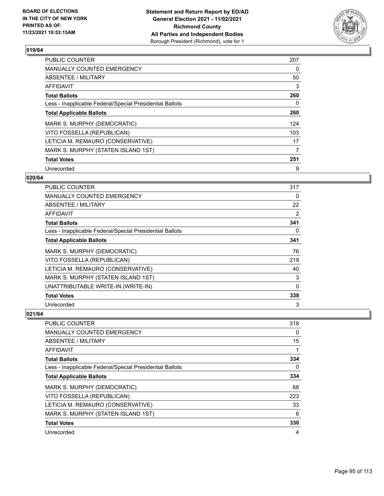

| <b>PUBLIC COUNTER</b>                                    | 207 |
|----------------------------------------------------------|-----|
| <b>MANUALLY COUNTED EMERGENCY</b>                        | 0   |
| ABSENTEE / MILITARY                                      | 50  |
| <b>AFFIDAVIT</b>                                         | 3   |
| <b>Total Ballots</b>                                     | 260 |
| Less - Inapplicable Federal/Special Presidential Ballots | 0   |
| <b>Total Applicable Ballots</b>                          | 260 |
| MARK S. MURPHY (DEMOCRATIC)                              | 124 |
| VITO FOSSELLA (REPUBLICAN)                               | 103 |
| LETICIA M. REMAURO (CONSERVATIVE)                        | 17  |
| MARK S. MURPHY (STATEN ISLAND 1ST)                       | 7   |
| <b>Total Votes</b>                                       | 251 |
| Unrecorded                                               | 9   |

#### **020/64**

| <b>PUBLIC COUNTER</b>                                    | 317          |
|----------------------------------------------------------|--------------|
| MANUALLY COUNTED EMERGENCY                               | 0            |
| <b>ABSENTEE / MILITARY</b>                               | 22           |
| AFFIDAVIT                                                | 2            |
| <b>Total Ballots</b>                                     | 341          |
| Less - Inapplicable Federal/Special Presidential Ballots | 0            |
| <b>Total Applicable Ballots</b>                          | 341          |
| MARK S. MURPHY (DEMOCRATIC)                              | 76           |
| VITO FOSSELLA (REPUBLICAN)                               | 219          |
| LETICIA M. REMAURO (CONSERVATIVE)                        | 40           |
| MARK S. MURPHY (STATEN ISLAND 1ST)                       | 3            |
| UNATTRIBUTABLE WRITE-IN (WRITE-IN)                       | $\mathbf{0}$ |
| <b>Total Votes</b>                                       | 338          |
| Unrecorded                                               | 3            |

| <b>PUBLIC COUNTER</b>                                    | 318      |
|----------------------------------------------------------|----------|
| <b>MANUALLY COUNTED EMERGENCY</b>                        | 0        |
| ABSENTEE / MILITARY                                      | 15       |
| AFFIDAVIT                                                |          |
| <b>Total Ballots</b>                                     | 334      |
| Less - Inapplicable Federal/Special Presidential Ballots | $\Omega$ |
| <b>Total Applicable Ballots</b>                          | 334      |
| MARK S. MURPHY (DEMOCRATIC)                              | 68       |
| VITO FOSSELLA (REPUBLICAN)                               | 223      |
| LETICIA M. REMAURO (CONSERVATIVE)                        | 33       |
| MARK S. MURPHY (STATEN ISLAND 1ST)                       | 6        |
| <b>Total Votes</b>                                       | 330      |
| Unrecorded                                               | 4        |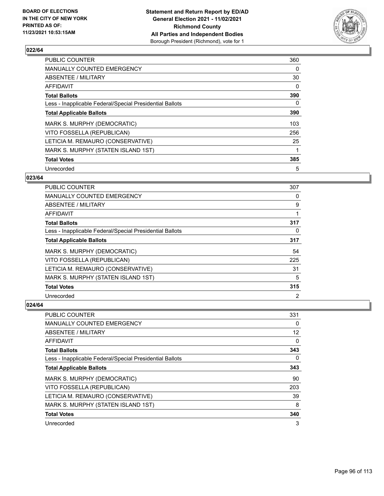

| PUBLIC COUNTER                                           | 360 |
|----------------------------------------------------------|-----|
| <b>MANUALLY COUNTED EMERGENCY</b>                        | 0   |
| ABSENTEE / MILITARY                                      | 30  |
| AFFIDAVIT                                                | 0   |
| <b>Total Ballots</b>                                     | 390 |
| Less - Inapplicable Federal/Special Presidential Ballots | 0   |
| <b>Total Applicable Ballots</b>                          | 390 |
| MARK S. MURPHY (DEMOCRATIC)                              | 103 |
| VITO FOSSELLA (REPUBLICAN)                               | 256 |
| LETICIA M. REMAURO (CONSERVATIVE)                        | 25  |
| MARK S. MURPHY (STATEN ISLAND 1ST)                       | 1   |
| <b>Total Votes</b>                                       | 385 |
| Unrecorded                                               | 5   |

## **023/64**

| PUBLIC COUNTER                                           | 307            |
|----------------------------------------------------------|----------------|
| <b>MANUALLY COUNTED EMERGENCY</b>                        | 0              |
| ABSENTEE / MILITARY                                      | 9              |
| AFFIDAVIT                                                |                |
| <b>Total Ballots</b>                                     | 317            |
| Less - Inapplicable Federal/Special Presidential Ballots | 0              |
| <b>Total Applicable Ballots</b>                          | 317            |
| MARK S. MURPHY (DEMOCRATIC)                              | 54             |
| VITO FOSSELLA (REPUBLICAN)                               | 225            |
| LETICIA M. REMAURO (CONSERVATIVE)                        | 31             |
| MARK S. MURPHY (STATEN ISLAND 1ST)                       | 5              |
| <b>Total Votes</b>                                       | 315            |
| Unrecorded                                               | $\overline{2}$ |

| PUBLIC COUNTER                                           | 331 |
|----------------------------------------------------------|-----|
| MANUALLY COUNTED EMERGENCY                               | 0   |
| ABSENTEE / MILITARY                                      | 12  |
| AFFIDAVIT                                                | 0   |
| <b>Total Ballots</b>                                     | 343 |
| Less - Inapplicable Federal/Special Presidential Ballots | 0   |
| <b>Total Applicable Ballots</b>                          | 343 |
| MARK S. MURPHY (DEMOCRATIC)                              | 90  |
| VITO FOSSELLA (REPUBLICAN)                               | 203 |
| LETICIA M. REMAURO (CONSERVATIVE)                        | 39  |
| MARK S. MURPHY (STATEN ISLAND 1ST)                       | 8   |
| <b>Total Votes</b>                                       | 340 |
| Unrecorded                                               | 3   |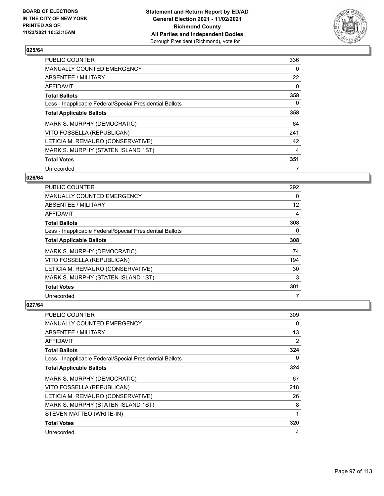

| <b>PUBLIC COUNTER</b>                                    | 336 |
|----------------------------------------------------------|-----|
| <b>MANUALLY COUNTED EMERGENCY</b>                        | 0   |
| ABSENTEE / MILITARY                                      | 22  |
| AFFIDAVIT                                                | 0   |
| <b>Total Ballots</b>                                     | 358 |
| Less - Inapplicable Federal/Special Presidential Ballots | 0   |
| <b>Total Applicable Ballots</b>                          | 358 |
| MARK S. MURPHY (DEMOCRATIC)                              | 64  |
| VITO FOSSELLA (REPUBLICAN)                               | 241 |
| LETICIA M. REMAURO (CONSERVATIVE)                        | 42  |
| MARK S. MURPHY (STATEN ISLAND 1ST)                       | 4   |
| <b>Total Votes</b>                                       | 351 |
| Unrecorded                                               |     |

## **026/64**

| PUBLIC COUNTER                                           | 292      |
|----------------------------------------------------------|----------|
| <b>MANUALLY COUNTED EMERGENCY</b>                        | $\Omega$ |
| ABSENTEE / MILITARY                                      | 12       |
| AFFIDAVIT                                                | 4        |
| <b>Total Ballots</b>                                     | 308      |
| Less - Inapplicable Federal/Special Presidential Ballots | $\Omega$ |
| <b>Total Applicable Ballots</b>                          | 308      |
| MARK S. MURPHY (DEMOCRATIC)                              | 74       |
| VITO FOSSELLA (REPUBLICAN)                               | 194      |
| LETICIA M. REMAURO (CONSERVATIVE)                        | 30       |
| MARK S. MURPHY (STATEN ISLAND 1ST)                       | 3        |
| <b>Total Votes</b>                                       | 301      |
| Unrecorded                                               | 7        |

| PUBLIC COUNTER                                           | 309      |
|----------------------------------------------------------|----------|
| MANUALLY COUNTED EMERGENCY                               | 0        |
| ABSENTEE / MILITARY                                      | 13       |
| AFFIDAVIT                                                | 2        |
| <b>Total Ballots</b>                                     | 324      |
| Less - Inapplicable Federal/Special Presidential Ballots | $\Omega$ |
| <b>Total Applicable Ballots</b>                          | 324      |
| MARK S. MURPHY (DEMOCRATIC)                              | 67       |
| VITO FOSSELLA (REPUBLICAN)                               | 218      |
| LETICIA M. REMAURO (CONSERVATIVE)                        | 26       |
| MARK S. MURPHY (STATEN ISLAND 1ST)                       | 8        |
| STEVEN MATTEO (WRITE-IN)                                 |          |
| <b>Total Votes</b>                                       | 320      |
| Unrecorded                                               | 4        |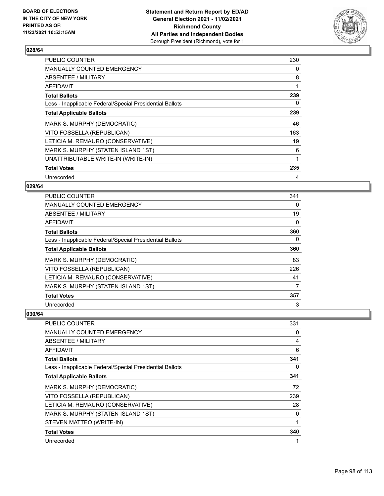

| <b>PUBLIC COUNTER</b>                                    | 230 |
|----------------------------------------------------------|-----|
| <b>MANUALLY COUNTED EMERGENCY</b>                        | 0   |
| ABSENTEE / MILITARY                                      | 8   |
| AFFIDAVIT                                                | 1   |
| <b>Total Ballots</b>                                     | 239 |
| Less - Inapplicable Federal/Special Presidential Ballots | 0   |
| <b>Total Applicable Ballots</b>                          | 239 |
| MARK S. MURPHY (DEMOCRATIC)                              | 46  |
| VITO FOSSELLA (REPUBLICAN)                               | 163 |
| LETICIA M. REMAURO (CONSERVATIVE)                        | 19  |
| MARK S. MURPHY (STATEN ISLAND 1ST)                       | 6   |
| UNATTRIBUTABLE WRITE-IN (WRITE-IN)                       | 1   |
| <b>Total Votes</b>                                       | 235 |
| Unrecorded                                               | 4   |

## **029/64**

| PUBLIC COUNTER                                           | 341      |
|----------------------------------------------------------|----------|
| <b>MANUALLY COUNTED EMERGENCY</b>                        | $\Omega$ |
| ABSENTEE / MILITARY                                      | 19       |
| AFFIDAVIT                                                | 0        |
| <b>Total Ballots</b>                                     | 360      |
| Less - Inapplicable Federal/Special Presidential Ballots | 0        |
| <b>Total Applicable Ballots</b>                          | 360      |
| MARK S. MURPHY (DEMOCRATIC)                              | 83       |
| VITO FOSSELLA (REPUBLICAN)                               | 226      |
| LETICIA M. REMAURO (CONSERVATIVE)                        | 41       |
| MARK S. MURPHY (STATEN ISLAND 1ST)                       | 7        |
| <b>Total Votes</b>                                       | 357      |
| Unrecorded                                               | 3        |

| <b>PUBLIC COUNTER</b>                                    | 331 |
|----------------------------------------------------------|-----|
| <b>MANUALLY COUNTED EMERGENCY</b>                        | 0   |
| ABSENTEE / MILITARY                                      | 4   |
| <b>AFFIDAVIT</b>                                         | 6   |
| <b>Total Ballots</b>                                     | 341 |
| Less - Inapplicable Federal/Special Presidential Ballots | 0   |
| <b>Total Applicable Ballots</b>                          | 341 |
| MARK S. MURPHY (DEMOCRATIC)                              | 72  |
| VITO FOSSELLA (REPUBLICAN)                               | 239 |
| LETICIA M. REMAURO (CONSERVATIVE)                        | 28  |
| MARK S. MURPHY (STATEN ISLAND 1ST)                       | 0   |
| STEVEN MATTEO (WRITE-IN)                                 | 1   |
| <b>Total Votes</b>                                       | 340 |
| Unrecorded                                               | 1   |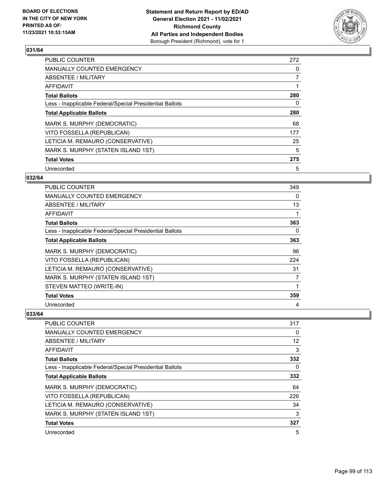

| <b>PUBLIC COUNTER</b>                                    | 272 |
|----------------------------------------------------------|-----|
| <b>MANUALLY COUNTED EMERGENCY</b>                        | 0   |
| ABSENTEE / MILITARY                                      | 7   |
| <b>AFFIDAVIT</b>                                         |     |
| <b>Total Ballots</b>                                     | 280 |
| Less - Inapplicable Federal/Special Presidential Ballots | 0   |
| <b>Total Applicable Ballots</b>                          | 280 |
| MARK S. MURPHY (DEMOCRATIC)                              | 68  |
| VITO FOSSELLA (REPUBLICAN)                               | 177 |
| LETICIA M. REMAURO (CONSERVATIVE)                        | 25  |
| MARK S. MURPHY (STATEN ISLAND 1ST)                       | 5   |
| <b>Total Votes</b>                                       | 275 |
| Unrecorded                                               | 5   |

## **032/64**

| PUBLIC COUNTER                                           | 349 |
|----------------------------------------------------------|-----|
| <b>MANUALLY COUNTED EMERGENCY</b>                        | 0   |
| ABSENTEE / MILITARY                                      | 13  |
| <b>AFFIDAVIT</b>                                         |     |
| <b>Total Ballots</b>                                     | 363 |
| Less - Inapplicable Federal/Special Presidential Ballots | 0   |
| <b>Total Applicable Ballots</b>                          | 363 |
| MARK S. MURPHY (DEMOCRATIC)                              | 96  |
| VITO FOSSELLA (REPUBLICAN)                               | 224 |
| LETICIA M. REMAURO (CONSERVATIVE)                        | 31  |
| MARK S. MURPHY (STATEN ISLAND 1ST)                       | 7   |
| STEVEN MATTEO (WRITE-IN)                                 |     |
| <b>Total Votes</b>                                       | 359 |
| Unrecorded                                               | 4   |

| PUBLIC COUNTER                                           | 317      |
|----------------------------------------------------------|----------|
| <b>MANUALLY COUNTED EMERGENCY</b>                        | $\Omega$ |
| ABSENTEE / MILITARY                                      | 12       |
| AFFIDAVIT                                                | 3        |
| <b>Total Ballots</b>                                     | 332      |
| Less - Inapplicable Federal/Special Presidential Ballots | 0        |
| <b>Total Applicable Ballots</b>                          | 332      |
| MARK S. MURPHY (DEMOCRATIC)                              | 64       |
| VITO FOSSELLA (REPUBLICAN)                               | 226      |
| LETICIA M. REMAURO (CONSERVATIVE)                        | 34       |
| MARK S. MURPHY (STATEN ISLAND 1ST)                       | 3        |
| <b>Total Votes</b>                                       | 327      |
| Unrecorded                                               | 5        |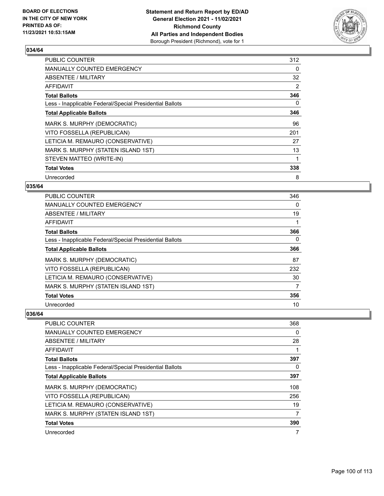

| <b>PUBLIC COUNTER</b>                                    | 312 |
|----------------------------------------------------------|-----|
| <b>MANUALLY COUNTED EMERGENCY</b>                        | 0   |
| ABSENTEE / MILITARY                                      | 32  |
| AFFIDAVIT                                                | 2   |
| <b>Total Ballots</b>                                     | 346 |
| Less - Inapplicable Federal/Special Presidential Ballots | 0   |
| <b>Total Applicable Ballots</b>                          | 346 |
| MARK S. MURPHY (DEMOCRATIC)                              | 96  |
| VITO FOSSELLA (REPUBLICAN)                               | 201 |
| LETICIA M. REMAURO (CONSERVATIVE)                        | 27  |
| MARK S. MURPHY (STATEN ISLAND 1ST)                       | 13  |
| STEVEN MATTEO (WRITE-IN)                                 |     |
| <b>Total Votes</b>                                       | 338 |
| Unrecorded                                               | 8   |

## **035/64**

| PUBLIC COUNTER                                           | 346      |
|----------------------------------------------------------|----------|
| MANUALLY COUNTED EMERGENCY                               | $\Omega$ |
| ABSENTEE / MILITARY                                      | 19       |
| AFFIDAVIT                                                | 1        |
| <b>Total Ballots</b>                                     | 366      |
| Less - Inapplicable Federal/Special Presidential Ballots | $\Omega$ |
| <b>Total Applicable Ballots</b>                          | 366      |
| MARK S. MURPHY (DEMOCRATIC)                              | 87       |
| VITO FOSSELLA (REPUBLICAN)                               | 232      |
| LETICIA M. REMAURO (CONSERVATIVE)                        | 30       |
| MARK S. MURPHY (STATEN ISLAND 1ST)                       | 7        |
| <b>Total Votes</b>                                       | 356      |
| Unrecorded                                               | 10       |

| PUBLIC COUNTER                                           | 368 |
|----------------------------------------------------------|-----|
| <b>MANUALLY COUNTED EMERGENCY</b>                        | 0   |
| ABSENTEE / MILITARY                                      | 28  |
| AFFIDAVIT                                                |     |
| <b>Total Ballots</b>                                     | 397 |
| Less - Inapplicable Federal/Special Presidential Ballots | 0   |
| <b>Total Applicable Ballots</b>                          | 397 |
| MARK S. MURPHY (DEMOCRATIC)                              | 108 |
| VITO FOSSELLA (REPUBLICAN)                               | 256 |
| LETICIA M. REMAURO (CONSERVATIVE)                        | 19  |
| MARK S. MURPHY (STATEN ISLAND 1ST)                       | 7   |
| <b>Total Votes</b>                                       | 390 |
| Unrecorded                                               | 7   |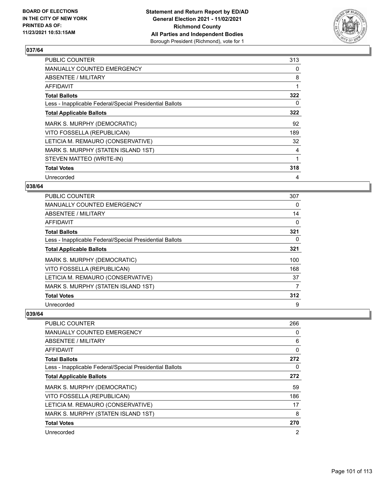

| <b>PUBLIC COUNTER</b>                                    | 313 |
|----------------------------------------------------------|-----|
| <b>MANUALLY COUNTED EMERGENCY</b>                        | 0   |
| ABSENTEE / MILITARY                                      | 8   |
| AFFIDAVIT                                                | 1   |
| <b>Total Ballots</b>                                     | 322 |
| Less - Inapplicable Federal/Special Presidential Ballots | 0   |
| <b>Total Applicable Ballots</b>                          | 322 |
| MARK S. MURPHY (DEMOCRATIC)                              | 92  |
| VITO FOSSELLA (REPUBLICAN)                               | 189 |
| LETICIA M. REMAURO (CONSERVATIVE)                        | 32  |
| MARK S. MURPHY (STATEN ISLAND 1ST)                       | 4   |
| STEVEN MATTEO (WRITE-IN)                                 | 1   |
| <b>Total Votes</b>                                       | 318 |
| Unrecorded                                               | 4   |

## **038/64**

| <b>PUBLIC COUNTER</b>                                    | 307      |
|----------------------------------------------------------|----------|
| <b>MANUALLY COUNTED EMERGENCY</b>                        | 0        |
| ABSENTEE / MILITARY                                      | 14       |
| AFFIDAVIT                                                | 0        |
| <b>Total Ballots</b>                                     | 321      |
| Less - Inapplicable Federal/Special Presidential Ballots | $\Omega$ |
| <b>Total Applicable Ballots</b>                          | 321      |
| MARK S. MURPHY (DEMOCRATIC)                              | 100      |
| VITO FOSSELLA (REPUBLICAN)                               | 168      |
| LETICIA M. REMAURO (CONSERVATIVE)                        | 37       |
| MARK S. MURPHY (STATEN ISLAND 1ST)                       | 7        |
| <b>Total Votes</b>                                       | 312      |
| Unrecorded                                               | 9        |

| PUBLIC COUNTER                                           | 266            |
|----------------------------------------------------------|----------------|
| <b>MANUALLY COUNTED EMERGENCY</b>                        | 0              |
| ABSENTEE / MILITARY                                      | 6              |
| AFFIDAVIT                                                | 0              |
| <b>Total Ballots</b>                                     | 272            |
| Less - Inapplicable Federal/Special Presidential Ballots | 0              |
| <b>Total Applicable Ballots</b>                          | 272            |
| MARK S. MURPHY (DEMOCRATIC)                              | 59             |
| VITO FOSSELLA (REPUBLICAN)                               | 186            |
| LETICIA M. REMAURO (CONSERVATIVE)                        | 17             |
| MARK S. MURPHY (STATEN ISLAND 1ST)                       | 8              |
| <b>Total Votes</b>                                       | 270            |
| Unrecorded                                               | $\overline{2}$ |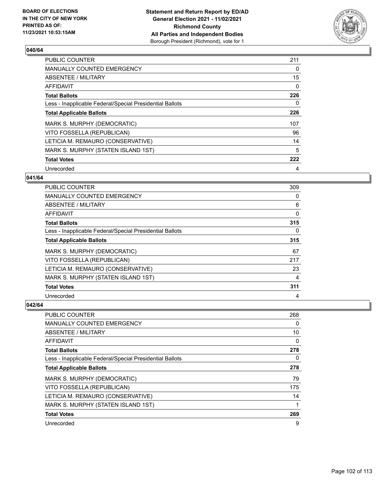

| <b>PUBLIC COUNTER</b>                                    | 211 |
|----------------------------------------------------------|-----|
| <b>MANUALLY COUNTED EMERGENCY</b>                        | 0   |
| ABSENTEE / MILITARY                                      | 15  |
| <b>AFFIDAVIT</b>                                         | 0   |
| <b>Total Ballots</b>                                     | 226 |
| Less - Inapplicable Federal/Special Presidential Ballots | 0   |
| <b>Total Applicable Ballots</b>                          | 226 |
| MARK S. MURPHY (DEMOCRATIC)                              | 107 |
| VITO FOSSELLA (REPUBLICAN)                               | 96  |
| LETICIA M. REMAURO (CONSERVATIVE)                        | 14  |
| MARK S. MURPHY (STATEN ISLAND 1ST)                       | 5   |
| <b>Total Votes</b>                                       | 222 |
| Unrecorded                                               | 4   |

## **041/64**

| PUBLIC COUNTER                                           | 309 |
|----------------------------------------------------------|-----|
| <b>MANUALLY COUNTED EMERGENCY</b>                        | 0   |
| ABSENTEE / MILITARY                                      | 6   |
| AFFIDAVIT                                                | 0   |
| <b>Total Ballots</b>                                     | 315 |
| Less - Inapplicable Federal/Special Presidential Ballots | 0   |
| <b>Total Applicable Ballots</b>                          | 315 |
| MARK S. MURPHY (DEMOCRATIC)                              | 67  |
| VITO FOSSELLA (REPUBLICAN)                               | 217 |
| LETICIA M. REMAURO (CONSERVATIVE)                        | 23  |
| MARK S. MURPHY (STATEN ISLAND 1ST)                       | 4   |
| <b>Total Votes</b>                                       | 311 |
| Unrecorded                                               | 4   |

| <b>PUBLIC COUNTER</b>                                    | 268 |
|----------------------------------------------------------|-----|
| <b>MANUALLY COUNTED EMERGENCY</b>                        | 0   |
| ABSENTEE / MILITARY                                      | 10  |
| AFFIDAVIT                                                | 0   |
| <b>Total Ballots</b>                                     | 278 |
| Less - Inapplicable Federal/Special Presidential Ballots | 0   |
| <b>Total Applicable Ballots</b>                          | 278 |
| MARK S. MURPHY (DEMOCRATIC)                              | 79  |
| VITO FOSSELLA (REPUBLICAN)                               | 175 |
| LETICIA M. REMAURO (CONSERVATIVE)                        | 14  |
| MARK S. MURPHY (STATEN ISLAND 1ST)                       | 1   |
| <b>Total Votes</b>                                       | 269 |
| Unrecorded                                               | 9   |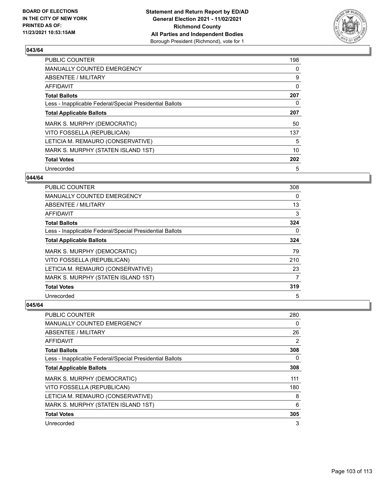

| <b>PUBLIC COUNTER</b>                                    | 198 |
|----------------------------------------------------------|-----|
| <b>MANUALLY COUNTED EMERGENCY</b>                        | 0   |
| ABSENTEE / MILITARY                                      | 9   |
| <b>AFFIDAVIT</b>                                         | 0   |
| <b>Total Ballots</b>                                     | 207 |
| Less - Inapplicable Federal/Special Presidential Ballots | 0   |
| <b>Total Applicable Ballots</b>                          | 207 |
| MARK S. MURPHY (DEMOCRATIC)                              | 50  |
| VITO FOSSELLA (REPUBLICAN)                               | 137 |
| LETICIA M. REMAURO (CONSERVATIVE)                        | 5   |
| MARK S. MURPHY (STATEN ISLAND 1ST)                       | 10  |
| <b>Total Votes</b>                                       | 202 |
| Unrecorded                                               | 5   |

#### **044/64**

| <b>PUBLIC COUNTER</b>                                    | 308      |
|----------------------------------------------------------|----------|
| <b>MANUALLY COUNTED EMERGENCY</b>                        | 0        |
| ABSENTEE / MILITARY                                      | 13       |
| AFFIDAVIT                                                | 3        |
| <b>Total Ballots</b>                                     | 324      |
| Less - Inapplicable Federal/Special Presidential Ballots | $\Omega$ |
| <b>Total Applicable Ballots</b>                          | 324      |
| MARK S. MURPHY (DEMOCRATIC)                              | 79       |
| VITO FOSSELLA (REPUBLICAN)                               | 210      |
| LETICIA M. REMAURO (CONSERVATIVE)                        | 23       |
| MARK S. MURPHY (STATEN ISLAND 1ST)                       | 7        |
| <b>Total Votes</b>                                       | 319      |
| Unrecorded                                               | 5        |

| <b>PUBLIC COUNTER</b>                                    | 280 |
|----------------------------------------------------------|-----|
| <b>MANUALLY COUNTED EMERGENCY</b>                        | 0   |
| ABSENTEE / MILITARY                                      | 26  |
| AFFIDAVIT                                                | 2   |
| <b>Total Ballots</b>                                     | 308 |
| Less - Inapplicable Federal/Special Presidential Ballots | 0   |
| <b>Total Applicable Ballots</b>                          | 308 |
| MARK S. MURPHY (DEMOCRATIC)                              | 111 |
| VITO FOSSELLA (REPUBLICAN)                               | 180 |
| LETICIA M. REMAURO (CONSERVATIVE)                        | 8   |
| MARK S. MURPHY (STATEN ISLAND 1ST)                       | 6   |
| <b>Total Votes</b>                                       | 305 |
| Unrecorded                                               | 3   |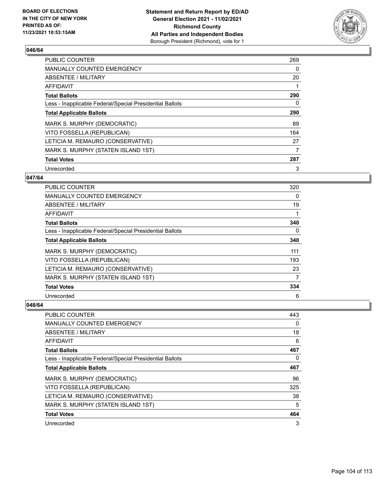

| <b>PUBLIC COUNTER</b>                                    | 269 |
|----------------------------------------------------------|-----|
| <b>MANUALLY COUNTED EMERGENCY</b>                        | 0   |
| ABSENTEE / MILITARY                                      | 20  |
| AFFIDAVIT                                                |     |
| <b>Total Ballots</b>                                     | 290 |
| Less - Inapplicable Federal/Special Presidential Ballots | 0   |
| <b>Total Applicable Ballots</b>                          | 290 |
| MARK S. MURPHY (DEMOCRATIC)                              | 89  |
| VITO FOSSELLA (REPUBLICAN)                               | 164 |
| LETICIA M. REMAURO (CONSERVATIVE)                        | 27  |
| MARK S. MURPHY (STATEN ISLAND 1ST)                       | 7   |
| <b>Total Votes</b>                                       | 287 |
| Unrecorded                                               | 3   |

## **047/64**

| PUBLIC COUNTER                                           | 320      |
|----------------------------------------------------------|----------|
| <b>MANUALLY COUNTED EMERGENCY</b>                        | $\Omega$ |
| ABSENTEE / MILITARY                                      | 19       |
| AFFIDAVIT                                                |          |
| <b>Total Ballots</b>                                     | 340      |
| Less - Inapplicable Federal/Special Presidential Ballots | $\Omega$ |
| <b>Total Applicable Ballots</b>                          | 340      |
| MARK S. MURPHY (DEMOCRATIC)                              | 111      |
| VITO FOSSELLA (REPUBLICAN)                               | 193      |
| LETICIA M. REMAURO (CONSERVATIVE)                        | 23       |
| MARK S. MURPHY (STATEN ISLAND 1ST)                       | 7        |
| <b>Total Votes</b>                                       | 334      |
| Unrecorded                                               | 6        |

| <b>PUBLIC COUNTER</b>                                    | 443      |
|----------------------------------------------------------|----------|
| <b>MANUALLY COUNTED EMERGENCY</b>                        | $\Omega$ |
| ABSENTEE / MILITARY                                      | 18       |
| AFFIDAVIT                                                | 6        |
| <b>Total Ballots</b>                                     | 467      |
| Less - Inapplicable Federal/Special Presidential Ballots | $\Omega$ |
| <b>Total Applicable Ballots</b>                          | 467      |
| MARK S. MURPHY (DEMOCRATIC)                              | 96       |
| VITO FOSSELLA (REPUBLICAN)                               | 325      |
| LETICIA M. REMAURO (CONSERVATIVE)                        | 38       |
| MARK S. MURPHY (STATEN ISLAND 1ST)                       | 5        |
| <b>Total Votes</b>                                       | 464      |
| Unrecorded                                               | 3        |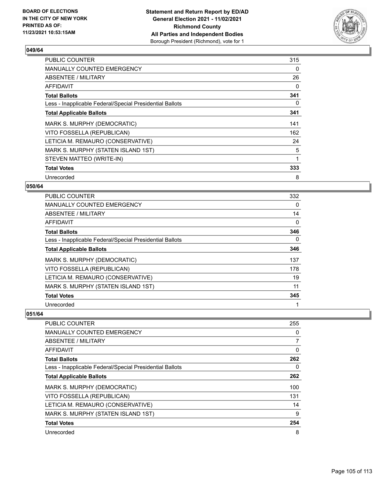

| <b>PUBLIC COUNTER</b>                                    | 315 |
|----------------------------------------------------------|-----|
| <b>MANUALLY COUNTED EMERGENCY</b>                        | 0   |
| ABSENTEE / MILITARY                                      | 26  |
| AFFIDAVIT                                                | 0   |
| <b>Total Ballots</b>                                     | 341 |
| Less - Inapplicable Federal/Special Presidential Ballots | 0   |
| <b>Total Applicable Ballots</b>                          | 341 |
| MARK S. MURPHY (DEMOCRATIC)                              | 141 |
| VITO FOSSELLA (REPUBLICAN)                               | 162 |
| LETICIA M. REMAURO (CONSERVATIVE)                        | 24  |
| MARK S. MURPHY (STATEN ISLAND 1ST)                       | 5   |
| STEVEN MATTEO (WRITE-IN)                                 | 1   |
| <b>Total Votes</b>                                       | 333 |
| Unrecorded                                               | 8   |

## **050/64**

| PUBLIC COUNTER                                           | 332      |
|----------------------------------------------------------|----------|
| <b>MANUALLY COUNTED EMERGENCY</b>                        | $\Omega$ |
| ABSENTEE / MILITARY                                      | 14       |
| AFFIDAVIT                                                | 0        |
| <b>Total Ballots</b>                                     | 346      |
| Less - Inapplicable Federal/Special Presidential Ballots | $\Omega$ |
| <b>Total Applicable Ballots</b>                          | 346      |
| MARK S. MURPHY (DEMOCRATIC)                              | 137      |
| VITO FOSSELLA (REPUBLICAN)                               | 178      |
| LETICIA M. REMAURO (CONSERVATIVE)                        | 19       |
| MARK S. MURPHY (STATEN ISLAND 1ST)                       | 11       |
| <b>Total Votes</b>                                       | 345      |
| Unrecorded                                               |          |

| <b>PUBLIC COUNTER</b>                                    | 255            |
|----------------------------------------------------------|----------------|
| <b>MANUALLY COUNTED EMERGENCY</b>                        | $\Omega$       |
| ABSENTEE / MILITARY                                      | $\overline{7}$ |
| AFFIDAVIT                                                | 0              |
| <b>Total Ballots</b>                                     | 262            |
| Less - Inapplicable Federal/Special Presidential Ballots | $\Omega$       |
| <b>Total Applicable Ballots</b>                          | 262            |
| MARK S. MURPHY (DEMOCRATIC)                              | 100            |
| VITO FOSSELLA (REPUBLICAN)                               | 131            |
| LETICIA M. REMAURO (CONSERVATIVE)                        | 14             |
| MARK S. MURPHY (STATEN ISLAND 1ST)                       | 9              |
| <b>Total Votes</b>                                       | 254            |
| Unrecorded                                               | 8              |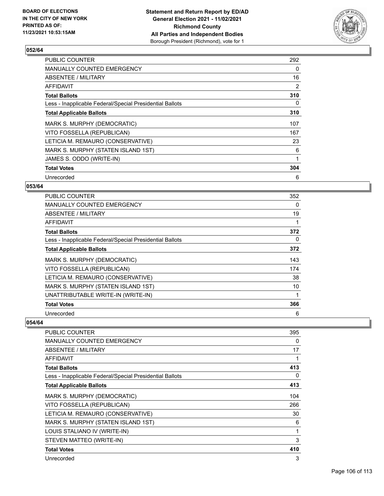

| <b>PUBLIC COUNTER</b>                                    | 292 |
|----------------------------------------------------------|-----|
| <b>MANUALLY COUNTED EMERGENCY</b>                        | 0   |
| ABSENTEE / MILITARY                                      | 16  |
| <b>AFFIDAVIT</b>                                         | 2   |
| <b>Total Ballots</b>                                     | 310 |
| Less - Inapplicable Federal/Special Presidential Ballots | 0   |
| <b>Total Applicable Ballots</b>                          | 310 |
| MARK S. MURPHY (DEMOCRATIC)                              | 107 |
| VITO FOSSELLA (REPUBLICAN)                               | 167 |
| LETICIA M. REMAURO (CONSERVATIVE)                        | 23  |
| MARK S. MURPHY (STATEN ISLAND 1ST)                       | 6   |
| JAMES S. ODDO (WRITE-IN)                                 | 1   |
| <b>Total Votes</b>                                       | 304 |
| Unrecorded                                               | 6   |

## **053/64**

| PUBLIC COUNTER                                           | 352      |
|----------------------------------------------------------|----------|
| <b>MANUALLY COUNTED EMERGENCY</b>                        | 0        |
| ABSENTEE / MILITARY                                      | 19       |
| AFFIDAVIT                                                |          |
| <b>Total Ballots</b>                                     | 372      |
| Less - Inapplicable Federal/Special Presidential Ballots | $\Omega$ |
| <b>Total Applicable Ballots</b>                          | 372      |
| MARK S. MURPHY (DEMOCRATIC)                              | 143      |
| VITO FOSSELLA (REPUBLICAN)                               | 174      |
| LETICIA M. REMAURO (CONSERVATIVE)                        | 38       |
| MARK S. MURPHY (STATEN ISLAND 1ST)                       | 10       |
| UNATTRIBUTABLE WRITE-IN (WRITE-IN)                       |          |
| <b>Total Votes</b>                                       | 366      |
| Unrecorded                                               | 6        |

| PUBLIC COUNTER                                           | 395 |
|----------------------------------------------------------|-----|
| <b>MANUALLY COUNTED EMERGENCY</b>                        | 0   |
| <b>ABSENTEE / MILITARY</b>                               | 17  |
| <b>AFFIDAVIT</b>                                         |     |
| <b>Total Ballots</b>                                     | 413 |
| Less - Inapplicable Federal/Special Presidential Ballots | 0   |
| <b>Total Applicable Ballots</b>                          | 413 |
| MARK S. MURPHY (DEMOCRATIC)                              | 104 |
| VITO FOSSELLA (REPUBLICAN)                               | 266 |
| LETICIA M. REMAURO (CONSERVATIVE)                        | 30  |
| MARK S. MURPHY (STATEN ISLAND 1ST)                       | 6   |
| LOUIS STALIANO IV (WRITE-IN)                             | 1   |
| STEVEN MATTEO (WRITE-IN)                                 | 3   |
| <b>Total Votes</b>                                       | 410 |
| Unrecorded                                               | 3   |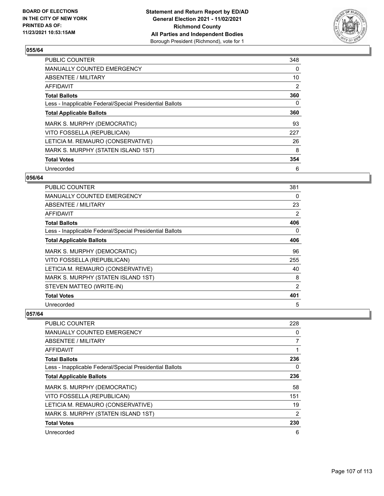

| <b>PUBLIC COUNTER</b>                                    | 348 |
|----------------------------------------------------------|-----|
| <b>MANUALLY COUNTED EMERGENCY</b>                        | 0   |
| ABSENTEE / MILITARY                                      | 10  |
| AFFIDAVIT                                                | 2   |
| <b>Total Ballots</b>                                     | 360 |
| Less - Inapplicable Federal/Special Presidential Ballots | 0   |
| <b>Total Applicable Ballots</b>                          | 360 |
| MARK S. MURPHY (DEMOCRATIC)                              | 93  |
| VITO FOSSELLA (REPUBLICAN)                               | 227 |
| LETICIA M. REMAURO (CONSERVATIVE)                        | 26  |
| MARK S. MURPHY (STATEN ISLAND 1ST)                       | 8   |
| <b>Total Votes</b>                                       | 354 |
| Unrecorded                                               | 6   |

#### **056/64**

| PUBLIC COUNTER                                           | 381 |
|----------------------------------------------------------|-----|
| MANUALLY COUNTED EMERGENCY                               | 0   |
| <b>ABSENTEE / MILITARY</b>                               | 23  |
| <b>AFFIDAVIT</b>                                         | 2   |
| <b>Total Ballots</b>                                     | 406 |
| Less - Inapplicable Federal/Special Presidential Ballots | 0   |
| <b>Total Applicable Ballots</b>                          | 406 |
| MARK S. MURPHY (DEMOCRATIC)                              | 96  |
| VITO FOSSELLA (REPUBLICAN)                               | 255 |
| LETICIA M. REMAURO (CONSERVATIVE)                        | 40  |
| MARK S. MURPHY (STATEN ISLAND 1ST)                       | 8   |
| STEVEN MATTEO (WRITE-IN)                                 | 2   |
| <b>Total Votes</b>                                       | 401 |
| Unrecorded                                               | 5   |

| PUBLIC COUNTER                                           | 228            |
|----------------------------------------------------------|----------------|
| <b>MANUALLY COUNTED EMERGENCY</b>                        | 0              |
| ABSENTEE / MILITARY                                      | $\overline{7}$ |
| AFFIDAVIT                                                |                |
| <b>Total Ballots</b>                                     | 236            |
| Less - Inapplicable Federal/Special Presidential Ballots | 0              |
| <b>Total Applicable Ballots</b>                          | 236            |
| MARK S. MURPHY (DEMOCRATIC)                              | 58             |
| VITO FOSSELLA (REPUBLICAN)                               | 151            |
| LETICIA M. REMAURO (CONSERVATIVE)                        | 19             |
| MARK S. MURPHY (STATEN ISLAND 1ST)                       | $\overline{2}$ |
| <b>Total Votes</b>                                       | 230            |
| Unrecorded                                               | 6              |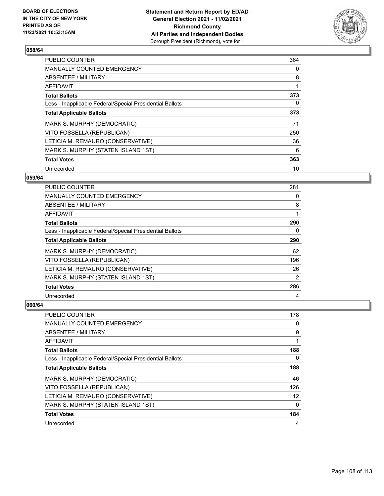

| <b>PUBLIC COUNTER</b>                                    | 364 |
|----------------------------------------------------------|-----|
| <b>MANUALLY COUNTED EMERGENCY</b>                        | 0   |
| ABSENTEE / MILITARY                                      | 8   |
| AFFIDAVIT                                                | 1   |
| <b>Total Ballots</b>                                     | 373 |
| Less - Inapplicable Federal/Special Presidential Ballots | 0   |
| <b>Total Applicable Ballots</b>                          | 373 |
| MARK S. MURPHY (DEMOCRATIC)                              | 71  |
| VITO FOSSELLA (REPUBLICAN)                               | 250 |
| LETICIA M. REMAURO (CONSERVATIVE)                        | 36  |
| MARK S. MURPHY (STATEN ISLAND 1ST)                       | 6   |
| <b>Total Votes</b>                                       | 363 |
| Unrecorded                                               | 10  |

#### **059/64**

| PUBLIC COUNTER                                           | 281      |
|----------------------------------------------------------|----------|
| <b>MANUALLY COUNTED EMERGENCY</b>                        | $\Omega$ |
| ABSENTEE / MILITARY                                      | 8        |
| <b>AFFIDAVIT</b>                                         |          |
| <b>Total Ballots</b>                                     | 290      |
| Less - Inapplicable Federal/Special Presidential Ballots | 0        |
| <b>Total Applicable Ballots</b>                          | 290      |
| MARK S. MURPHY (DEMOCRATIC)                              | 62       |
| VITO FOSSELLA (REPUBLICAN)                               | 196      |
| LETICIA M. REMAURO (CONSERVATIVE)                        | 26       |
| MARK S. MURPHY (STATEN ISLAND 1ST)                       | 2        |
| <b>Total Votes</b>                                       | 286      |
| Unrecorded                                               | 4        |

| <b>PUBLIC COUNTER</b>                                    | 178      |
|----------------------------------------------------------|----------|
| MANUALLY COUNTED EMERGENCY                               | 0        |
| ABSENTEE / MILITARY                                      | 9        |
| AFFIDAVIT                                                | 1        |
| <b>Total Ballots</b>                                     | 188      |
| Less - Inapplicable Federal/Special Presidential Ballots | 0        |
| <b>Total Applicable Ballots</b>                          | 188      |
| MARK S. MURPHY (DEMOCRATIC)                              | 46       |
| VITO FOSSELLA (REPUBLICAN)                               | 126      |
| LETICIA M. REMAURO (CONSERVATIVE)                        | 12       |
| MARK S. MURPHY (STATEN ISLAND 1ST)                       | $\Omega$ |
| <b>Total Votes</b>                                       | 184      |
| Unrecorded                                               | 4        |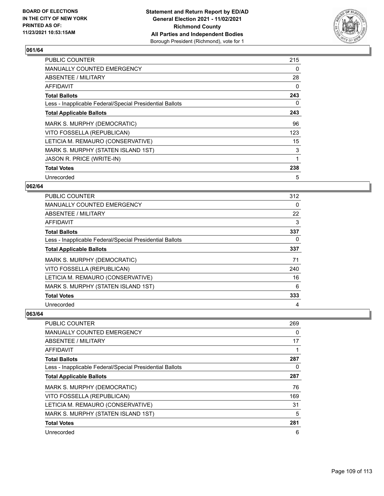

| <b>PUBLIC COUNTER</b>                                    | 215 |
|----------------------------------------------------------|-----|
| <b>MANUALLY COUNTED EMERGENCY</b>                        | 0   |
| ABSENTEE / MILITARY                                      | 28  |
| AFFIDAVIT                                                | 0   |
| <b>Total Ballots</b>                                     | 243 |
| Less - Inapplicable Federal/Special Presidential Ballots | 0   |
| <b>Total Applicable Ballots</b>                          | 243 |
| MARK S. MURPHY (DEMOCRATIC)                              | 96  |
| VITO FOSSELLA (REPUBLICAN)                               | 123 |
| LETICIA M. REMAURO (CONSERVATIVE)                        | 15  |
| MARK S. MURPHY (STATEN ISLAND 1ST)                       | 3   |
| JASON R. PRICE (WRITE-IN)                                | 1   |
| <b>Total Votes</b>                                       | 238 |
| Unrecorded                                               | 5   |

## **062/64**

| <b>PUBLIC COUNTER</b>                                    | 312      |
|----------------------------------------------------------|----------|
| <b>MANUALLY COUNTED EMERGENCY</b>                        | $\Omega$ |
| ABSENTEE / MILITARY                                      | 22       |
| AFFIDAVIT                                                | 3        |
| <b>Total Ballots</b>                                     | 337      |
| Less - Inapplicable Federal/Special Presidential Ballots | 0        |
| <b>Total Applicable Ballots</b>                          | 337      |
| MARK S. MURPHY (DEMOCRATIC)                              | 71       |
| VITO FOSSELLA (REPUBLICAN)                               | 240      |
| LETICIA M. REMAURO (CONSERVATIVE)                        | 16       |
| MARK S. MURPHY (STATEN ISLAND 1ST)                       | 6        |
| <b>Total Votes</b>                                       | 333      |
| Unrecorded                                               | 4        |

| <b>PUBLIC COUNTER</b>                                    | 269      |
|----------------------------------------------------------|----------|
| MANUALLY COUNTED EMERGENCY                               | $\Omega$ |
| ABSENTEE / MILITARY                                      | 17       |
| AFFIDAVIT                                                |          |
| <b>Total Ballots</b>                                     | 287      |
| Less - Inapplicable Federal/Special Presidential Ballots | 0        |
| <b>Total Applicable Ballots</b>                          | 287      |
| MARK S. MURPHY (DEMOCRATIC)                              | 76       |
| VITO FOSSELLA (REPUBLICAN)                               | 169      |
| LETICIA M. REMAURO (CONSERVATIVE)                        | 31       |
| MARK S. MURPHY (STATEN ISLAND 1ST)                       | 5        |
| <b>Total Votes</b>                                       | 281      |
| Unrecorded                                               | 6        |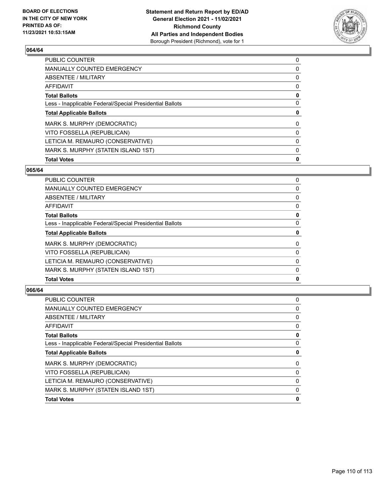

| <b>Total Votes</b>                                       | 0        |
|----------------------------------------------------------|----------|
| MARK S. MURPHY (STATEN ISLAND 1ST)                       | 0        |
| LETICIA M. REMAURO (CONSERVATIVE)                        | $\Omega$ |
| VITO FOSSELLA (REPUBLICAN)                               | 0        |
| MARK S. MURPHY (DEMOCRATIC)                              | $\Omega$ |
| <b>Total Applicable Ballots</b>                          | 0        |
| Less - Inapplicable Federal/Special Presidential Ballots | $\Omega$ |
| <b>Total Ballots</b>                                     | 0        |
| AFFIDAVIT                                                | 0        |
| <b>ABSENTEE / MILITARY</b>                               | 0        |
| MANUALLY COUNTED EMERGENCY                               | 0        |
| PUBLIC COUNTER                                           | 0        |

## **065/64**

| <b>Total Votes</b>                                       | 0 |
|----------------------------------------------------------|---|
| MARK S. MURPHY (STATEN ISLAND 1ST)                       | 0 |
| LETICIA M. REMAURO (CONSERVATIVE)                        | 0 |
| VITO FOSSELLA (REPUBLICAN)                               | 0 |
| MARK S. MURPHY (DEMOCRATIC)                              | 0 |
| <b>Total Applicable Ballots</b>                          | 0 |
| Less - Inapplicable Federal/Special Presidential Ballots | 0 |
| <b>Total Ballots</b>                                     | 0 |
| AFFIDAVIT                                                | 0 |
| ABSENTEE / MILITARY                                      | 0 |
| <b>MANUALLY COUNTED EMERGENCY</b>                        | 0 |
| <b>PUBLIC COUNTER</b>                                    | 0 |

| <b>PUBLIC COUNTER</b>                                    | 0 |
|----------------------------------------------------------|---|
| <b>MANUALLY COUNTED EMERGENCY</b>                        | 0 |
| ABSENTEE / MILITARY                                      | 0 |
| <b>AFFIDAVIT</b>                                         | 0 |
| <b>Total Ballots</b>                                     | 0 |
| Less - Inapplicable Federal/Special Presidential Ballots | 0 |
| <b>Total Applicable Ballots</b>                          | 0 |
| MARK S. MURPHY (DEMOCRATIC)                              | 0 |
| VITO FOSSELLA (REPUBLICAN)                               | 0 |
| LETICIA M. REMAURO (CONSERVATIVE)                        | 0 |
| MARK S. MURPHY (STATEN ISLAND 1ST)                       | 0 |
| <b>Total Votes</b>                                       | 0 |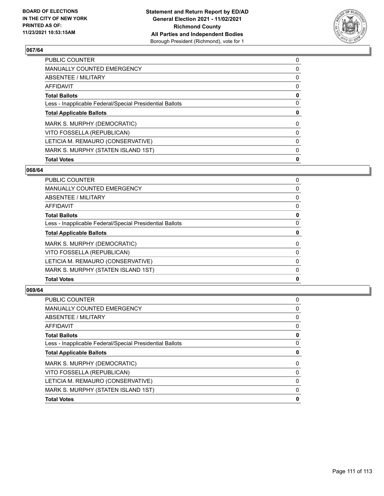

| <b>Total Votes</b>                                       | 0        |
|----------------------------------------------------------|----------|
| MARK S. MURPHY (STATEN ISLAND 1ST)                       | 0        |
| LETICIA M. REMAURO (CONSERVATIVE)                        | $\Omega$ |
| VITO FOSSELLA (REPUBLICAN)                               | 0        |
| MARK S. MURPHY (DEMOCRATIC)                              | $\Omega$ |
| <b>Total Applicable Ballots</b>                          | 0        |
| Less - Inapplicable Federal/Special Presidential Ballots | $\Omega$ |
| <b>Total Ballots</b>                                     | 0        |
| AFFIDAVIT                                                | 0        |
| <b>ABSENTEE / MILITARY</b>                               | 0        |
| MANUALLY COUNTED EMERGENCY                               | 0        |
| PUBLIC COUNTER                                           | 0        |

## **068/64**

| <b>Total Votes</b>                                       | 0 |
|----------------------------------------------------------|---|
| MARK S. MURPHY (STATEN ISLAND 1ST)                       | 0 |
| LETICIA M. REMAURO (CONSERVATIVE)                        | 0 |
| VITO FOSSELLA (REPUBLICAN)                               | 0 |
| MARK S. MURPHY (DEMOCRATIC)                              | 0 |
| <b>Total Applicable Ballots</b>                          | 0 |
| Less - Inapplicable Federal/Special Presidential Ballots | 0 |
| <b>Total Ballots</b>                                     | 0 |
| AFFIDAVIT                                                | 0 |
| ABSENTEE / MILITARY                                      | 0 |
| <b>MANUALLY COUNTED EMERGENCY</b>                        | 0 |
| <b>PUBLIC COUNTER</b>                                    | 0 |

| 0 |
|---|
| 0 |
| 0 |
| 0 |
| 0 |
| 0 |
| 0 |
| 0 |
| 0 |
| 0 |
| 0 |
| 0 |
|   |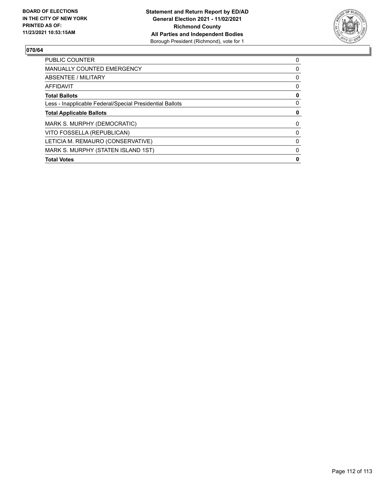

| <b>PUBLIC COUNTER</b>                                    | 0        |
|----------------------------------------------------------|----------|
| <b>MANUALLY COUNTED EMERGENCY</b>                        | 0        |
| ABSENTEE / MILITARY                                      | 0        |
| <b>AFFIDAVIT</b>                                         | $\Omega$ |
| <b>Total Ballots</b>                                     | 0        |
| Less - Inapplicable Federal/Special Presidential Ballots | 0        |
| <b>Total Applicable Ballots</b>                          | 0        |
| MARK S. MURPHY (DEMOCRATIC)                              | 0        |
| VITO FOSSELLA (REPUBLICAN)                               | 0        |
| LETICIA M. REMAURO (CONSERVATIVE)                        | 0        |
|                                                          |          |
| MARK S. MURPHY (STATEN ISLAND 1ST)                       | 0        |